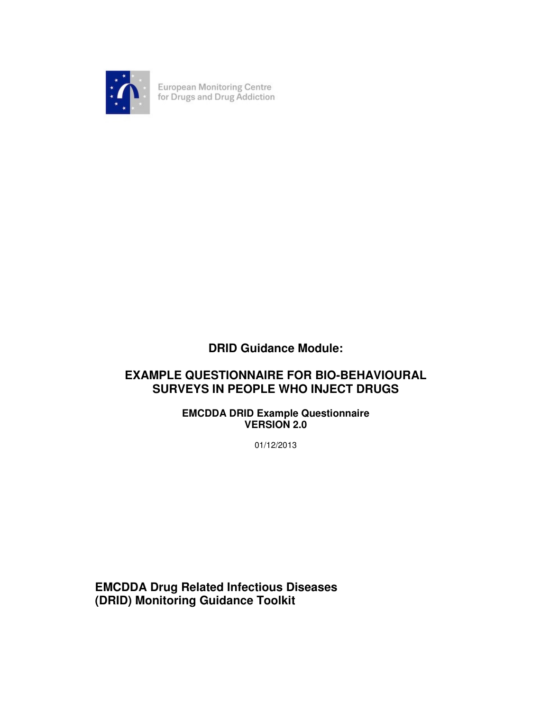

European Monitoring Centre<br>for Drugs and Drug Addiction

## **DRID Guidance Module:**

## **EXAMPLE QUESTIONNAIRE FOR BIO-BEHAVIOURAL SURVEYS IN PEOPLE WHO INJECT DRUGS**

## **EMCDDA DRID Example Questionnaire VERSION 2.0**

01/12/2013

**EMCDDA Drug Related Infectious Diseases (DRID) Monitoring Guidance Toolkit**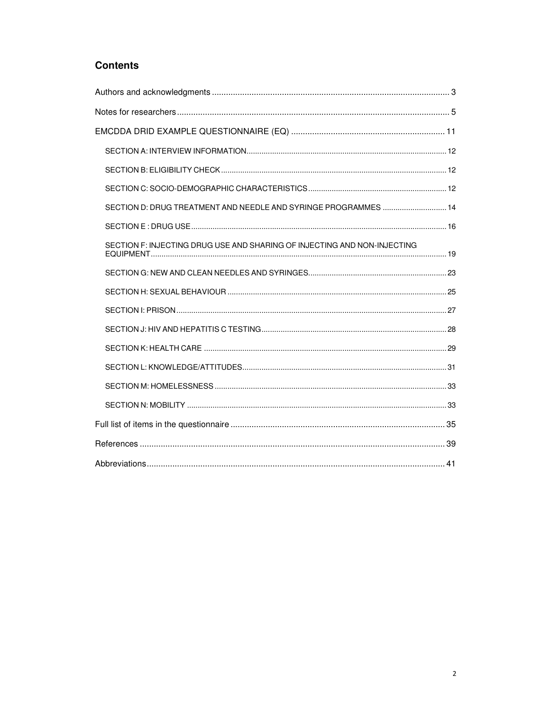## **Contents**

| SECTION D: DRUG TREATMENT AND NEEDLE AND SYRINGE PROGRAMMES  14          |
|--------------------------------------------------------------------------|
|                                                                          |
| SECTION F: INJECTING DRUG USE AND SHARING OF INJECTING AND NON-INJECTING |
|                                                                          |
|                                                                          |
|                                                                          |
|                                                                          |
|                                                                          |
|                                                                          |
|                                                                          |
|                                                                          |
|                                                                          |
|                                                                          |
|                                                                          |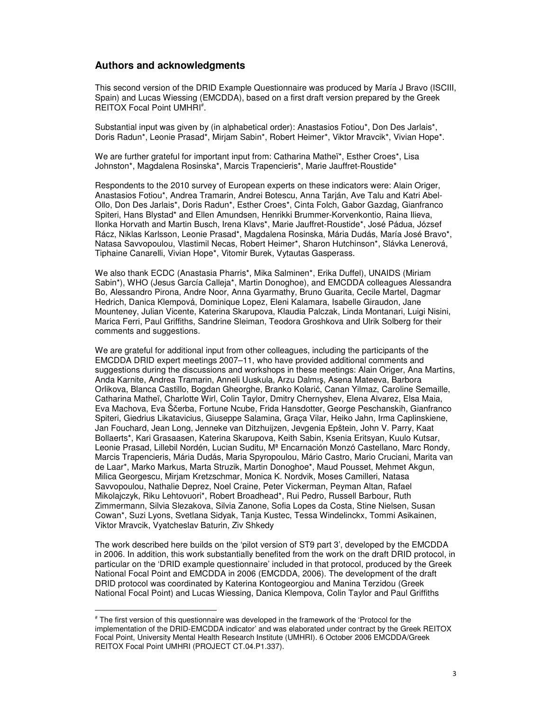### **Authors and acknowledgments**

l

This second version of the DRID Example Questionnaire was produced by María J Bravo (ISCIII, Spain) and Lucas Wiessing (EMCDDA), based on a first draft version prepared by the Greek REITOX Focal Point UMHRI<sup>#</sup>.

Substantial input was given by (in alphabetical order): Anastasios Fotiou\*, Don Des Jarlais\*, Doris Radun\*, Leonie Prasad\*, Mirjam Sabin\*, Robert Heimer\*, Viktor Mravcik\*, Vivian Hope\*.

We are further grateful for important input from: Catharina Matheï\*, Esther Croes\*, Lisa Johnston\*, Magdalena Rosinska\*, Marcis Trapencieris\*, Marie Jauffret-Roustide\*

Respondents to the 2010 survey of European experts on these indicators were: Alain Origer, Anastasios Fotiou\*, Andrea Tramarin, Andrei Botescu, Anna Tarján, Ave Talu and Katri Abel-Ollo, Don Des Jarlais\*, Doris Radun\*, Esther Croes\*, Cinta Folch, Gabor Gazdag, Gianfranco Spiteri, Hans Blystad\* and Ellen Amundsen, Henrikki Brummer-Korvenkontio, Raina Ilieva, Ilonka Horvath and Martin Busch, Irena Klavs\*, Marie Jauffret-Roustide\*, José Pádua, József Rácz, Niklas Karlsson, Leonie Prasad\*, Magdalena Rosinska, Mária Dudás, María José Bravo\*, Natasa Savvopoulou, Vlastimil Necas, Robert Heimer\*, Sharon Hutchinson\*, Slávka Lenerová, Tiphaine Canarelli, Vivian Hope\*, Vitomir Burek, Vytautas Gasperass.

We also thank ECDC (Anastasia Pharris\*, Mika Salminen\*, Erika Duffel), UNAIDS (Miriam Sabin\*), WHO (Jesus García Calleja\*, Martin Donoghoe), and EMCDDA colleagues Alessandra Bo, Alessandro Pirona, Andre Noor, Anna Gyarmathy, Bruno Guarita, Cecile Martel, Dagmar Hedrich, Danica Klempová, Dominique Lopez, Eleni Kalamara, Isabelle Giraudon, Jane Mounteney, Julian Vicente, Katerina Skarupova, Klaudia Palczak, Linda Montanari, Luigi Nisini, Marica Ferri, Paul Griffiths, Sandrine Sleiman, Teodora Groshkova and Ulrik Solberg for their comments and suggestions.

We are grateful for additional input from other colleagues, including the participants of the EMCDDA DRID expert meetings 2007–11, who have provided additional comments and suggestions during the discussions and workshops in these meetings: Alain Origer, Ana Martins, Anda Karnite, Andrea Tramarin, Anneli Uuskula, Arzu Dalmış, Asena Mateeva, Barbora Orlikova, Blanca Castillo, Bogdan Gheorghe, Branko Kolarić, Canan Yilmaz, Caroline Semaille, Catharina Matheï, Charlotte Wirl, Colin Taylor, Dmitry Chernyshev, Elena Alvarez, Elsa Maia, Eva Machova, Eva Ščerba, Fortune Ncube, Frida Hansdotter, George Peschanskih, Gianfranco Spiteri, Giedrius Likatavicius, Giuseppe Salamina, Graça Vilar, Heiko Jahn, Irma Caplinskiene, Jan Fouchard, Jean Long, Jenneke van Ditzhuijzen, Jevgenia Epštein, John V. Parry, Kaat Bollaerts\*, Kari Grasaasen, Katerina Skarupova, Keith Sabin, Ksenia Eritsyan, Kuulo Kutsar, Leonie Prasad, Lillebil Nordén, Lucian Suditu, Mª Encarnación Monzó Castellano, Marc Rondy, Marcis Trapencieris, Mária Dudás, Maria Spyropoulou, Mário Castro, Mario Cruciani, Marita van de Laar\*, Marko Markus, Marta Struzik, Martin Donoghoe\*, Maud Pousset, Mehmet Akgun, Milica Georgescu, Mirjam Kretzschmar, Monica K. Nordvik, Moses Camilleri, Natasa Savvopoulou, Nathalie Deprez, Noel Craine, Peter Vickerman, Peyman Altan, Rafael Mikolajczyk, Riku Lehtovuori\*, Robert Broadhead\*, Rui Pedro, Russell Barbour, Ruth Zimmermann, Silvia Slezakova, Silvia Zanone, Sofia Lopes da Costa, Stine Nielsen, Susan Cowan\*, Suzi Lyons, Svetlana Sidyak, Tanja Kustec, Tessa Windelinckx, Tommi Asikainen, Viktor Mravcik, Vyatcheslav Baturin, Ziv Shkedy

The work described here builds on the 'pilot version of ST9 part 3', developed by the EMCDDA in 2006. In addition, this work substantially benefited from the work on the draft DRID protocol, in particular on the 'DRID example questionnaire' included in that protocol, produced by the Greek National Focal Point and EMCDDA in 2006 (EMCDDA, 2006). The development of the draft DRID protocol was coordinated by Katerina Kontogeorgiou and Manina Terzidou (Greek National Focal Point) and Lucas Wiessing, Danica Klempova, Colin Taylor and Paul Griffiths

<sup>#</sup> The first version of this questionnaire was developed in the framework of the 'Protocol for the implementation of the DRID-EMCDDA indicator' and was elaborated under contract by the Greek REITOX Focal Point, University Mental Health Research Institute (UMHRI). 6 October 2006 EMCDDA/Greek REITOX Focal Point UMHRI (PROJECT CT.04.P1.337).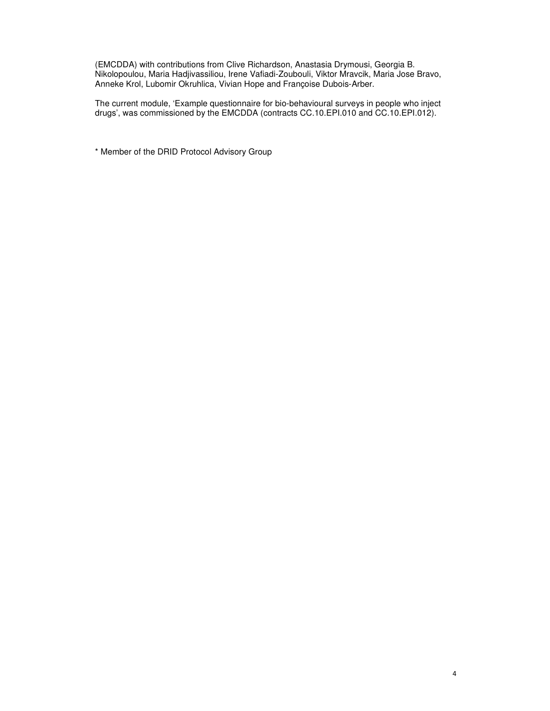(EMCDDA) with contributions from Clive Richardson, Anastasia Drymousi, Georgia B. Nikolopoulou, Maria Hadjivassiliou, Irene Vafiadi-Zoubouli, Viktor Mravcik, Maria Jose Bravo, Anneke Krol, Lubomir Okruhlica, Vivian Hope and Françoise Dubois-Arber.

The current module, 'Example questionnaire for bio-behavioural surveys in people who inject drugs', was commissioned by the EMCDDA (contracts CC.10.EPI.010 and CC.10.EPI.012).

\* Member of the DRID Protocol Advisory Group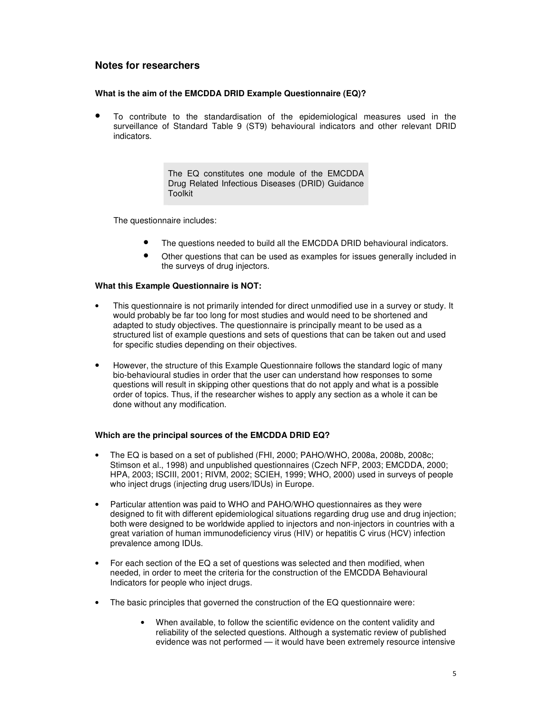### **Notes for researchers**

### **What is the aim of the EMCDDA DRID Example Questionnaire (EQ)?**

• To contribute to the standardisation of the epidemiological measures used in the surveillance of Standard Table 9 (ST9) behavioural indicators and other relevant DRID indicators.

> The EQ constitutes one module of the EMCDDA Drug Related Infectious Diseases (DRID) Guidance Toolkit

The questionnaire includes:

- The questions needed to build all the EMCDDA DRID behavioural indicators.
- Other questions that can be used as examples for issues generally included in the surveys of drug injectors.

### **What this Example Questionnaire is NOT:**

- This questionnaire is not primarily intended for direct unmodified use in a survey or study. It would probably be far too long for most studies and would need to be shortened and adapted to study objectives. The questionnaire is principally meant to be used as a structured list of example questions and sets of questions that can be taken out and used for specific studies depending on their objectives.
- However, the structure of this Example Questionnaire follows the standard logic of many bio-behavioural studies in order that the user can understand how responses to some questions will result in skipping other questions that do not apply and what is a possible order of topics. Thus, if the researcher wishes to apply any section as a whole it can be done without any modification.

### **Which are the principal sources of the EMCDDA DRID EQ?**

- The EQ is based on a set of published (FHI, 2000; PAHO/WHO, 2008a, 2008b, 2008c; Stimson et al., 1998) and unpublished questionnaires (Czech NFP, 2003; EMCDDA, 2000; HPA, 2003; ISCIII, 2001; RIVM, 2002; SCIEH, 1999; WHO, 2000) used in surveys of people who inject drugs (injecting drug users/IDUs) in Europe.
- Particular attention was paid to WHO and PAHO/WHO questionnaires as they were designed to fit with different epidemiological situations regarding drug use and drug injection; both were designed to be worldwide applied to injectors and non-injectors in countries with a great variation of human immunodeficiency virus (HIV) or hepatitis C virus (HCV) infection prevalence among IDUs.
- For each section of the EQ a set of questions was selected and then modified, when needed, in order to meet the criteria for the construction of the EMCDDA Behavioural Indicators for people who inject drugs.
- The basic principles that governed the construction of the EQ questionnaire were:
	- When available, to follow the scientific evidence on the content validity and reliability of the selected questions. Although a systematic review of published evidence was not performed — it would have been extremely resource intensive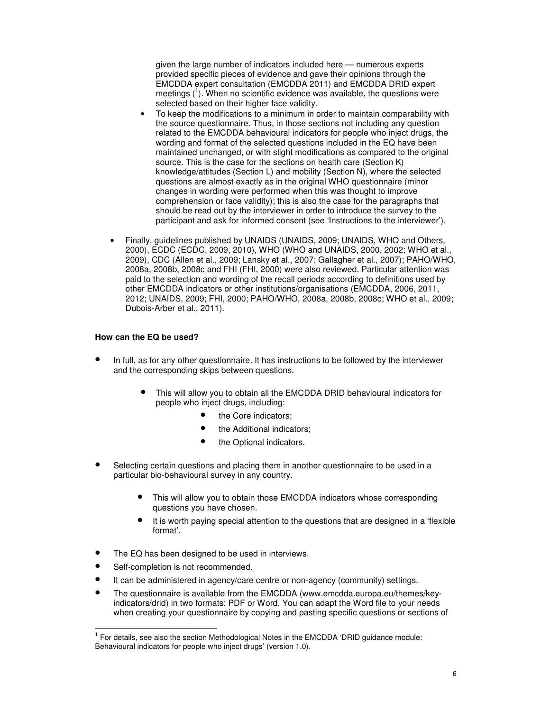given the large number of indicators included here — numerous experts provided specific pieces of evidence and gave their opinions through the EMCDDA expert consultation (EMCDDA 2011) and EMCDDA DRID expert meetings  $(1)$ . When no scientific evidence was available, the questions were selected based on their higher face validity.

- To keep the modifications to a minimum in order to maintain comparability with the source questionnaire. Thus, in those sections not including any question related to the EMCDDA behavioural indicators for people who inject drugs, the wording and format of the selected questions included in the EQ have been maintained unchanged, or with slight modifications as compared to the original source. This is the case for the sections on health care (Section K) knowledge/attitudes (Section L) and mobility (Section N), where the selected questions are almost exactly as in the original WHO questionnaire (minor changes in wording were performed when this was thought to improve comprehension or face validity); this is also the case for the paragraphs that should be read out by the interviewer in order to introduce the survey to the participant and ask for informed consent (see 'Instructions to the interviewer').
- Finally, guidelines published by UNAIDS (UNAIDS, 2009; UNAIDS, WHO and Others, 2000), ECDC (ECDC, 2009, 2010), WHO (WHO and UNAIDS, 2000, 2002; WHO et al., 2009), CDC (Allen et al., 2009; Lansky et al., 2007; Gallagher et al., 2007); PAHO/WHO, 2008a, 2008b, 2008c and FHI (FHI, 2000) were also reviewed. Particular attention was paid to the selection and wording of the recall periods according to definitions used by other EMCDDA indicators or other institutions/organisations (EMCDDA, 2006, 2011, 2012; UNAIDS, 2009; FHI, 2000; PAHO/WHO, 2008a, 2008b, 2008c; WHO et al., 2009; Dubois-Arber et al., 2011).

### **How can the EQ be used?**

- In full, as for any other questionnaire. It has instructions to be followed by the interviewer and the corresponding skips between questions.
	- This will allow you to obtain all the EMCDDA DRID behavioural indicators for people who inject drugs, including:
		- the Core indicators;
		- the Additional indicators;
		- the Optional indicators.
- Selecting certain questions and placing them in another questionnaire to be used in a particular bio-behavioural survey in any country.
	- This will allow you to obtain those EMCDDA indicators whose corresponding questions you have chosen.
	- It is worth paying special attention to the questions that are designed in a 'flexible format'.
- The EQ has been designed to be used in interviews.
- Self-completion is not recommended.

l

- It can be administered in agency/care centre or non-agency (community) settings.
- The questionnaire is available from the EMCDDA (www.emcdda.europa.eu/themes/keyindicators/drid) in two formats: PDF or Word. You can adapt the Word file to your needs when creating your questionnaire by copying and pasting specific questions or sections of

<sup>&</sup>lt;sup>1</sup> For details, see also the section Methodological Notes in the EMCDDA 'DRID guidance module: Behavioural indicators for people who inject drugs' (version 1.0).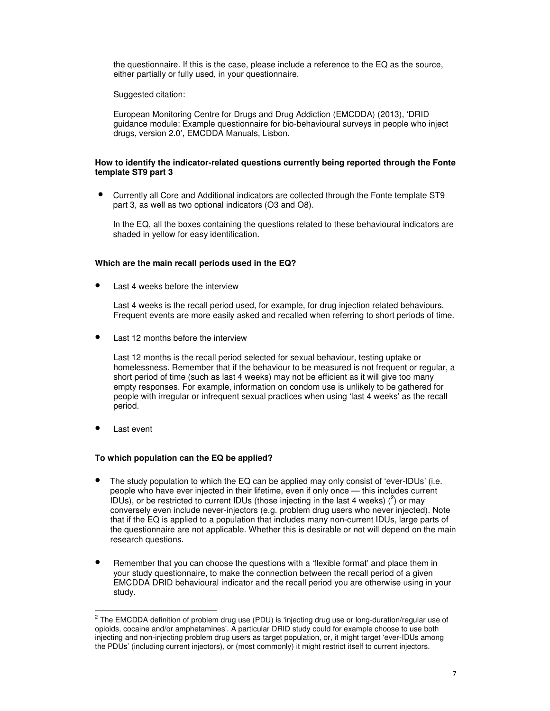the questionnaire. If this is the case, please include a reference to the EQ as the source, either partially or fully used, in your questionnaire.

Suggested citation:

European Monitoring Centre for Drugs and Drug Addiction (EMCDDA) (2013), 'DRID guidance module: Example questionnaire for bio-behavioural surveys in people who inject drugs, version 2.0', EMCDDA Manuals, Lisbon.

### **How to identify the indicator-related questions currently being reported through the Fonte template ST9 part 3**

• Currently all Core and Additional indicators are collected through the Fonte template ST9 part 3, as well as two optional indicators (O3 and O8).

In the EQ, all the boxes containing the questions related to these behavioural indicators are shaded in yellow for easy identification.

### **Which are the main recall periods used in the EQ?**

Last 4 weeks before the interview

Last 4 weeks is the recall period used, for example, for drug injection related behaviours. Frequent events are more easily asked and recalled when referring to short periods of time.

Last 12 months before the interview

Last 12 months is the recall period selected for sexual behaviour, testing uptake or homelessness. Remember that if the behaviour to be measured is not frequent or regular, a short period of time (such as last 4 weeks) may not be efficient as it will give too many empty responses. For example, information on condom use is unlikely to be gathered for people with irregular or infrequent sexual practices when using 'last 4 weeks' as the recall period.

Last event

l

### **To which population can the EQ be applied?**

- The study population to which the EQ can be applied may only consist of 'ever-IDUs' (i.e. people who have ever injected in their lifetime, even if only once — this includes current  $1$ DUs), or be restricted to current IDUs (those injecting in the last 4 weeks)  $(^2)$  or may conversely even include never-injectors (e.g. problem drug users who never injected). Note that if the EQ is applied to a population that includes many non-current IDUs, large parts of the questionnaire are not applicable. Whether this is desirable or not will depend on the main research questions.
- Remember that you can choose the questions with a 'flexible format' and place them in your study questionnaire, to make the connection between the recall period of a given EMCDDA DRID behavioural indicator and the recall period you are otherwise using in your study.

<sup>&</sup>lt;sup>2</sup> The EMCDDA definition of problem drug use (PDU) is 'injecting drug use or long-duration/regular use of opioids, cocaine and/or amphetamines'. A particular DRID study could for example choose to use both injecting and non-injecting problem drug users as target population, or, it might target 'ever-IDUs among the PDUs' (including current injectors), or (most commonly) it might restrict itself to current injectors.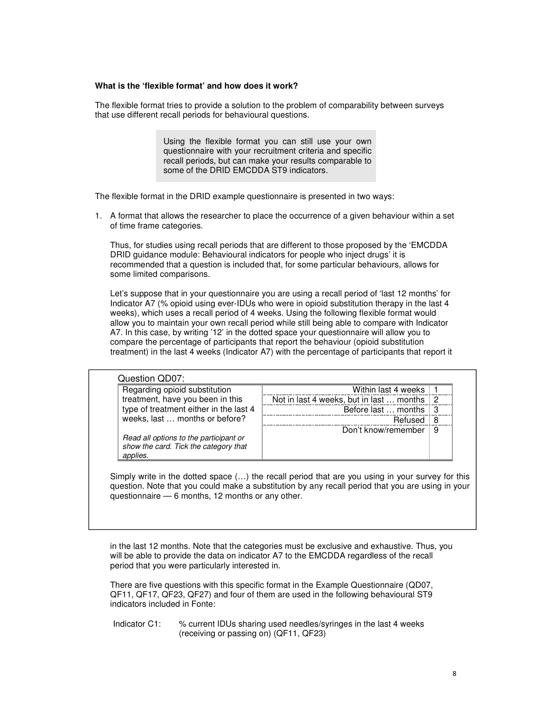### **What is the 'flexible format' and how does it work?**

The flexible format tries to provide a solution to the problem of comparability between surveys that use different recall periods for behavioural questions.

> Using the flexible format you can still use your own questionnaire with your recruitment criteria and specific recall periods, but can make your results comparable to some of the DRID EMCDDA ST9 indicators.

The flexible format in the DRID example questionnaire is presented in two ways:

1. A format that allows the researcher to place the occurrence of a given behaviour within a set of time frame categories.

Thus, for studies using recall periods that are different to those proposed by the 'EMCDDA DRID guidance module: Behavioural indicators for people who inject drugs' it is recommended that a question is included that, for some particular behaviours, allows for some limited comparisons.

Let's suppose that in your questionnaire you are using a recall period of 'last 12 months' for Indicator A7 (% opioid using ever-IDUs who were in opioid substitution therapy in the last 4 weeks), which uses a recall period of 4 weeks. Using the following flexible format would allow you to maintain your own recall period while still being able to compare with Indicator A7. In this case, by writing '12' in the dotted space your questionnaire will allow you to compare the percentage of participants that report the behaviour (opioid substitution treatment) in the last 4 weeks (Indicator A7) with the percentage of participants that report it

| Regarding opioid substitution                                                               | Within last 4 weeks                      |    |
|---------------------------------------------------------------------------------------------|------------------------------------------|----|
| treatment, have you been in this                                                            | Not in last 4 weeks, but in last  months | 2  |
| type of treatment either in the last 4                                                      | Before last  months                      | -3 |
| weeks, last  months or before?                                                              | Refused                                  | 8  |
| Read all options to the participant or<br>show the card. Tick the category that<br>applies. | Don't know/remember                      | 9  |

Simply write in the dotted space (…) the recall period that are you using in your survey for this question. Note that you could make a substitution by any recall period that you are using in your questionnaire — 6 months, 12 months or any other.

in the last 12 months. Note that the categories must be exclusive and exhaustive. Thus, you will be able to provide the data on indicator A7 to the EMCDDA regardless of the recall period that you were particularly interested in.

There are five questions with this specific format in the Example Questionnaire (QD07, QF11, QF17, QF23, QF27) and four of them are used in the following behavioural ST9 indicators included in Fonte:

Indicator C1: % current IDUs sharing used needles/syringes in the last 4 weeks (receiving or passing on) (QF11, QF23)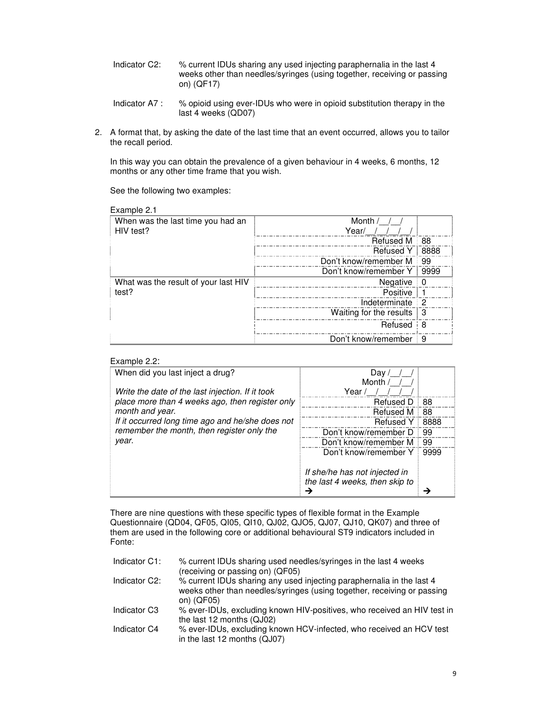- Indicator C2: % current IDUs sharing any used injecting paraphernalia in the last 4 weeks other than needles/syringes (using together, receiving or passing on) (QF17)
- Indicator A7 : % opioid using ever-IDUs who were in opioid substitution therapy in the last 4 weeks (QD07)
- 2. A format that, by asking the date of the last time that an event occurred, allows you to tailor the recall period.

In this way you can obtain the prevalence of a given behaviour in 4 weeks, 6 months, 12 months or any other time frame that you wish.

See the following two examples:

| Example 2.1                          |                         |      |
|--------------------------------------|-------------------------|------|
| When was the last time you had an    | Month /                 |      |
| HIV test?                            | Year/                   |      |
|                                      | <b>Refused M</b>        | 88   |
|                                      | <b>Refused Y</b>        | 8888 |
|                                      | Don't know/remember M   | 99   |
|                                      | Don't know/remember Y   | 9999 |
| What was the result of your last HIV | Negative                | 0    |
| test?                                | Positive                |      |
|                                      | Indeterminate           | 2    |
|                                      | Waiting for the results | l 3  |
|                                      | Refused                 | i 8  |
|                                      | Don't know/remember     | 9    |

### Example 2.2:

| When did you last inject a drug?                 | Day                            |      |
|--------------------------------------------------|--------------------------------|------|
| Write the date of the last injection. If it took | Month /<br>Year /              |      |
| place more than 4 weeks ago, then register only  | <b>Refused D</b>               | 88   |
| month and year.                                  | Refused M                      | 88   |
| If it occurred long time ago and he/she does not | <b>Refused Y</b>               | 8888 |
| remember the month, then register only the       | Don't know/remember D          | 99   |
| year.                                            | Don't know/remember M          | 99   |
|                                                  | Don't know/remember Y          | 9999 |
|                                                  |                                |      |
|                                                  | If she/he has not injected in  |      |
|                                                  | the last 4 weeks, then skip to |      |
|                                                  |                                |      |

There are nine questions with these specific types of flexible format in the Example Questionnaire (QD04, QF05, QI05, QI10, QJ02, QJO5, QJ07, QJ10, QK07) and three of them are used in the following core or additional behavioural ST9 indicators included in Fonte:

| Indicator C1:              | % current IDUs sharing used needles/syringes in the last 4 weeks<br>(receiving or passing on) (QF05)                                                           |
|----------------------------|----------------------------------------------------------------------------------------------------------------------------------------------------------------|
| Indicator C <sub>2</sub> : | % current IDUs sharing any used injecting paraphernalia in the last 4<br>weeks other than needles/syringes (using together, receiving or passing<br>on) (QF05) |
| Indicator C <sub>3</sub>   | % ever-IDUs, excluding known HIV-positives, who received an HIV test in<br>the last 12 months (QJ02)                                                           |
| Indicator C4               | % ever-IDUs, excluding known HCV-infected, who received an HCV test<br>in the last 12 months (QJ07)                                                            |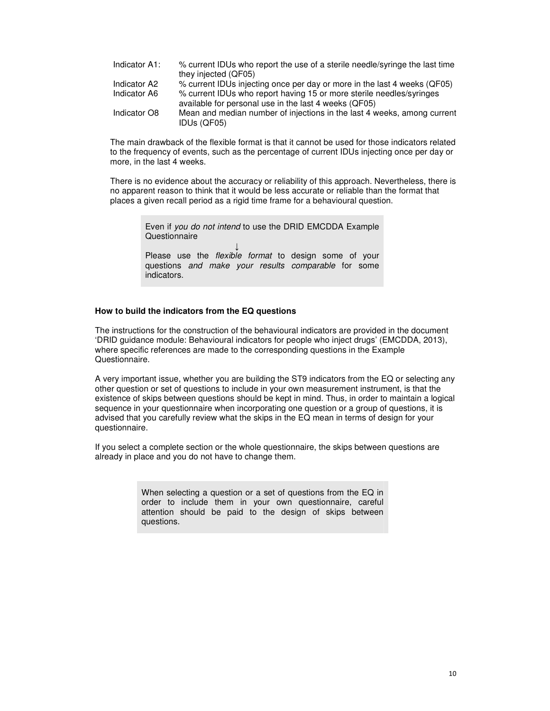| Indicator A1: | % current IDUs who report the use of a sterile needle/syringe the last time                                                   |
|---------------|-------------------------------------------------------------------------------------------------------------------------------|
|               | they injected (QF05)                                                                                                          |
| Indicator A2  | % current IDUs injecting once per day or more in the last 4 weeks (QF05)                                                      |
| Indicator A6  | % current IDUs who report having 15 or more sterile needles/syringes<br>available for personal use in the last 4 weeks (QF05) |
| Indicator O8  | Mean and median number of injections in the last 4 weeks, among current<br>IDUs (QF05)                                        |

The main drawback of the flexible format is that it cannot be used for those indicators related to the frequency of events, such as the percentage of current IDUs injecting once per day or more, in the last 4 weeks.

There is no evidence about the accuracy or reliability of this approach. Nevertheless, there is no apparent reason to think that it would be less accurate or reliable than the format that places a given recall period as a rigid time frame for a behavioural question.

> Even if you do not intend to use the DRID EMCDDA Example Questionnaire ↓ Please use the *flexible format* to design some of your questions and make your results comparable for some

### **How to build the indicators from the EQ questions**

indicators.

The instructions for the construction of the behavioural indicators are provided in the document 'DRID guidance module: Behavioural indicators for people who inject drugs' (EMCDDA, 2013), where specific references are made to the corresponding questions in the Example Questionnaire.

A very important issue, whether you are building the ST9 indicators from the EQ or selecting any other question or set of questions to include in your own measurement instrument, is that the existence of skips between questions should be kept in mind. Thus, in order to maintain a logical sequence in your questionnaire when incorporating one question or a group of questions, it is advised that you carefully review what the skips in the EQ mean in terms of design for your questionnaire.

If you select a complete section or the whole questionnaire, the skips between questions are already in place and you do not have to change them.

> When selecting a question or a set of questions from the EQ in order to include them in your own questionnaire, careful attention should be paid to the design of skips between questions.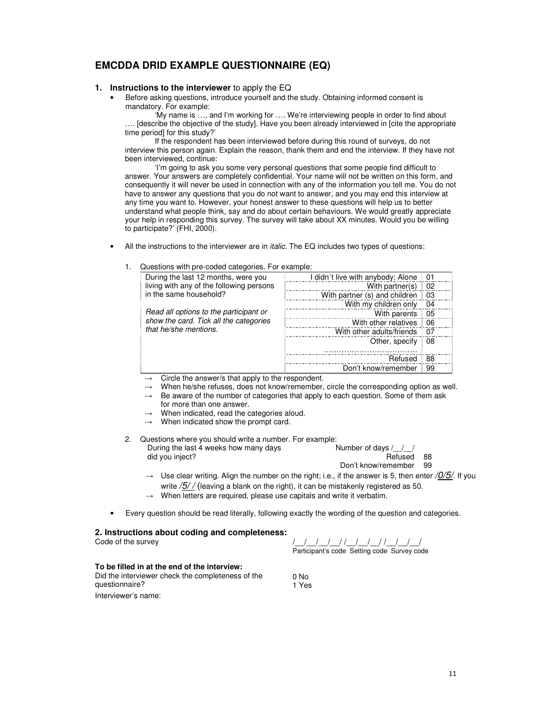## **EMCDDA DRID EXAMPLE QUESTIONNAIRE (EQ)**

### **1. Instructions to the interviewer** to apply the EQ

• Before asking questions, introduce yourself and the study. Obtaining informed consent is mandatory. For example:

'My name is …, and I'm working for …. We're interviewing people in order to find about …. [describe the objective of the study]. Have you been already interviewed in [cite the appropriate time period] for this study?'

If the respondent has been interviewed before during this round of surveys, do not interview this person again. Explain the reason, thank them and end the interview. If they have not been interviewed, continue:

'I'm going to ask you some very personal questions that some people find difficult to answer. Your answers are completely confidential. Your name will not be written on this form, and consequently it will never be used in connection with any of the information you tell me. You do not have to answer any questions that you do not want to answer, and you may end this interview at any time you want to. However, your honest answer to these questions will help us to better understand what people think, say and do about certain behaviours. We would greatly appreciate your help in responding this survey. The survey will take about XX minutes. Would you be willing to participate?' (FHI, 2000).

- All the instructions to the interviewer are in *italic*. The EQ includes two types of questions:
	- During the last 12 months, were you living with any of the following persons in the same household? Read all options to the participant or show the card. Tick all the categories that he/she mentions. I didn't live with anybody: Alone 01 <u>With partner(s)</u> = 02<br>With partner(s) 02<br>Notes that the partner of 02  $\frac{1}{2}$  With partner (s) and children  $\frac{1}{2}$  03 With my children only 04 With parents 05 With other relatives 06 With other adults/friends 07 Other, specify ………………………………. 08 Refused 88 Don't know/remember | 99
	- 1. Questions with pre-coded categories. For example:

- Circle the answer/s that apply to the respondent.
- When he/she refuses, does not know/remember, circle the corresponding option as well.
- Be aware of the number of categories that apply to each question. Some of them ask for more than one answer.
- When indicated, read the categories aloud.
- When indicated show the prompt card.
- 2. Questions where you should write a number. For example: During the last 4 weeks how many days did you inject? Number of days / / / Refused 88 Don't know/remember 99
	- $\rightarrow$  Use clear writing. Align the number on the right; i.e., if the answer is 5, then enter /0/5/. If you write  $\sqrt{5}/$  (leaving a blank on the right), it can be mistakenly registered as 50.
	- $\rightarrow$  When letters are required, please use capitals and write it verbatim.
- Every question should be read literally, following exactly the wording of the question and categories.

# **2. Instructions about coding and completeness:**

Code of the survey /\_\_/\_\_/\_\_/\_\_/ /\_\_/\_\_/\_\_/ /\_\_/\_\_/\_\_/ Participant's code Setting code Survey code

### **To be filled in at the end of the interview:**

Did the interviewer check the completeness of the questionnaire? Interviewer's name:

0 No 1 Yes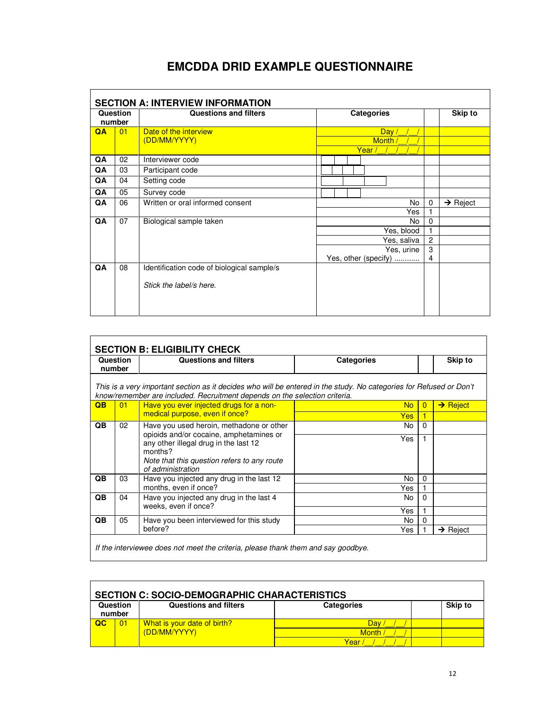## **EMCDDA DRID EXAMPLE QUESTIONNAIRE**

|    | Question<br>number | <b>Questions and filters</b>               |    |  | <b>Categories</b> |                      |                      |             |                | Skip to        |
|----|--------------------|--------------------------------------------|----|--|-------------------|----------------------|----------------------|-------------|----------------|----------------|
| QA | 01                 | Date of the interview<br>(DD/MM/YYYY)      |    |  | Year /            | <b>Month</b>         | Day /                |             |                |                |
| QA | 02                 | Interviewer code                           |    |  |                   |                      |                      |             |                |                |
| QA | 03                 | Participant code                           |    |  |                   |                      |                      |             |                |                |
| QA | 04                 | Setting code                               |    |  |                   |                      |                      |             |                |                |
| QA | 05                 | Survey code                                |    |  |                   |                      |                      |             |                |                |
| QA | 06                 | Written or oral informed consent           | No |  | $\Omega$          | $\rightarrow$ Reject |                      |             |                |                |
|    |                    |                                            |    |  |                   |                      |                      | Yes         | 1              |                |
| QA | 07                 | Biological sample taken                    |    |  |                   |                      |                      | No          | 0              |                |
|    |                    |                                            |    |  |                   |                      | Yes, blood           |             | 1              |                |
|    |                    |                                            |    |  |                   |                      |                      | Yes, saliva |                | $\overline{c}$ |
|    |                    |                                            |    |  |                   |                      | Yes, urine           |             | 3              |                |
|    |                    |                                            |    |  |                   |                      | Yes, other (specify) |             | $\overline{4}$ |                |
| QA | 08                 | Identification code of biological sample/s |    |  |                   |                      |                      |             |                |                |
|    |                    | Stick the label/s here.                    |    |  |                   |                      |                      |             |                |                |
|    |                    |                                            |    |  |                   |                      |                      |             |                |                |
|    |                    |                                            |    |  |                   |                      |                      |             |                |                |

|                 | Question<br>number | Questions and filters                                                                                                                                                                             | <b>Categories</b> |          | Skip to              |
|-----------------|--------------------|---------------------------------------------------------------------------------------------------------------------------------------------------------------------------------------------------|-------------------|----------|----------------------|
|                 |                    | This is a very important section as it decides who will be entered in the study. No categories for Refused or Don't<br>know/remember are included. Recruitment depends on the selection criteria. |                   |          |                      |
| $\overline{OB}$ | 01                 | Have you ever injected drugs for a non-                                                                                                                                                           | <b>No</b>         | $\Omega$ | $\rightarrow$ Reject |
|                 |                    | medical purpose, even if once?                                                                                                                                                                    | <b>Yes</b>        |          |                      |
| QB.             | 02                 | Have you used heroin, methadone or other                                                                                                                                                          | No                | $\Omega$ |                      |
|                 |                    | opioids and/or cocaine, amphetamines or<br>any other illegal drug in the last 12<br>months?<br>Note that this question refers to any route<br>of administration                                   | Yes               |          |                      |
| QB              | 03                 | Have you injected any drug in the last 12                                                                                                                                                         | No                | $\Omega$ |                      |
|                 |                    | months, even if once?                                                                                                                                                                             | Yes               |          |                      |
| QB              | 04                 | Have you injected any drug in the last 4                                                                                                                                                          | No.               | $\Omega$ |                      |
|                 |                    | weeks, even if once?                                                                                                                                                                              | Yes               |          |                      |
| QB              | 05                 | Have you been interviewed for this study                                                                                                                                                          | No.               | $\Omega$ |                      |
|                 |                    | before?                                                                                                                                                                                           | Yes               |          | $\rightarrow$ Reject |

|                    | <b>SECTION C: SOCIO-DEMOGRAPHIC CHARACTERISTICS</b> |                              |                   |  |                |  |  |  |  |
|--------------------|-----------------------------------------------------|------------------------------|-------------------|--|----------------|--|--|--|--|
| Question<br>number |                                                     | <b>Questions and filters</b> | <b>Categories</b> |  | <b>Skip to</b> |  |  |  |  |
|                    |                                                     |                              |                   |  |                |  |  |  |  |
| $\overline{a}$     | 01                                                  | What is your date of birth?  | Dav               |  |                |  |  |  |  |
|                    |                                                     | (DD/MM/YYYY)                 | Month             |  |                |  |  |  |  |
|                    |                                                     |                              | Year              |  |                |  |  |  |  |

<u> 1989 - Johann Stoff, amerikansk politiker (d. 1989)</u>

÷,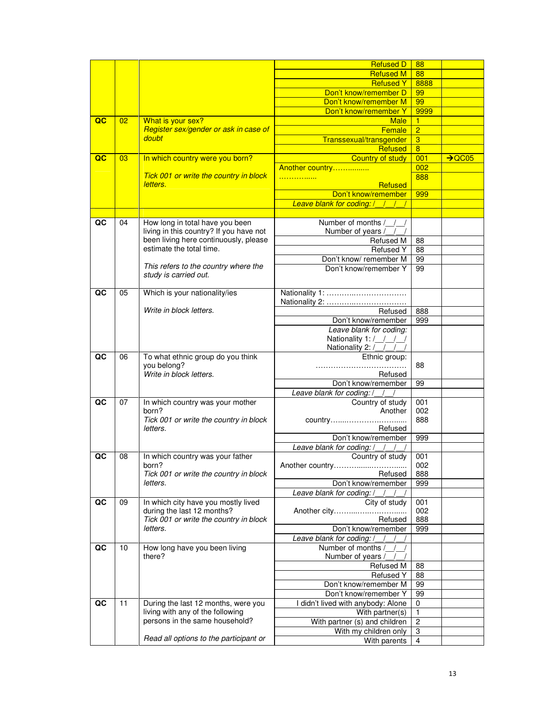|                         |    |                                                                                  | <b>Refused D</b>                   | 88             |                    |
|-------------------------|----|----------------------------------------------------------------------------------|------------------------------------|----------------|--------------------|
|                         |    |                                                                                  | <b>Refused M</b>                   | 88             |                    |
|                         |    |                                                                                  | <b>Refused Y</b>                   | 8888           |                    |
|                         |    |                                                                                  | Don't know/remember D              | 99             |                    |
|                         |    |                                                                                  | Don't know/remember M              | 99             |                    |
|                         |    |                                                                                  | Don't know/remember Y              | 9999           |                    |
| $\overline{\mathbf{c}}$ | 02 | What is your sex?                                                                | <b>Male</b>                        | 1              |                    |
|                         |    | Register sex/gender or ask in case of                                            | Female                             | $\overline{2}$ |                    |
|                         |    | doubt                                                                            | Transsexual/transgender            | 3              |                    |
|                         |    |                                                                                  | <b>Refused</b>                     | $\overline{8}$ |                    |
| $\overline{\mathbf{Q}}$ | 03 | In which country were you born?                                                  | <b>Country of study</b>            | 001            | $\rightarrow$ QC05 |
|                         |    |                                                                                  | Another country                    | 002            |                    |
|                         |    | Tick 001 or write the country in block                                           | .                                  | 888            |                    |
|                         |    | letters.                                                                         | <b>Refused</b>                     |                |                    |
|                         |    |                                                                                  | Don't know/remember                | 999            |                    |
|                         |    |                                                                                  | Leave blank for coding: /          |                |                    |
|                         |    |                                                                                  |                                    |                |                    |
| QC                      | 04 | How long in total have you been                                                  | Number of months / /               |                |                    |
|                         |    | living in this country? If you have not<br>been living here continuously, please | Number of years /<br>Refused M     |                |                    |
|                         |    | estimate the total time.                                                         | <b>Refused Y</b>                   | 88<br>88       |                    |
|                         |    |                                                                                  | Don't know/ remember M             | 99             |                    |
|                         |    | This refers to the country where the                                             | Don't know/remember Y              | 99             |                    |
|                         |    | study is carried out.                                                            |                                    |                |                    |
|                         |    |                                                                                  |                                    |                |                    |
| QC                      | 05 | Which is your nationality/ies                                                    | Nationality 1:                     |                |                    |
|                         |    |                                                                                  | Nationality 2:                     |                |                    |
|                         |    | Write in block letters.                                                          | Refused                            | 888            |                    |
|                         |    |                                                                                  | Don't know/remember                | 999            |                    |
|                         |    |                                                                                  | Leave blank for coding:            |                |                    |
|                         |    |                                                                                  | Nationality 1: / / / /             |                |                    |
| QC                      |    |                                                                                  | Nationality 2: / / /               |                |                    |
|                         | 06 | To what ethnic group do you think<br>you belong?                                 | Ethnic group:                      | 88             |                    |
|                         |    | Write in block letters.                                                          | Refused                            |                |                    |
|                         |    |                                                                                  | Don't know/remember                | 99             |                    |
|                         |    |                                                                                  | Leave blank for coding: / /        |                |                    |
| QC                      | 07 | In which country was your mother                                                 | Country of study                   | 001            |                    |
|                         |    | born?                                                                            | Another                            | 002            |                    |
|                         |    | Tick 001 or write the country in block                                           |                                    | 888            |                    |
|                         |    | letters.                                                                         | Refused                            |                |                    |
|                         |    |                                                                                  | Don't know/remember                | 999            |                    |
|                         |    |                                                                                  | Leave blank for coding: /          |                |                    |
| QC                      | 08 | In which country was your father                                                 | Country of study                   | 001            |                    |
|                         |    | born?                                                                            | Another country                    | 002            |                    |
|                         |    | Tick 001 or write the country in block                                           | Refused                            | 888            |                    |
|                         |    | letters.                                                                         | Don't know/remember                | 999            |                    |
|                         |    |                                                                                  | Leave blank for coding: /          |                |                    |
| QC                      | 09 | In which city have you mostly lived<br>during the last 12 months?                | City of study                      | 001<br>002     |                    |
|                         |    | Tick 001 or write the country in block                                           | Refused                            | 888            |                    |
|                         |    | letters.                                                                         | Don't know/remember                | 999            |                    |
|                         |    |                                                                                  | Leave blank for coding: / /        |                |                    |
| QC                      | 10 | How long have you been living                                                    | Number of months /                 |                |                    |
|                         |    | there?                                                                           | Number of years /                  |                |                    |
|                         |    |                                                                                  | <b>Refused M</b>                   | 88             |                    |
|                         |    |                                                                                  | <b>Refused Y</b>                   | 88             |                    |
|                         |    |                                                                                  | Don't know/remember M              | 99             |                    |
|                         |    |                                                                                  | Don't know/remember Y              | 99             |                    |
| QC                      | 11 | During the last 12 months, were you                                              | I didn't lived with anybody: Alone | 0              |                    |
|                         |    | living with any of the following                                                 | With partner(s)                    | $\mathbf{1}$   |                    |
|                         |    | persons in the same household?                                                   | With partner (s) and children      | $\overline{c}$ |                    |
|                         |    |                                                                                  | With my children only              | 3              |                    |
|                         |    | Read all options to the participant or                                           | With parents                       | 4              |                    |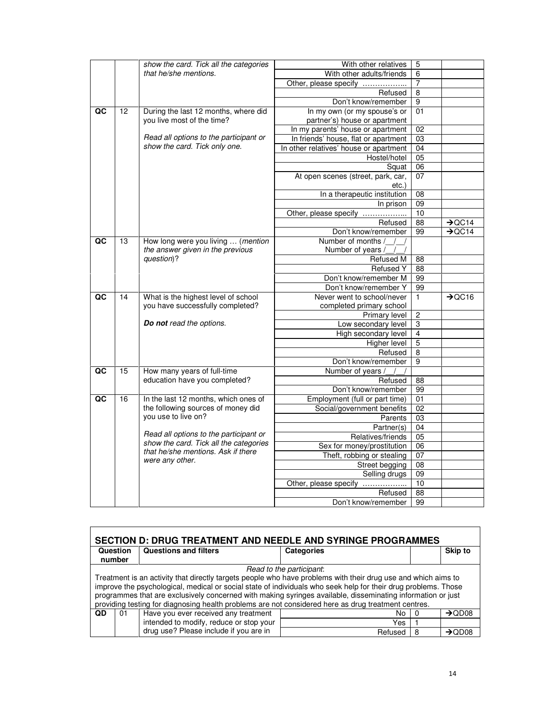|    |    | show the card. Tick all the categories | With other relatives                   | 5               |                    |
|----|----|----------------------------------------|----------------------------------------|-----------------|--------------------|
|    |    | that he/she mentions.                  | With other adults/friends              | 6               |                    |
|    |    |                                        | Other, please specify                  | 7               |                    |
|    |    |                                        | Refused                                | $\overline{8}$  |                    |
|    |    |                                        | Don't know/remember                    | $\overline{9}$  |                    |
| QC | 12 | During the last 12 months, where did   | In my own (or my spouse's or           | 01              |                    |
|    |    | you live most of the time?             | partner's) house or apartment          |                 |                    |
|    |    |                                        | In my parents' house or apartment      | $\overline{02}$ |                    |
|    |    | Read all options to the participant or | In friends' house, flat or apartment   | 03              |                    |
|    |    | show the card. Tick only one.          | In other relatives' house or apartment | 04              |                    |
|    |    |                                        | Hostel/hotel                           | 05              |                    |
|    |    |                                        | Squat                                  | 06              |                    |
|    |    |                                        | At open scenes (street, park, car,     | 07              |                    |
|    |    |                                        | etc.)                                  |                 |                    |
|    |    |                                        | In a therapeutic institution           | $\overline{08}$ |                    |
|    |    |                                        | In prison                              | 09              |                    |
|    |    |                                        | Other, please specify                  | 10              |                    |
|    |    |                                        | Refused                                | $\overline{88}$ | $\rightarrow$ QC14 |
|    |    |                                        | Don't know/remember                    | 99              | $\rightarrow$ QC14 |
| QC | 13 | How long were you living  (mention     | Number of months /                     |                 |                    |
|    |    | the answer given in the previous       | Number of years /                      |                 |                    |
|    |    | question)?                             | Refused M                              | 88              |                    |
|    |    |                                        | <b>Refused Y</b>                       | 88              |                    |
|    |    |                                        | Don't know/remember M                  | 99              |                    |
|    |    |                                        | Don't know/remember Y                  | 99              |                    |
| QC | 14 | What is the highest level of school    | Never went to school/never             | $\mathbf{1}$    | $\rightarrow$ QC16 |
|    |    | you have successfully completed?       | completed primary school               |                 |                    |
|    |    |                                        | Primary level                          | $\overline{c}$  |                    |
|    |    | Do not read the options.               | Low secondary level                    | $\overline{3}$  |                    |
|    |    |                                        | High secondary level                   | $\overline{4}$  |                    |
|    |    |                                        | <b>Higher level</b>                    | $\overline{5}$  |                    |
|    |    |                                        | Refused                                | $\overline{8}$  |                    |
|    |    |                                        | Don't know/remember                    | 9               |                    |
| QC | 15 | How many years of full-time            | Number of years /                      |                 |                    |
|    |    | education have you completed?          | Refused                                | 88              |                    |
|    |    |                                        | Don't know/remember                    | 99              |                    |
| QC | 16 | In the last 12 months, which ones of   | Employment (full or part time)         | 01              |                    |
|    |    | the following sources of money did     | Social/government benefits             | 02              |                    |
|    |    | you use to live on?                    | Parents                                | $\overline{03}$ |                    |
|    |    |                                        | Partner(s)                             | 04              |                    |
|    |    | Read all options to the participant or | Relatives/friends                      | 05              |                    |
|    |    | show the card. Tick all the categories | Sex for money/prostitution             | 06              |                    |
|    |    | that he/she mentions. Ask if there     | Theft, robbing or stealing             | $\overline{07}$ |                    |
|    |    | were any other.                        | Street begging                         | 08              |                    |
|    |    |                                        | Selling drugs                          | 09              |                    |
|    |    |                                        | Other, please specify                  | 10              |                    |
|    |    |                                        | Refused                                | $\overline{88}$ |                    |
|    |    |                                        | Don't know/remember                    | 99              |                    |
|    |    |                                        |                                        |                 |                    |

| <b>SECTION D: DRUG TREATMENT AND NEEDLE AND SYRINGE PROGRAMMES</b> |                                                                                                                                                                                                                                                                                                                                                                                                                                                                                   |                                         |                   |   |                    |  |  |  |
|--------------------------------------------------------------------|-----------------------------------------------------------------------------------------------------------------------------------------------------------------------------------------------------------------------------------------------------------------------------------------------------------------------------------------------------------------------------------------------------------------------------------------------------------------------------------|-----------------------------------------|-------------------|---|--------------------|--|--|--|
|                                                                    | Question                                                                                                                                                                                                                                                                                                                                                                                                                                                                          | <b>Questions and filters</b>            | <b>Categories</b> |   | <b>Skip to</b>     |  |  |  |
|                                                                    | number                                                                                                                                                                                                                                                                                                                                                                                                                                                                            |                                         |                   |   |                    |  |  |  |
|                                                                    | Read to the participant:<br>Treatment is an activity that directly targets people who have problems with their drug use and which aims to<br>improve the psychological, medical or social state of individuals who seek help for their drug problems. Those<br>programmes that are exclusively concerned with making syringes available, disseminating information or just<br>providing testing for diagnosing health problems are not considered here as drug treatment centres. |                                         |                   |   |                    |  |  |  |
| <b>QD</b>                                                          | 01                                                                                                                                                                                                                                                                                                                                                                                                                                                                                | Have you ever received any treatment    | No                |   | $\rightarrow$ QD08 |  |  |  |
|                                                                    |                                                                                                                                                                                                                                                                                                                                                                                                                                                                                   | intended to modify, reduce or stop your | Yes               |   |                    |  |  |  |
|                                                                    |                                                                                                                                                                                                                                                                                                                                                                                                                                                                                   | drug use? Please include if you are in  | Refused           | 8 | $\rightarrow$ OD08 |  |  |  |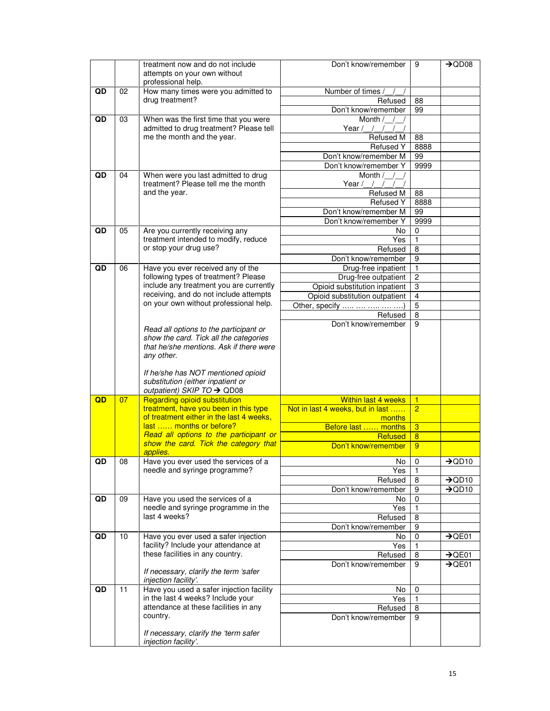|    |    | treatment now and do not include<br>attempts on your own without<br>professional help.                                                    | Don't know/remember                            | 9                 | $\rightarrow$ QD08 |
|----|----|-------------------------------------------------------------------------------------------------------------------------------------------|------------------------------------------------|-------------------|--------------------|
| QD | 02 | How many times were you admitted to                                                                                                       | Number of times                                |                   |                    |
|    |    | drug treatment?                                                                                                                           | Refused                                        | 88                |                    |
|    |    |                                                                                                                                           | Don't know/remember                            | 99                |                    |
| QD | 03 | When was the first time that you were<br>admitted to drug treatment? Please tell                                                          | Month /<br>Year $/$ / $/$                      |                   |                    |
|    |    | me the month and the year.                                                                                                                | Refused M                                      | 88                |                    |
|    |    |                                                                                                                                           | <b>Refused Y</b>                               | 8888<br>99        |                    |
|    |    |                                                                                                                                           | Don't know/remember M<br>Don't know/remember Y | 9999              |                    |
| QD | 04 | When were you last admitted to drug                                                                                                       | Month /                                        |                   |                    |
|    |    | treatment? Please tell me the month                                                                                                       | Year $/$ / /                                   |                   |                    |
|    |    | and the year.                                                                                                                             | Refused M                                      | 88                |                    |
|    |    |                                                                                                                                           | Refused Y                                      | 8888              |                    |
|    |    |                                                                                                                                           | Don't know/remember M                          | 99                |                    |
|    |    |                                                                                                                                           | Don't know/remember Y                          | 9999              |                    |
| QD | 05 | Are you currently receiving any<br>treatment intended to modify, reduce                                                                   | No.<br>Yes                                     | 0<br>$\mathbf{1}$ |                    |
|    |    | or stop your drug use?                                                                                                                    | Refused                                        | 8                 |                    |
|    |    |                                                                                                                                           | Don't know/remember                            | 9                 |                    |
| QD | 06 | Have you ever received any of the                                                                                                         | Drug-free inpatient                            |                   |                    |
|    |    | following types of treatment? Please                                                                                                      | Drug-free outpatient                           | $\overline{2}$    |                    |
|    |    | include any treatment you are currently                                                                                                   | Opioid substitution inpatient                  | 3                 |                    |
|    |    | receiving, and do not include attempts<br>on your own without professional help.                                                          | Opioid substitution outpatient                 | $\overline{4}$    |                    |
|    |    |                                                                                                                                           | Other, specify                                 | $\overline{5}$    |                    |
|    |    |                                                                                                                                           | Refused<br>Don't know/remember                 | 8<br>9            |                    |
|    |    | Read all options to the participant or<br>show the card. Tick all the categories<br>that he/she mentions. Ask if there were<br>any other. |                                                |                   |                    |
|    |    | If he/she has NOT mentioned opioid<br>substitution (either inpatient or<br>outpatient) SKIP TO → QD08                                     |                                                |                   |                    |
| QD | 07 | <b>Regarding opioid substitution</b>                                                                                                      | <b>Within last 4 weeks</b>                     | $\mathbf{1}$      |                    |
|    |    | treatment, have you been in this type<br>of treatment either in the last 4 weeks,                                                         | Not in last 4 weeks, but in last               | $\overline{2}$    |                    |
|    |    | last  months or before?                                                                                                                   | months<br>Before last  months                  | $\overline{3}$    |                    |
|    |    | Read all options to the participant or                                                                                                    | <b>Refused</b>                                 | $\overline{8}$    |                    |
|    |    | show the card. Tick the category that                                                                                                     | Don't know/remember                            | 9                 |                    |
|    |    | applies.                                                                                                                                  |                                                |                   |                    |
| QD | 08 | Have you ever used the services of a<br>needle and syringe programme?                                                                     | $No$ 0<br>Yes                                  | $\mathbf{1}$      | $\rightarrow$ QD10 |
|    |    |                                                                                                                                           | Refused                                        | 8                 | $\rightarrow$ QD10 |
|    |    |                                                                                                                                           | Don't know/remember                            | 9                 | $\rightarrow$ QD10 |
| QD | 09 | Have you used the services of a                                                                                                           | No                                             | 0                 |                    |
|    |    | needle and syringe programme in the                                                                                                       | Yes                                            |                   |                    |
|    |    | last 4 weeks?                                                                                                                             | Refused                                        | 8                 |                    |
|    |    |                                                                                                                                           | Don't know/remember                            | 9                 |                    |
| QD | 10 | Have you ever used a safer injection<br>facility? Include your attendance at                                                              | No                                             | 0                 | $\rightarrow$ QE01 |
|    |    | these facilities in any country.                                                                                                          | Yes<br>Refused                                 | 8                 | $\rightarrow$ QE01 |
|    |    |                                                                                                                                           | Don't know/remember                            | 9                 | $\rightarrow$ QE01 |
|    |    | If necessary, clarify the term 'safer<br>injection facility'.                                                                             |                                                |                   |                    |
| QD | 11 | Have you used a safer injection facility                                                                                                  | No                                             | 0                 |                    |
|    |    | in the last 4 weeks? Include your                                                                                                         | Yes                                            | $\mathbf{1}$      |                    |
|    |    | attendance at these facilities in any<br>country.                                                                                         | Refused                                        | 8                 |                    |
|    |    |                                                                                                                                           | Don't know/remember                            | 9                 |                    |
|    |    | If necessary, clarify the 'term safer<br>injection facility'.                                                                             |                                                |                   |                    |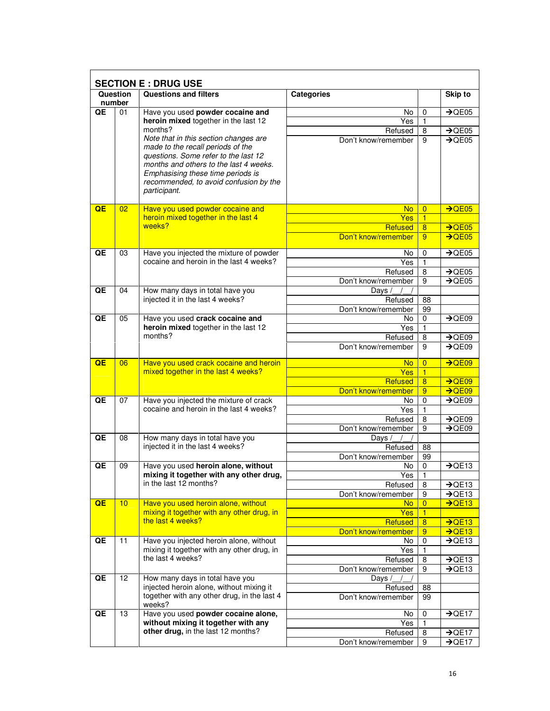|    |                    | <b>SECTION E: DRUG USE</b>                                                            |                                |                  |                    |
|----|--------------------|---------------------------------------------------------------------------------------|--------------------------------|------------------|--------------------|
|    | Question<br>number | <b>Questions and filters</b>                                                          | <b>Categories</b>              |                  | <b>Skip to</b>     |
| QE | 01                 | Have you used powder cocaine and                                                      | No.                            | 0                | $\rightarrow$ QE05 |
|    |                    | heroin mixed together in the last 12                                                  | Yes                            | 1                |                    |
|    |                    | months?                                                                               | Refused                        | 8                | $\rightarrow$ QE05 |
|    |                    | Note that in this section changes are<br>made to the recall periods of the            | Don't know/remember            | 9                | $\rightarrow$ QE05 |
|    |                    | questions. Some refer to the last 12                                                  |                                |                  |                    |
|    |                    | months and others to the last 4 weeks.                                                |                                |                  |                    |
|    |                    | Emphasising these time periods is                                                     |                                |                  |                    |
|    |                    | recommended, to avoid confusion by the<br>participant.                                |                                |                  |                    |
|    |                    |                                                                                       |                                |                  |                    |
| QE | 02 <sub>2</sub>    | Have you used powder cocaine and                                                      | No.                            | $\overline{0}$   | $\rightarrow$ QE05 |
|    |                    | heroin mixed together in the last 4                                                   | <b>Yes</b>                     | $\overline{1}$   |                    |
|    |                    | weeks?                                                                                | Refused                        | 8                | $\rightarrow$ QE05 |
|    |                    |                                                                                       | Don't know/remember            | 9                | $\rightarrow$ QE05 |
| QE | 03                 | Have you injected the mixture of powder                                               | No.                            | 0                | $\rightarrow$ QE05 |
|    |                    | cocaine and heroin in the last 4 weeks?                                               | Yes                            | 1                |                    |
|    |                    |                                                                                       | Refused                        | 8                | $\rightarrow$ QE05 |
|    |                    |                                                                                       | Don't know/remember            | 9                | $\rightarrow$ QE05 |
| QE | 04                 | How many days in total have you<br>injected it in the last 4 weeks?                   | Days /                         |                  |                    |
|    |                    |                                                                                       | Refused<br>Don't know/remember | 88<br>99         |                    |
| QE | 05                 | Have you used crack cocaine and                                                       | No.                            | 0                | $\rightarrow$ QE09 |
|    |                    | heroin mixed together in the last 12                                                  | Yes                            | 1                |                    |
|    |                    | months?                                                                               | Refused                        | 8                | $\rightarrow$ QE09 |
|    |                    |                                                                                       | Don't know/remember            | 9                | $\rightarrow$ QE09 |
| QE | 06                 | Have you used crack cocaine and heroin                                                | No                             | $\overline{0}$   | $\rightarrow$ QE09 |
|    |                    | mixed together in the last 4 weeks?                                                   | Yes                            | $\overline{1}$   |                    |
|    |                    |                                                                                       | Refused                        | 8                | $\rightarrow$ QE09 |
|    |                    |                                                                                       | Don't know/remember            | 9                | $\rightarrow$ QE09 |
| QE | 07                 | Have you injected the mixture of crack<br>cocaine and heroin in the last 4 weeks?     | No.                            | 0                | $\rightarrow$ QE09 |
|    |                    |                                                                                       | Yes<br>Refused                 | 1<br>8           | $\rightarrow$ QE09 |
|    |                    |                                                                                       | Don't know/remember            | 9                | $\rightarrow$ QE09 |
| QE | 08                 | How many days in total have you                                                       | Days                           |                  |                    |
|    |                    | injected it in the last 4 weeks?                                                      | Refused                        | 88               |                    |
|    |                    |                                                                                       | Don't know/remember            | 99               |                    |
| QE | 09                 | Have you used heroin alone, without                                                   | No                             | $\mathbf 0$      | $\rightarrow$ QE13 |
|    |                    | mixing it together with any other drug,<br>in the last 12 months?                     | Yes<br>Refused                 | 1<br>8           | $\rightarrow$ QE13 |
|    |                    |                                                                                       | Don't know/remember            | 9                | $\rightarrow$ QE13 |
| QE | 10                 | Have you used heroin alone, without                                                   | No.                            | $\overline{0}$   | $\rightarrow$ QE13 |
|    |                    | mixing it together with any other drug, in                                            | <b>Yes</b>                     | 1                |                    |
|    |                    | the last 4 weeks?                                                                     | Refused                        | 8                | $\rightarrow$ QE13 |
|    |                    |                                                                                       | Don't know/remember            | 9                | $\overline{)$ QE13 |
| QE | 11                 | Have you injected heroin alone, without<br>mixing it together with any other drug, in | No.<br>Yes                     | $\mathbf 0$<br>1 | $\rightarrow$ QE13 |
|    |                    | the last 4 weeks?                                                                     | Refused                        | 8                | $\rightarrow$ QE13 |
|    |                    |                                                                                       | Don't know/remember            | 9                | $\rightarrow$ QE13 |
| QE | 12                 | How many days in total have you                                                       | Days /                         |                  |                    |
|    |                    | injected heroin alone, without mixing it                                              | Refused                        | 88               |                    |
|    |                    | together with any other drug, in the last 4<br>weeks?                                 | Don't know/remember            | 99               |                    |
| QE | 13                 | Have you used powder cocaine alone,                                                   | No.                            | 0                | $\rightarrow$ QE17 |
|    |                    | without mixing it together with any                                                   | Yes                            | 1                |                    |
|    |                    | other drug, in the last 12 months?                                                    | Refused                        | 8                | $\rightarrow$ QE17 |
|    |                    |                                                                                       | Don't know/remember            | 9                | $\rightarrow$ QE17 |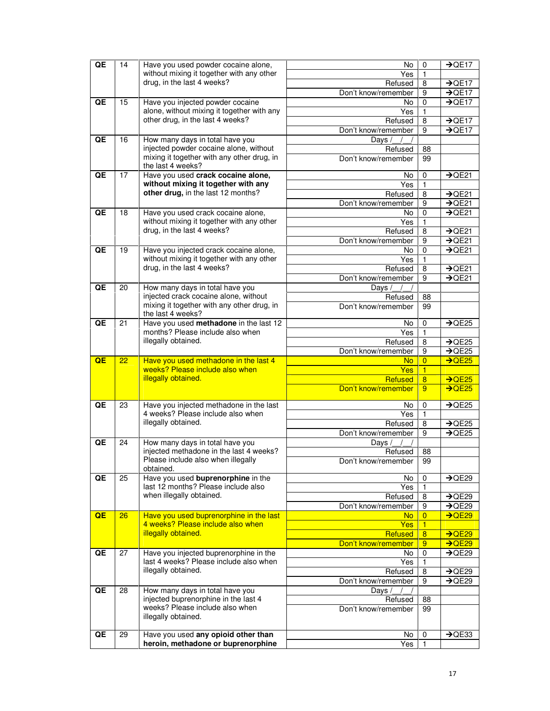| QE | 14 | Have you used powder cocaine alone,                                       | No                  | 0                       | $\rightarrow$ QE17 |
|----|----|---------------------------------------------------------------------------|---------------------|-------------------------|--------------------|
|    |    | without mixing it together with any other                                 | Yes                 | 1                       |                    |
|    |    | drug, in the last 4 weeks?                                                | Refused             | 8                       | $\rightarrow$ QE17 |
|    |    |                                                                           | Don't know/remember | 9                       | $\rightarrow$ QE17 |
| QE | 15 | Have you injected powder cocaine                                          | No.                 | 0                       | $\rightarrow$ QE17 |
|    |    | alone, without mixing it together with any                                | Yes                 | 1                       |                    |
|    |    | other drug, in the last 4 weeks?                                          | Refused             | 8                       | $\rightarrow$ QE17 |
|    |    |                                                                           | Don't know/remember | 9                       | $\rightarrow$ QE17 |
| QE | 16 | How many days in total have you                                           | Days /              |                         |                    |
|    |    | injected powder cocaine alone, without                                    | Refused             | 88                      |                    |
|    |    | mixing it together with any other drug, in                                | Don't know/remember | 99                      |                    |
|    |    | the last 4 weeks?                                                         |                     |                         |                    |
| QE | 17 | Have you used crack cocaine alone,                                        | No                  | 0                       | $\rightarrow$ QE21 |
|    |    | without mixing it together with any                                       | Yes                 | 1                       |                    |
|    |    | other drug, in the last 12 months?                                        | Refused             | 8                       | $\rightarrow$ QE21 |
|    |    |                                                                           | Don't know/remember | 9                       | $\rightarrow$ QE21 |
| QE | 18 | Have you used crack cocaine alone,                                        | No                  | 0                       | $\rightarrow$ QE21 |
|    |    | without mixing it together with any other                                 | Yes                 | 1                       |                    |
|    |    | drug, in the last 4 weeks?                                                | Refused             | 8                       | $\rightarrow$ QE21 |
|    |    |                                                                           | Don't know/remember | 9                       | $\rightarrow$ QE21 |
| QE | 19 | Have you injected crack cocaine alone,                                    | No                  | 0                       | $\rightarrow$ QE21 |
|    |    | without mixing it together with any other                                 | Yes                 | 1                       |                    |
|    |    | drug, in the last 4 weeks?                                                | Refused             | 8                       | $\rightarrow$ QE21 |
|    |    |                                                                           | Don't know/remember | 9                       | $\rightarrow$ QE21 |
| QE | 20 | How many days in total have you                                           | Days                |                         |                    |
|    |    | injected crack cocaine alone, without                                     | Refused             | 88                      |                    |
|    |    | mixing it together with any other drug, in                                | Don't know/remember | 99                      |                    |
|    |    | the last 4 weeks?                                                         |                     |                         |                    |
| QE | 21 | Have you used methadone in the last 12                                    | No                  | 0                       | $\rightarrow$ QE25 |
|    |    | months? Please include also when                                          | Yes                 | $\mathbf{1}$            |                    |
|    |    | illegally obtained.                                                       | Refused             | 8                       | $\rightarrow$ QE25 |
| QE | 22 |                                                                           | Don't know/remember | 9                       | $\overline{+$ QE25 |
|    |    |                                                                           |                     |                         |                    |
|    |    | Have you used methadone in the last 4                                     | No.                 | $\overline{0}$          | $\rightarrow$ QE25 |
|    |    | weeks? Please include also when                                           | Yes                 | $\overline{1}$          |                    |
|    |    | illegally obtained.                                                       | Refused             | $\overline{\mathbf{8}}$ | $\rightarrow$ QE25 |
|    |    |                                                                           | Don't know/remember | 9                       | $\rightarrow$ QE25 |
|    |    |                                                                           |                     |                         |                    |
| QE | 23 | Have you injected methadone in the last                                   | No                  | 0                       | $\rightarrow$ QE25 |
|    |    | 4 weeks? Please include also when                                         | Yes                 | 1                       |                    |
|    |    | illegally obtained.                                                       | Refused             | 8                       | $\rightarrow$ QE25 |
|    |    |                                                                           | Don't know/remember | 9                       | $\rightarrow$ QE25 |
| QE | 24 | How many days in total have you                                           | Days /              |                         |                    |
|    |    | injected methadone in the last 4 weeks?                                   | Refused             | 88                      |                    |
|    |    | Please include also when illegally<br>obtained.                           | Don't know/remember | 99                      |                    |
| QE | 25 | Have you used buprenorphine in the                                        | No                  | 0                       | $\rightarrow$ QE29 |
|    |    | last 12 months? Please include also                                       | Yes                 | 1                       |                    |
|    |    | when illegally obtained.                                                  | Refused             | 8                       | $\rightarrow$ QE29 |
|    |    |                                                                           | Don't know/remember | 9                       | $\rightarrow$ QE29 |
| QE | 26 | Have you used buprenorphine in the last                                   | No.                 | $\overline{0}$          | $\rightarrow$ QE29 |
|    |    | 4 weeks? Please include also when                                         | Yes:                | 1                       |                    |
|    |    | illegally obtained.                                                       | Refused             | $\overline{8}$          | $\rightarrow$ QE29 |
|    |    |                                                                           | Don't know/remember | 9                       | $\rightarrow$ QE29 |
| QE | 27 | Have you injected buprenorphine in the                                    | No.                 | $\mathbf 0$             | $\rightarrow$ QE29 |
|    |    | last 4 weeks? Please include also when                                    | Yes                 | 1                       |                    |
|    |    | illegally obtained.                                                       | Refused             | 8                       | $\rightarrow$ QE29 |
|    |    |                                                                           | Don't know/remember | 9                       | $\rightarrow$ QE29 |
| QE | 28 | How many days in total have you                                           | Days                |                         |                    |
|    |    | injected buprenorphine in the last 4                                      | Refused             | 88                      |                    |
|    |    | weeks? Please include also when                                           | Don't know/remember | 99                      |                    |
|    |    | illegally obtained.                                                       |                     |                         |                    |
|    |    |                                                                           |                     |                         |                    |
| QE | 29 | Have you used any opioid other than<br>heroin, methadone or buprenorphine | No.<br>Yes          | 0<br>1                  | $\rightarrow$ QE33 |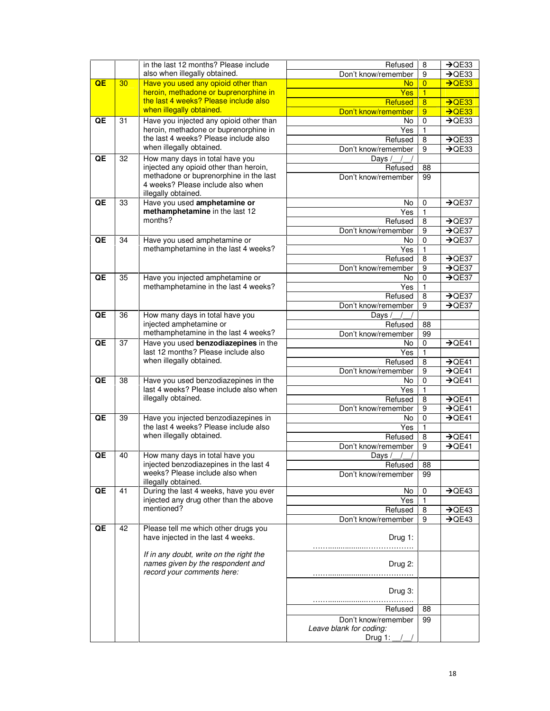|    |                 | in the last 12 months? Please include                                                                      | Refused                                          | 8              | $\rightarrow$ QE33 |
|----|-----------------|------------------------------------------------------------------------------------------------------------|--------------------------------------------------|----------------|--------------------|
|    |                 | also when illegally obtained.                                                                              | Don't know/remember                              | 9              | $\rightarrow$ QE33 |
| QE | 30 <sub>2</sub> | Have you used any opioid other than                                                                        | No.                                              | $\overline{0}$ | $\rightarrow$ QE33 |
|    |                 | heroin, methadone or buprenorphine in                                                                      | Yes                                              | $\overline{1}$ |                    |
|    |                 | the last 4 weeks? Please include also                                                                      | Refused                                          | $\overline{8}$ | $\rightarrow$ QE33 |
|    |                 | when illegally obtained.                                                                                   | Don't know/remember                              | 9              | $\rightarrow$ QE33 |
| QE | 31              | Have you injected any opioid other than                                                                    | No                                               | 0              | $\rightarrow$ QE33 |
|    |                 | heroin, methadone or buprenorphine in                                                                      | Yes                                              | 1              |                    |
|    |                 | the last 4 weeks? Please include also                                                                      | Refused                                          | 8              | $\rightarrow$ QE33 |
|    |                 | when illegally obtained.                                                                                   | Don't know/remember                              | 9              | $\rightarrow$ QE33 |
| QE | 32              | How many days in total have you                                                                            | Days                                             |                |                    |
|    |                 | injected any opioid other than heroin,<br>methadone or buprenorphine in the last                           | Refused                                          | 88             |                    |
|    |                 | 4 weeks? Please include also when                                                                          | Don't know/remember                              | 99             |                    |
|    |                 | illegally obtained.                                                                                        |                                                  |                |                    |
| QE | 33              | Have you used amphetamine or                                                                               | No                                               | $\mathbf 0$    | $\rightarrow$ QE37 |
|    |                 | methamphetamine in the last 12                                                                             | Yes                                              | 1              |                    |
|    |                 | months?                                                                                                    | Refused                                          | 8              | $\rightarrow$ QE37 |
|    |                 |                                                                                                            | Don't know/remember                              | 9              | $\rightarrow$ QE37 |
| QE | 34              | Have you used amphetamine or                                                                               | No                                               | $\mathbf 0$    | $\rightarrow$ QE37 |
|    |                 | methamphetamine in the last 4 weeks?                                                                       | Yes                                              | 1              |                    |
|    |                 |                                                                                                            | Refused                                          | 8              | $\rightarrow$ QE37 |
|    |                 |                                                                                                            | Don't know/remember                              | 9              | $\rightarrow$ QE37 |
| QE | 35              | Have you injected amphetamine or                                                                           | No                                               | 0              | $\rightarrow$ QE37 |
|    |                 | methamphetamine in the last 4 weeks?                                                                       | Yes                                              | 1              |                    |
|    |                 |                                                                                                            | Refused                                          | 8              | $\rightarrow$ QE37 |
|    |                 |                                                                                                            | Don't know/remember                              | 9              | $\rightarrow$ QE37 |
| QE | 36              | How many days in total have you                                                                            | Days /                                           |                |                    |
|    |                 | injected amphetamine or                                                                                    | Refused                                          | 88             |                    |
|    |                 | methamphetamine in the last 4 weeks?                                                                       | Don't know/remember                              | 99             |                    |
| QE | 37              | Have you used benzodiazepines in the<br>last 12 months? Please include also                                | No                                               | 0              | $\rightarrow$ QE41 |
|    |                 | when illegally obtained.                                                                                   | Yes<br>Refused                                   | 1<br>8         | $\rightarrow$ QE41 |
|    |                 |                                                                                                            | Don't know/remember                              | 9              | $\rightarrow$ QE41 |
| QE | 38              | Have you used benzodiazepines in the                                                                       | No                                               | 0              | $\rightarrow$ QE41 |
|    |                 | last 4 weeks? Please include also when                                                                     | Yes                                              | 1              |                    |
|    |                 | illegally obtained.                                                                                        | Refused                                          | 8              | $\rightarrow$ QE41 |
|    |                 |                                                                                                            | Don't know/remember                              | 9              | $\rightarrow$ QE41 |
| QE | 39              | Have you injected benzodiazepines in                                                                       | No.                                              | $\mathbf 0$    | $\rightarrow$ QE41 |
|    |                 | the last 4 weeks? Please include also                                                                      | Yes                                              | 1              |                    |
|    |                 | when illegally obtained.                                                                                   | Refused                                          | 8              | $\rightarrow$ QE41 |
|    |                 |                                                                                                            | Don't know/remember                              | 9              | $\rightarrow$ QE41 |
| QE | 40              | How many days in total have you                                                                            | Days $/\_/$                                      |                |                    |
|    |                 | injected benzodiazepines in the last 4                                                                     | Refused                                          | 88             |                    |
|    |                 | weeks? Please include also when<br>illegally obtained.                                                     | Don't know/remember                              | 99             |                    |
| QE | 41              | During the last 4 weeks, have you ever                                                                     | No.                                              | 0              | $\rightarrow$ QE43 |
|    |                 | injected any drug other than the above                                                                     | Yes                                              | 1              |                    |
|    |                 | mentioned?                                                                                                 | Refused                                          | 8              | $\rightarrow$ QE43 |
|    |                 |                                                                                                            | Don't know/remember                              | 9              | $\rightarrow$ QE43 |
| QE | 42              | Please tell me which other drugs you                                                                       |                                                  |                |                    |
|    |                 | have injected in the last 4 weeks.                                                                         | Drug 1:                                          |                |                    |
|    |                 | If in any doubt, write on the right the<br>names given by the respondent and<br>record your comments here: | Drug 2:                                          |                |                    |
|    |                 |                                                                                                            | Drug 3:                                          |                |                    |
|    |                 |                                                                                                            | Refused                                          | 88             |                    |
|    |                 |                                                                                                            | Don't know/remember                              | 99             |                    |
|    |                 |                                                                                                            | Leave blank for coding:<br>Drug 1: $\frac{1}{2}$ |                |                    |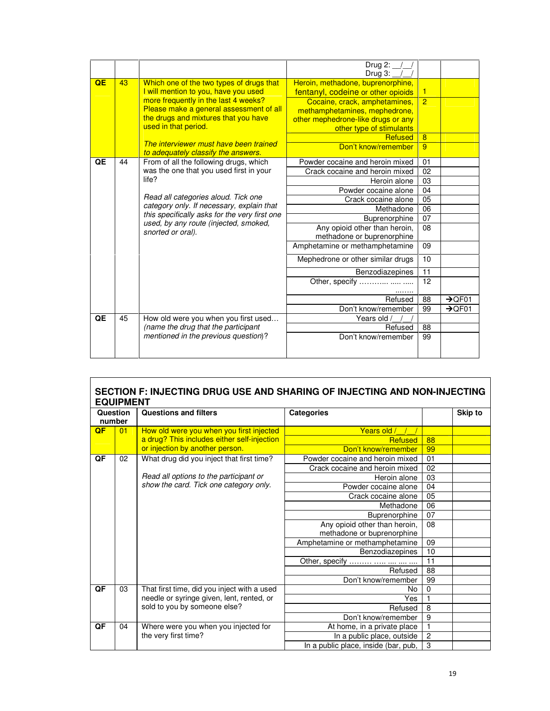|    |    |                                                                                        | Drug 2:                            |                |                    |
|----|----|----------------------------------------------------------------------------------------|------------------------------------|----------------|--------------------|
|    |    |                                                                                        | Drug 3:                            |                |                    |
| QE | 43 | Which one of the two types of drugs that                                               | Heroin, methadone, buprenorphine,  |                |                    |
|    |    | I will mention to you, have you used                                                   | fentanyl, codeine or other opioids | 1              |                    |
|    |    | more frequently in the last 4 weeks?                                                   | Cocaine, crack, amphetamines,      | $\overline{P}$ |                    |
|    |    | Please make a general assessment of all                                                | methamphetamines, mephedrone,      |                |                    |
|    |    | the drugs and mixtures that you have                                                   | other mephedrone-like drugs or any |                |                    |
|    |    | used in that period.                                                                   | other type of stimulants           |                |                    |
|    |    |                                                                                        | <b>Refused</b>                     | 8              |                    |
|    |    | The interviewer must have been trained                                                 | Don't know/remember                | 9              |                    |
|    |    | to adequately classify the answers.                                                    |                                    |                |                    |
| QE | 44 | From of all the following drugs, which                                                 | Powder cocaine and heroin mixed    | 01             |                    |
|    |    | was the one that you used first in your                                                | Crack cocaine and heroin mixed     | 02             |                    |
|    |    | life?                                                                                  | Heroin alone                       | 03             |                    |
|    |    |                                                                                        | Powder cocaine alone               | 04             |                    |
|    |    | Read all categories aloud. Tick one                                                    | Crack cocaine alone                | 05             |                    |
|    |    | category only. If necessary, explain that                                              | Methadone                          | 06             |                    |
|    |    | this specifically asks for the very first one<br>used, by any route (injected, smoked, | Buprenorphine                      | 07             |                    |
|    |    | snorted or oral).                                                                      | Any opioid other than heroin,      | 08             |                    |
|    |    |                                                                                        | methadone or buprenorphine         |                |                    |
|    |    |                                                                                        | Amphetamine or methamphetamine     | 09             |                    |
|    |    |                                                                                        | Mephedrone or other similar drugs  | 10             |                    |
|    |    |                                                                                        | Benzodiazepines                    | 11             |                    |
|    |    |                                                                                        | Other, specify                     | 12             |                    |
|    |    |                                                                                        | Refused                            | 88             | $\rightarrow$ QF01 |
|    |    |                                                                                        | Don't know/remember                | 99             | $\rightarrow$ QF01 |
| QE | 45 | How old were you when you first used                                                   | Years old <sub>/</sub>             |                |                    |
|    |    | (name the drug that the participant                                                    | Refused                            | 88             |                    |
|    |    | mentioned in the previous question)?                                                   | Don't know/remember                | 99             |                    |
|    |    |                                                                                        |                                    |                |                    |

| SECTION F: INJECTING DRUG USE AND SHARING OF INJECTING AND NON-INJECTING |
|--------------------------------------------------------------------------|
| <b>EQUIPMENT</b>                                                         |

|        | ו יושויו וישר<br>Question<br><b>Questions and filters</b><br><b>Categories</b><br><b>Skip to</b> |                                                                                         |                                      |                |  |  |  |  |
|--------|--------------------------------------------------------------------------------------------------|-----------------------------------------------------------------------------------------|--------------------------------------|----------------|--|--|--|--|
| number |                                                                                                  |                                                                                         |                                      |                |  |  |  |  |
| QF     | 01                                                                                               |                                                                                         |                                      |                |  |  |  |  |
|        |                                                                                                  | How old were you when you first injected<br>a drug? This includes either self-injection | Years old /                          |                |  |  |  |  |
|        |                                                                                                  | or injection by another person.                                                         | <b>Refused</b>                       | 88             |  |  |  |  |
|        |                                                                                                  |                                                                                         | Don't know/remember                  | 99             |  |  |  |  |
| QF     | 02                                                                                               | What drug did you inject that first time?                                               | Powder cocaine and heroin mixed      | 01             |  |  |  |  |
|        |                                                                                                  |                                                                                         | Crack cocaine and heroin mixed       | 02             |  |  |  |  |
|        |                                                                                                  | Read all options to the participant or                                                  | Heroin alone                         | 03             |  |  |  |  |
|        |                                                                                                  | show the card. Tick one category only.                                                  | Powder cocaine alone                 | 04             |  |  |  |  |
|        |                                                                                                  |                                                                                         | Crack cocaine alone                  | 05             |  |  |  |  |
|        |                                                                                                  |                                                                                         | Methadone                            | 06             |  |  |  |  |
|        |                                                                                                  |                                                                                         | Buprenorphine                        | 07             |  |  |  |  |
|        |                                                                                                  |                                                                                         | Any opioid other than heroin,        | 08             |  |  |  |  |
|        |                                                                                                  |                                                                                         | methadone or buprenorphine           |                |  |  |  |  |
|        |                                                                                                  |                                                                                         | Amphetamine or methamphetamine       | 09             |  |  |  |  |
|        |                                                                                                  |                                                                                         | Benzodiazepines                      | 10             |  |  |  |  |
|        |                                                                                                  |                                                                                         | Other, specify                       | 11             |  |  |  |  |
|        |                                                                                                  |                                                                                         | Refused                              | 88             |  |  |  |  |
|        |                                                                                                  |                                                                                         | Don't know/remember                  | 99             |  |  |  |  |
| QF     | 03                                                                                               | That first time, did you inject with a used                                             | No                                   | $\Omega$       |  |  |  |  |
|        |                                                                                                  | needle or syringe given, lent, rented, or                                               | Yes                                  |                |  |  |  |  |
|        |                                                                                                  | sold to you by someone else?                                                            | Refused                              | 8              |  |  |  |  |
|        |                                                                                                  |                                                                                         | Don't know/remember                  | 9              |  |  |  |  |
| QF     | 04                                                                                               | Where were you when you injected for                                                    | At home, in a private place          | 1              |  |  |  |  |
|        |                                                                                                  | the very first time?                                                                    | In a public place, outside           | $\overline{c}$ |  |  |  |  |
|        |                                                                                                  |                                                                                         | In a public place, inside (bar, pub, | 3              |  |  |  |  |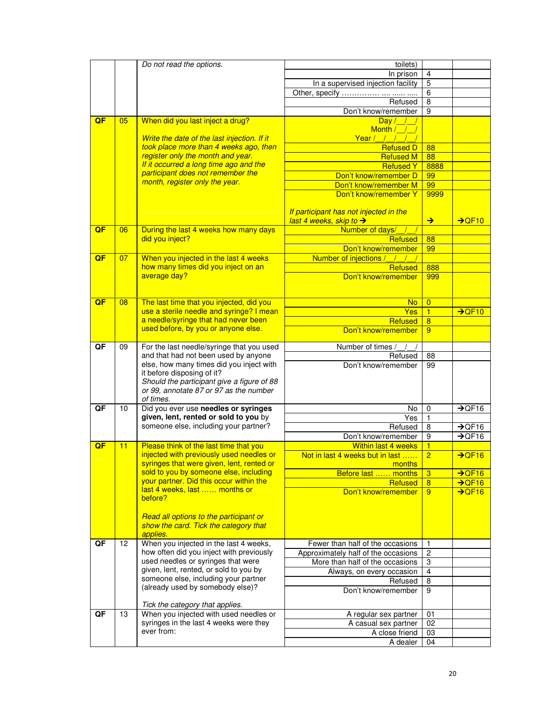|    |    | Do not read the options.                                               | toilets)                               |                |                    |
|----|----|------------------------------------------------------------------------|----------------------------------------|----------------|--------------------|
|    |    |                                                                        | In prison                              | $\overline{4}$ |                    |
|    |    |                                                                        | In a supervised injection facility     | $\overline{5}$ |                    |
|    |    |                                                                        | Other, specify                         | 6              |                    |
|    |    |                                                                        | Refused                                | 8              |                    |
|    |    |                                                                        | Don't know/remember                    | 9              |                    |
| QF | 05 | When did you last inject a drug?                                       | $\overline{Day}/$                      |                |                    |
|    |    |                                                                        | Month / /                              |                |                    |
|    |    | Write the date of the last injection. If it                            | Year / / /                             |                |                    |
|    |    | took place more than 4 weeks ago, then                                 | <b>Refused D</b>                       | 88             |                    |
|    |    | register only the month and year.                                      | <b>Refused M</b>                       | 88             |                    |
|    |    | If it occurred a long time ago and the                                 | <b>Refused Y</b>                       | 8888           |                    |
|    |    | participant does not remember the                                      | Don't know/remember D                  | 99             |                    |
|    |    | month, register only the year.                                         | Don't know/remember M                  | 99             |                    |
|    |    |                                                                        | Don't know/remember Y                  | 9999           |                    |
|    |    |                                                                        |                                        |                |                    |
|    |    |                                                                        | If participant has not injected in the |                |                    |
|    |    |                                                                        | last 4 weeks, skip to $\rightarrow$    | $\rightarrow$  | $\rightarrow$ QF10 |
| QF | 06 | During the last 4 weeks how many days                                  | Number of days/                        |                |                    |
|    |    | did you inject?                                                        | <b>Refused</b>                         | 88             |                    |
|    |    |                                                                        | Don't know/remember                    | 99             |                    |
| QF | 07 | When you injected in the last 4 weeks                                  | Number of injections /                 |                |                    |
|    |    | how many times did you inject on an                                    | <b>Refused</b>                         | 888            |                    |
|    |    | average day?                                                           | Don't know/remember                    | 999            |                    |
|    |    |                                                                        |                                        |                |                    |
|    |    |                                                                        |                                        |                |                    |
| QF | 08 | The last time that you injected, did you                               | <b>No</b>                              | $\overline{0}$ |                    |
|    |    | use a sterile needle and syringe? I mean                               | Yes                                    | $\overline{1}$ | $\rightarrow$ QF10 |
|    |    | a needle/syringe that had never been                                   | <b>Refused</b>                         | $\overline{8}$ |                    |
|    |    | used before, by you or anyone else.                                    | Don't know/remember                    | 9              |                    |
|    |    |                                                                        |                                        |                |                    |
| QF | 09 | For the last needle/syringe that you used                              | Number of times                        |                |                    |
|    |    | and that had not been used by anyone                                   | Refused                                | 88             |                    |
|    |    | else, how many times did you inject with<br>it before disposing of it? | Don't know/remember                    | 99             |                    |
|    |    | Should the participant give a figure of 88                             |                                        |                |                    |
|    |    | or 99, annotate 87 or 97 as the number                                 |                                        |                |                    |
|    |    | of times.                                                              |                                        |                |                    |
| QF | 10 | Did you ever use needles or syringes                                   | No                                     | $\mathbf 0$    | $\rightarrow$ QF16 |
|    |    | given, lent, rented or sold to you by                                  | Yes                                    | 1              |                    |
|    |    | someone else, including your partner?                                  | Refused                                | 8              | $\rightarrow$ QF16 |
|    |    |                                                                        | Don't know/remember                    | 9              | $\rightarrow$ QF16 |
| QF | 11 | Please think of the last time that you                                 | <b>Within last 4 weeks</b>             | 1              |                    |
|    |    | injected with previously used needles or                               | Not in last 4 weeks but in last        | $\overline{2}$ | $\rightarrow$ QF16 |
|    |    | syringes that were given, lent, rented or                              | months                                 |                |                    |
|    |    | sold to you by someone else, including                                 | Before last  months                    | 3              | $\rightarrow$ QF16 |
|    |    | your partner. Did this occur within the                                | <b>Refused</b>                         | 8              | $\rightarrow$ QF16 |
|    |    | last 4 weeks, last  months or                                          | Don't know/remember                    | 9              | $\rightarrow$ QF16 |
|    |    | before?                                                                |                                        |                |                    |
|    |    |                                                                        |                                        |                |                    |
|    |    | Read all options to the participant or                                 |                                        |                |                    |
|    |    | show the card. Tick the category that                                  |                                        |                |                    |
| QF | 12 | applies.<br>When you injected in the last 4 weeks,                     | Fewer than half of the occasions       | 1              |                    |
|    |    | how often did you inject with previously                               | Approximately half of the occasions    | $\overline{c}$ |                    |
|    |    | used needles or syringes that were                                     | More than half of the occasions        | 3              |                    |
|    |    | given, lent, rented, or sold to you by                                 | Always, on every occasion              | 4              |                    |
|    |    | someone else, including your partner                                   | Refused                                | 8              |                    |
|    |    | (already used by somebody else)?                                       | Don't know/remember                    | 9              |                    |
|    |    |                                                                        |                                        |                |                    |
|    |    | Tick the category that applies.                                        |                                        |                |                    |
| QF | 13 | When you injected with used needles or                                 | A regular sex partner                  | 01             |                    |
|    |    | syringes in the last 4 weeks were they                                 | A casual sex partner                   | 02             |                    |
|    |    | ever from:                                                             | A close friend                         | 03             |                    |
|    |    |                                                                        | A dealer                               | 04             |                    |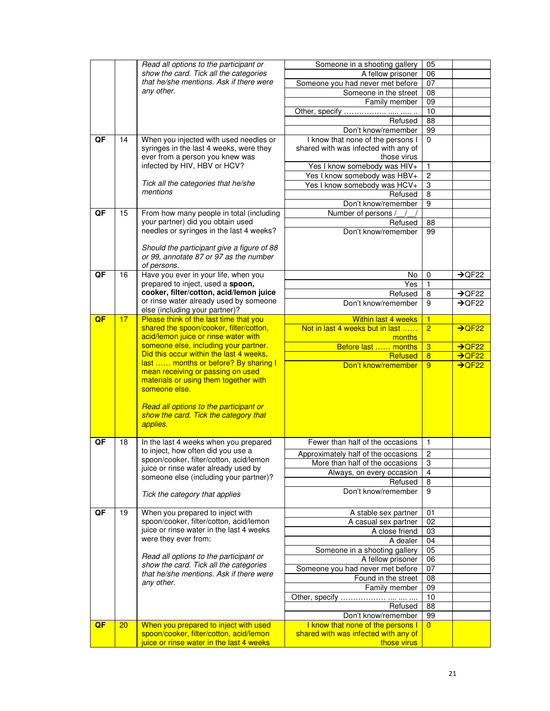|    |    | Read all options to the participant or                                               | Someone in a shooting gallery                                             | 05             |                    |
|----|----|--------------------------------------------------------------------------------------|---------------------------------------------------------------------------|----------------|--------------------|
|    |    | show the card. Tick all the categories                                               | A fellow prisoner                                                         | 06             |                    |
|    |    | that he/she mentions. Ask if there were                                              | Someone you had never met before                                          | 07             |                    |
|    |    | any other.                                                                           | Someone in the street                                                     | 08             |                    |
|    |    |                                                                                      | Family member                                                             | 09             |                    |
|    |    |                                                                                      |                                                                           | 10             |                    |
|    |    |                                                                                      | Refused                                                                   | 88             |                    |
|    |    |                                                                                      | Don't know/remember                                                       | 99             |                    |
| QF | 14 | When you injected with used needles or                                               | I know that none of the persons I                                         | $\Omega$       |                    |
|    |    | syringes in the last 4 weeks, were they                                              | shared with was infected with any of                                      |                |                    |
|    |    | ever from a person you knew was                                                      | those virus                                                               |                |                    |
|    |    | infected by HIV, HBV or HCV?                                                         | Yes I know somebody was HIV+                                              | 1              |                    |
|    |    |                                                                                      | Yes I know somebody was HBV+                                              | $\overline{c}$ |                    |
|    |    | Tick all the categories that he/she<br>mentions                                      | Yes I know somebody was HCV+                                              | 3              |                    |
|    |    |                                                                                      | Refused                                                                   | 8              |                    |
|    |    |                                                                                      | Don't know/remember                                                       | 9              |                    |
| QF | 15 | From how many people in total (including                                             | Number of persons                                                         |                |                    |
|    |    | your partner) did you obtain used                                                    | Refused                                                                   | 88             |                    |
|    |    | needles or syringes in the last 4 weeks?                                             | Don't know/remember                                                       | 99             |                    |
|    |    |                                                                                      |                                                                           |                |                    |
|    |    | Should the participant give a figure of 88<br>or 99, annotate 87 or 97 as the number |                                                                           |                |                    |
|    |    | of persons.                                                                          |                                                                           |                |                    |
| QF | 16 | Have you ever in your life, when you                                                 | No                                                                        | 0              | $\rightarrow$ QF22 |
|    |    | prepared to inject, used a spoon,                                                    | Yes                                                                       | 1              |                    |
|    |    | cooker, filter/cotton, acid/lemon juice                                              | Refused                                                                   | 8              | $\rightarrow$ QF22 |
|    |    | or rinse water already used by someone                                               | Don't know/remember                                                       | 9              | $\rightarrow$ QF22 |
|    |    | else (including your partner)?                                                       |                                                                           |                |                    |
| QF | 17 | Please think of the last time that you                                               | <b>Within last 4 weeks</b>                                                | 1              |                    |
|    |    | shared the spoon/cooker, filter/cotton,                                              | Not in last 4 weeks but in last                                           | $\overline{2}$ | $\rightarrow$ QF22 |
|    |    | acid/lemon juice or rinse water with                                                 | months                                                                    |                |                    |
|    |    | someone else, including your partner.                                                | Before last  months                                                       | 3              | $\rightarrow$ QF22 |
|    |    | Did this occur within the last 4 weeks,                                              | <b>Refused</b>                                                            | 8              | $\rightarrow$ QF22 |
|    |    | last  months or before? By sharing I                                                 | Don't know/remember                                                       | 9              | $\rightarrow$ QF22 |
|    |    | mean receiving or passing on used<br>materials or using them together with           |                                                                           |                |                    |
|    |    | someone else.                                                                        |                                                                           |                |                    |
|    |    |                                                                                      |                                                                           |                |                    |
|    |    | Read all options to the participant or                                               |                                                                           |                |                    |
|    |    | show the card. Tick the category that                                                |                                                                           |                |                    |
|    |    | applies.                                                                             |                                                                           |                |                    |
|    |    |                                                                                      |                                                                           |                |                    |
| QF | 18 | In the last 4 weeks when you prepared                                                | Fewer than half of the occasions                                          | 1              |                    |
|    |    | to inject, how often did you use a                                                   | Approximately half of the occasions                                       | 2              |                    |
|    |    | spoon/cooker, filter/cotton, acid/lemon                                              | More than half of the occasions                                           | 3              |                    |
|    |    | juice or rinse water already used by                                                 | Always, on every occasion                                                 | 4              |                    |
|    |    | someone else (including your partner)?                                               | Refused                                                                   | 8              |                    |
|    |    |                                                                                      | Don't know/remember                                                       | 9              |                    |
|    |    | Tick the category that applies                                                       |                                                                           |                |                    |
| QF | 19 | When you prepared to inject with                                                     | A stable sex partner                                                      | 01             |                    |
|    |    | spoon/cooker, filter/cotton, acid/lemon                                              | A casual sex partner                                                      | 02             |                    |
|    |    | juice or rinse water in the last 4 weeks                                             | A close friend                                                            | 03             |                    |
|    |    | were they ever from:                                                                 | A dealer                                                                  | 04             |                    |
|    |    |                                                                                      | Someone in a shooting gallery                                             | 05             |                    |
|    |    | Read all options to the participant or                                               | A fellow prisoner                                                         | 06             |                    |
|    |    | show the card. Tick all the categories                                               | Someone you had never met before                                          | 07             |                    |
|    |    | that he/she mentions. Ask if there were                                              | Found in the street                                                       | 08             |                    |
|    |    | any other.                                                                           | Family member                                                             | 09             |                    |
|    |    |                                                                                      | Other, specify                                                            | 10             |                    |
|    |    |                                                                                      | Refused                                                                   | 88             |                    |
|    |    |                                                                                      | Don't know/remember                                                       | 99             |                    |
| QF |    |                                                                                      |                                                                           | $\overline{0}$ |                    |
|    | 20 |                                                                                      |                                                                           |                |                    |
|    |    | When you prepared to inject with used<br>spoon/cooker, filter/cotton, acid/lemon     | I know that none of the persons I<br>shared with was infected with any of |                |                    |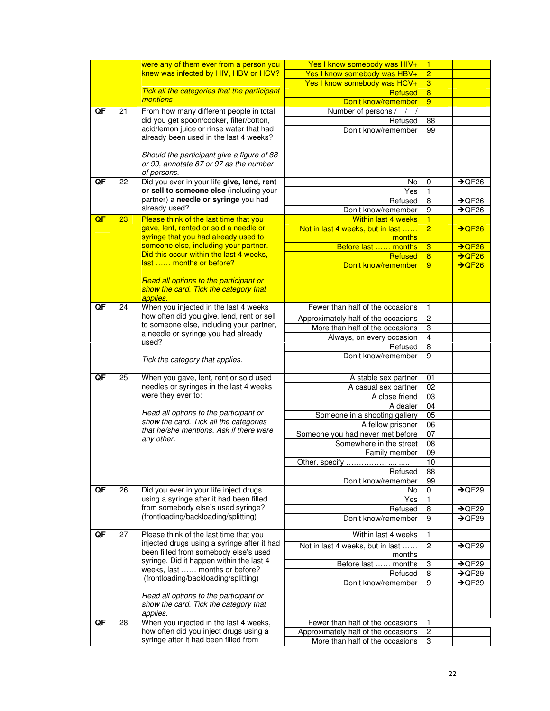|    |    | were any of them ever from a person you               | Yes I know somebody was HIV+                                           | $\overline{1}$ |                    |
|----|----|-------------------------------------------------------|------------------------------------------------------------------------|----------------|--------------------|
|    |    | knew was infected by HIV, HBV or HCV?                 | Yes I know somebody was HBV+                                           | $\overline{2}$ |                    |
|    |    |                                                       | Yes I know somebody was HCV+                                           | $\overline{3}$ |                    |
|    |    | Tick all the categories that the participant          | Refused                                                                | $\overline{8}$ |                    |
|    |    | mentions                                              | Don't know/remember                                                    | 9              |                    |
| QF | 21 | From how many different people in total               | Number of persons                                                      |                |                    |
|    |    | did you get spoon/cooker, filter/cotton,              | Refused                                                                | 88             |                    |
|    |    | acid/lemon juice or rinse water that had              | Don't know/remember                                                    | 99             |                    |
|    |    | already been used in the last 4 weeks?                |                                                                        |                |                    |
|    |    |                                                       |                                                                        |                |                    |
|    |    | Should the participant give a figure of 88            |                                                                        |                |                    |
|    |    | or 99, annotate 87 or 97 as the number<br>of persons. |                                                                        |                |                    |
| QF | 22 | Did you ever in your life give, lend, rent            | No                                                                     | 0              | $\rightarrow$ QF26 |
|    |    | or sell to someone else (including your               | Yes                                                                    | 1              |                    |
|    |    | partner) a needle or syringe you had                  | Refused                                                                | 8              | $\rightarrow$ QF26 |
|    |    | already used?                                         | Don't know/remember                                                    | 9              | $\rightarrow$ QF26 |
| QF | 23 | Please think of the last time that you                | <b>Within last 4 weeks</b>                                             | $\overline{1}$ |                    |
|    |    | gave, lent, rented or sold a needle or                | Not in last 4 weeks, but in last                                       | $\overline{2}$ | $\rightarrow$ QF26 |
|    |    | syringe that you had already used to                  | months                                                                 |                |                    |
|    |    | someone else, including your partner.                 | Before last  months                                                    | $\overline{3}$ | $\rightarrow$ QF26 |
|    |    | Did this occur within the last 4 weeks,               | Refused                                                                | $\overline{8}$ | $\rightarrow$ QF26 |
|    |    | last  months or before?                               | Don't know/remember                                                    | 9              | $\rightarrow$ QF26 |
|    |    |                                                       |                                                                        |                |                    |
|    |    | Read all options to the participant or                |                                                                        |                |                    |
|    |    | show the card. Tick the category that<br>applies.     |                                                                        |                |                    |
| QF | 24 | When you injected in the last 4 weeks                 | Fewer than half of the occasions                                       | 1              |                    |
|    |    | how often did you give, lend, rent or sell            |                                                                        |                |                    |
|    |    | to someone else, including your partner,              | Approximately half of the occasions<br>More than half of the occasions | 2<br>3         |                    |
|    |    | a needle or syringe you had already                   | Always, on every occasion                                              | $\overline{4}$ |                    |
|    |    | used?                                                 | Refused                                                                | 8              |                    |
|    |    |                                                       | Don't know/remember                                                    | 9              |                    |
|    |    | Tick the category that applies.                       |                                                                        |                |                    |
| QF | 25 | When you gave, lent, rent or sold used                | A stable sex partner                                                   | 01             |                    |
|    |    | needles or syringes in the last 4 weeks               | A casual sex partner                                                   | 02             |                    |
|    |    | were they ever to:                                    | A close friend                                                         | 03             |                    |
|    |    |                                                       | A dealer                                                               | 04             |                    |
|    |    | Read all options to the participant or                | Someone in a shooting gallery                                          | 05             |                    |
|    |    | show the card. Tick all the categories                | A fellow prisoner                                                      | 06             |                    |
|    |    | that he/she mentions. Ask if there were               | Someone you had never met before                                       | 07             |                    |
|    |    | any other.                                            | Somewhere in the street                                                | 08             |                    |
|    |    |                                                       | Family member                                                          | 09             |                    |
|    |    |                                                       | Other, specify                                                         | 10             |                    |
|    |    |                                                       | Refused                                                                | 88             |                    |
|    |    |                                                       | Don't know/remember                                                    | 99             |                    |
| QF | 26 | Did you ever in your life inject drugs                | No                                                                     | 0              | $\rightarrow$ QF29 |
|    |    | using a syringe after it had been filled              | Yes                                                                    | $\mathbf{1}$   |                    |
|    |    | from somebody else's used syringe?                    | Refused                                                                | 8              | $\rightarrow$ QF29 |
|    |    | (frontloading/backloading/splitting)                  | Don't know/remember                                                    | 9              | $\rightarrow$ QF29 |
| QF | 27 | Please think of the last time that you                | Within last 4 weeks                                                    | 1              |                    |
|    |    | injected drugs using a syringe after it had           |                                                                        | $\overline{c}$ | $\rightarrow$ QF29 |
|    |    | been filled from somebody else's used                 | Not in last 4 weeks, but in last<br>months                             |                |                    |
|    |    | syringe. Did it happen within the last 4              | Before last  months                                                    | 3              | $\rightarrow$ QF29 |
|    |    | weeks, last  months or before?                        | Refused                                                                | 8              | $\rightarrow$ QF29 |
|    |    | (frontloading/backloading/splitting)                  | Don't know/remember                                                    | 9              | $\rightarrow$ QF29 |
|    |    |                                                       |                                                                        |                |                    |
|    |    | Read all options to the participant or                |                                                                        |                |                    |
|    |    | show the card. Tick the category that                 |                                                                        |                |                    |
| QF | 28 | applies.<br>When you injected in the last 4 weeks,    | Fewer than half of the occasions                                       | 1              |                    |
|    |    | how often did you inject drugs using a                | Approximately half of the occasions                                    | 2              |                    |
|    |    | syringe after it had been filled from                 | More than half of the occasions                                        | 3              |                    |
|    |    |                                                       |                                                                        |                |                    |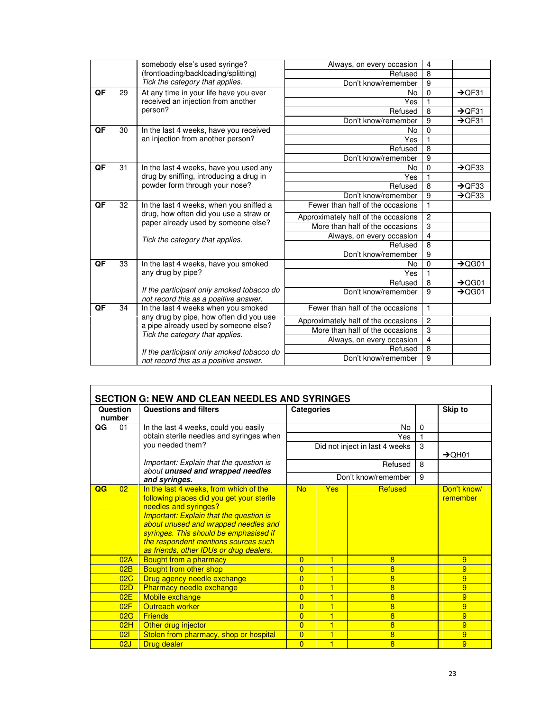|                          |    | somebody else's used syringe?                                                      | Always, on every occasion           | $\overline{4}$ |                    |
|--------------------------|----|------------------------------------------------------------------------------------|-------------------------------------|----------------|--------------------|
|                          |    | (frontloading/backloading/splitting)                                               | Refused                             | $\overline{8}$ |                    |
|                          |    | Tick the category that applies.                                                    | Don't know/remember                 | 9              |                    |
| QF                       | 29 | At any time in your life have you ever                                             | No                                  | $\mathbf 0$    | $\rightarrow$ QF31 |
|                          |    | received an injection from another                                                 | Yes                                 |                |                    |
|                          |    | person?                                                                            | Refused                             | 8              | $\rightarrow$ QF31 |
|                          |    |                                                                                    | Don't know/remember                 | 9              | $\rightarrow$ QF31 |
| $\overline{\mathsf{QF}}$ | 30 | In the last 4 weeks, have you received                                             | No                                  | $\overline{0}$ |                    |
|                          |    | an injection from another person?                                                  | Yes                                 | 1              |                    |
|                          |    |                                                                                    | Refused                             | 8              |                    |
|                          |    |                                                                                    | Don't know/remember                 | 9              |                    |
| QF                       | 31 | In the last 4 weeks, have you used any                                             | No                                  | $\mathbf 0$    | $\rightarrow$ QF33 |
|                          |    | drug by sniffing, introducing a drug in                                            | Yes                                 | 1              |                    |
|                          |    | powder form through your nose?                                                     | Refused                             | 8              | $\rightarrow$ QF33 |
|                          |    |                                                                                    | Don't know/remember                 | 9              | $\rightarrow$ QF33 |
| QF                       | 32 | In the last 4 weeks, when you sniffed a                                            | Fewer than half of the occasions    | 1              |                    |
|                          |    | drug, how often did you use a straw or<br>paper already used by someone else?      | Approximately half of the occasions | $\overline{2}$ |                    |
|                          |    |                                                                                    | More than half of the occasions     | 3              |                    |
|                          |    | Tick the category that applies.                                                    | Always, on every occasion           | 4              |                    |
|                          |    |                                                                                    | Refused                             | 8              |                    |
|                          |    |                                                                                    | Don't know/remember                 | 9              |                    |
| QF                       | 33 | In the last 4 weeks, have you smoked                                               | No                                  | $\mathbf 0$    | $\rightarrow$ QG01 |
|                          |    | any drug by pipe?                                                                  | Yes                                 | 1              |                    |
|                          |    |                                                                                    | Refused                             | 8              | $\rightarrow$ QG01 |
|                          |    | If the participant only smoked tobacco do<br>not record this as a positive answer. | Don't know/remember                 | 9              | $\rightarrow$ QG01 |
| QF                       | 34 | In the last 4 weeks when you smoked                                                | Fewer than half of the occasions    | 1              |                    |
|                          |    | any drug by pipe, how often did you use<br>a pipe already used by someone else?    | Approximately half of the occasions | $\overline{c}$ |                    |
|                          |    | Tick the category that applies.                                                    | More than half of the occasions     | 3              |                    |
|                          |    |                                                                                    | Always, on every occasion           | $\overline{4}$ |                    |
|                          |    | If the participant only smoked tobacco do                                          | Refused                             | $\overline{8}$ |                    |
|                          |    | not record this as a positive answer.                                              | Don't know/remember                 | 9              |                    |
|                          |    |                                                                                    |                                     |                |                    |

|    | Question<br>number | <b>Questions and filters</b>                                                                                                                                                                                                                                                                                                        | <b>Categories</b> |     |                                |          | Skip to                 |
|----|--------------------|-------------------------------------------------------------------------------------------------------------------------------------------------------------------------------------------------------------------------------------------------------------------------------------------------------------------------------------|-------------------|-----|--------------------------------|----------|-------------------------|
| QG | 01                 | In the last 4 weeks, could you easily                                                                                                                                                                                                                                                                                               |                   |     | No                             | $\Omega$ |                         |
|    |                    | obtain sterile needles and syringes when                                                                                                                                                                                                                                                                                            |                   |     | Yes                            |          |                         |
|    |                    | you needed them?                                                                                                                                                                                                                                                                                                                    |                   |     | Did not inject in last 4 weeks | 3        | $\rightarrow$ QH01      |
|    |                    | Important: Explain that the question is<br>about unused and wrapped needles                                                                                                                                                                                                                                                         |                   |     | Refused                        | 8        |                         |
|    |                    | and syringes.                                                                                                                                                                                                                                                                                                                       |                   |     | Don't know/remember            | 9        |                         |
| QG | 02                 | In the last 4 weeks, from which of the<br>following places did you get your sterile<br>needles and syringes?<br><b>Important: Explain that the question is</b><br>about unused and wrapped needles and<br>syringes. This should be emphasised if<br>the respondent mentions sources such<br>as friends, other IDUs or drug dealers. | <b>No</b>         | Yes | Refused                        |          | Don't know/<br>remember |
|    | 02A                | Bought from a pharmacy                                                                                                                                                                                                                                                                                                              | $\overline{0}$    | 1   | 8                              |          | 9                       |
|    | 02B                | Bought from other shop                                                                                                                                                                                                                                                                                                              | $\overline{0}$    | 1   | 8                              |          | 9                       |
|    | 02C                | Drug agency needle exchange                                                                                                                                                                                                                                                                                                         | $\overline{0}$    |     | 8                              |          | 9                       |
|    | 02D                | Pharmacy needle exchange                                                                                                                                                                                                                                                                                                            | $\overline{0}$    | 1   | 8                              |          | 9                       |
|    | 02E                | Mobile exchange                                                                                                                                                                                                                                                                                                                     | $\overline{0}$    |     | 8                              |          | 9                       |
|    | 02F                | Outreach worker                                                                                                                                                                                                                                                                                                                     | $\overline{0}$    |     | 8                              |          | 9                       |
|    | 02G                | <b>Friends</b>                                                                                                                                                                                                                                                                                                                      | $\overline{0}$    | 1   | 8                              |          | 9                       |
|    | 02H                | Other drug injector                                                                                                                                                                                                                                                                                                                 | $\overline{0}$    | 1   | 8                              |          | 9                       |
|    | 021                | Stolen from pharmacy, shop or hospital                                                                                                                                                                                                                                                                                              | $\overline{0}$    | 1   | 8                              |          | 9                       |
|    | 02J                | Drug dealer                                                                                                                                                                                                                                                                                                                         | $\overline{0}$    | 1   | 8                              |          | 9                       |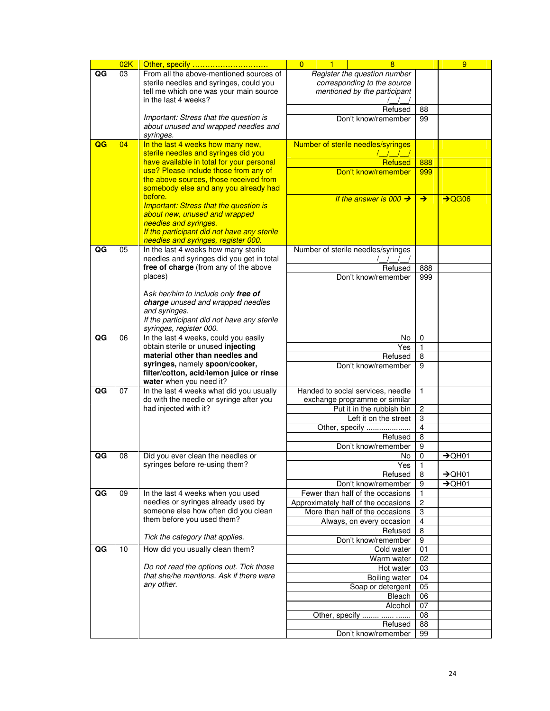|    | 02K | Other, specify                                                                     | $\overline{0}$<br>$\blacksquare$<br>8 |    |         |                                                              |                           | 9                  |
|----|-----|------------------------------------------------------------------------------------|---------------------------------------|----|---------|--------------------------------------------------------------|---------------------------|--------------------|
| QG | 03  | From all the above-mentioned sources of                                            |                                       |    |         | Register the question number                                 |                           |                    |
|    |     | sterile needles and syringes, could you                                            |                                       |    |         | corresponding to the source                                  |                           |                    |
|    |     | tell me which one was your main source<br>in the last 4 weeks?                     |                                       |    |         | mentioned by the participant                                 |                           |                    |
|    |     |                                                                                    |                                       |    |         | Refused                                                      | 88                        |                    |
|    |     | Important: Stress that the question is                                             |                                       |    |         | Don't know/remember                                          | 99                        |                    |
|    |     | about unused and wrapped needles and                                               |                                       |    |         |                                                              |                           |                    |
|    |     | syringes.                                                                          |                                       |    |         |                                                              |                           |                    |
| QG | 04  | In the last 4 weeks how many new,                                                  |                                       |    |         | Number of sterile needles/syringes                           |                           |                    |
|    |     | sterile needles and syringes did you<br>have available in total for your personal  |                                       |    |         |                                                              |                           |                    |
|    |     | use? Please include those from any of                                              | <b>Refused</b><br>Don't know/remember |    |         |                                                              | 888<br>999                |                    |
|    |     | the above sources, those received from                                             |                                       |    |         |                                                              |                           |                    |
|    |     | somebody else and any you already had                                              |                                       |    |         |                                                              |                           |                    |
|    |     | before.                                                                            |                                       |    |         | If the answer is 000 $\rightarrow$                           | $\rightarrow$             | $\rightarrow$ QG06 |
|    |     | <b>Important: Stress that the question is</b>                                      |                                       |    |         |                                                              |                           |                    |
|    |     | about new, unused and wrapped<br>needles and syringes.                             |                                       |    |         |                                                              |                           |                    |
|    |     | If the participant did not have any sterile                                        |                                       |    |         |                                                              |                           |                    |
|    |     | needles and syringes, register 000.                                                |                                       |    |         |                                                              |                           |                    |
| QG | 05  | In the last 4 weeks how many sterile                                               | Number of sterile needles/syringes    |    |         |                                                              |                           |                    |
|    |     | needles and syringes did you get in total<br>free of charge (from any of the above |                                       |    |         |                                                              |                           |                    |
|    |     | places)                                                                            |                                       |    |         | Refused<br>Don't know/remember                               | 888<br>999                |                    |
|    |     |                                                                                    |                                       |    |         |                                                              |                           |                    |
|    |     | Ask her/him to include only free of                                                |                                       |    |         |                                                              |                           |                    |
|    |     | charge unused and wrapped needles                                                  |                                       |    |         |                                                              |                           |                    |
|    |     | and syringes.                                                                      |                                       |    |         |                                                              |                           |                    |
|    |     | If the participant did not have any sterile<br>syringes, register 000.             |                                       |    |         |                                                              |                           |                    |
| QG | 06  | In the last 4 weeks, could you easily                                              |                                       | No |         |                                                              | $\mathbf 0$               |                    |
|    |     | obtain sterile or unused injecting                                                 |                                       |    |         | Yes                                                          | 1                         |                    |
|    |     | material other than needles and                                                    |                                       |    | Refused | 8                                                            |                           |                    |
|    |     | syringes, namely spoon/cooker,                                                     |                                       |    |         | Don't know/remember                                          | 9                         |                    |
|    |     | filter/cotton, acid/lemon juice or rinse<br>water when you need it?                |                                       |    |         |                                                              |                           |                    |
| QG | 07  | In the last 4 weeks what did you usually                                           |                                       |    |         | Handed to social services, needle                            | $\mathbf{1}$              |                    |
|    |     | do with the needle or syringe after you                                            |                                       |    |         | exchange programme or similar                                |                           |                    |
|    |     | had injected with it?                                                              |                                       |    |         | Put it in the rubbish bin                                    | $\overline{c}$            |                    |
|    |     |                                                                                    |                                       |    |         | Left it on the street                                        | $\ensuremath{\mathsf{3}}$ |                    |
|    |     |                                                                                    |                                       |    |         | Other, specify                                               | $\overline{\mathbf{4}}$   |                    |
|    |     |                                                                                    |                                       |    |         | Refused<br>Don't know/remember                               | 8<br>9                    |                    |
| QG | 08  | Did you ever clean the needles or                                                  |                                       |    |         | No                                                           | 0                         | $\rightarrow$ QH01 |
|    |     | syringes before re-using them?                                                     |                                       |    |         | Yes                                                          | 1                         |                    |
|    |     |                                                                                    |                                       |    |         | Refused                                                      | 8                         | $\rightarrow$ QH01 |
|    |     |                                                                                    |                                       |    |         | Don't know/remember                                          | 9                         | $\rightarrow$ QH01 |
| QG | 09  | In the last 4 weeks when you used                                                  |                                       |    |         | Fewer than half of the occasions                             | 1                         |                    |
|    |     | needles or syringes already used by<br>someone else how often did you clean        |                                       |    |         | Approximately half of the occasions                          | 2                         |                    |
|    |     | them before you used them?                                                         |                                       |    |         | More than half of the occasions<br>Always, on every occasion | 3<br>4                    |                    |
|    |     |                                                                                    |                                       |    |         | Refused                                                      | $\overline{8}$            |                    |
|    |     | Tick the category that applies.                                                    |                                       |    |         | Don't know/remember                                          | 9                         |                    |
| QG | 10  | How did you usually clean them?                                                    |                                       |    |         | Cold water                                                   | $\overline{01}$           |                    |
|    |     |                                                                                    |                                       |    |         | Warm water                                                   | 02                        |                    |
|    |     | Do not read the options out. Tick those                                            |                                       |    |         | Hot water                                                    | 03                        |                    |
|    |     | that she/he mentions. Ask if there were<br>any other.                              |                                       |    |         | <b>Boiling water</b>                                         | 04                        |                    |
|    |     |                                                                                    |                                       |    |         | Soap or detergent                                            | 05                        |                    |
|    |     |                                                                                    |                                       |    |         | Bleach<br>Alcohol                                            | $\overline{06}$<br>07     |                    |
|    |     |                                                                                    |                                       |    |         | Other, specify                                               | 08                        |                    |
|    |     |                                                                                    |                                       |    |         | Refused                                                      | 88                        |                    |
|    |     |                                                                                    |                                       |    |         | Don't know/remember                                          | 99                        |                    |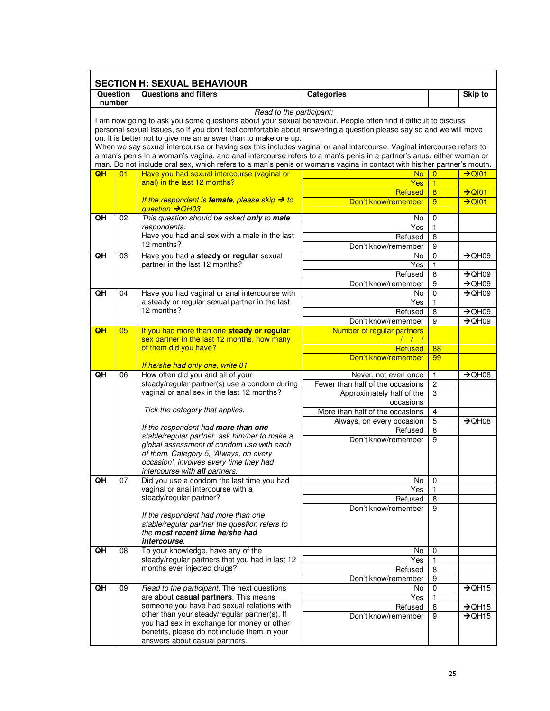|                    | <b>SECTION H: SEXUAL BEHAVIOUR</b> |                                                                                                                                                                                                                                                                                                                                                                                                                                           |                                                   |                     |                                          |  |  |  |
|--------------------|------------------------------------|-------------------------------------------------------------------------------------------------------------------------------------------------------------------------------------------------------------------------------------------------------------------------------------------------------------------------------------------------------------------------------------------------------------------------------------------|---------------------------------------------------|---------------------|------------------------------------------|--|--|--|
| Question<br>number |                                    | <b>Questions and filters</b>                                                                                                                                                                                                                                                                                                                                                                                                              | <b>Categories</b>                                 |                     | Skip to                                  |  |  |  |
|                    |                                    | Read to the participant:<br>I am now going to ask you some questions about your sexual behaviour. People often find it difficult to discuss<br>personal sexual issues, so if you don't feel comfortable about answering a question please say so and we will move                                                                                                                                                                         |                                                   |                     |                                          |  |  |  |
|                    |                                    | on. It is better not to give me an answer than to make one up.<br>When we say sexual intercourse or having sex this includes vaginal or anal intercourse. Vaginal intercourse refers to<br>a man's penis in a woman's vagina, and anal intercourse refers to a man's penis in a partner's anus, either woman or<br>man. Do not include oral sex, which refers to a man's penis or woman's vagina in contact with his/her partner's mouth. |                                                   |                     |                                          |  |  |  |
| QH                 | 01                                 | Have you had sexual intercourse (vaginal or                                                                                                                                                                                                                                                                                                                                                                                               | <b>No</b>                                         | $\overline{0}$      | $\rightarrow$ QI01                       |  |  |  |
|                    |                                    | anal) in the last 12 months?                                                                                                                                                                                                                                                                                                                                                                                                              | Yes<br>Refused                                    | 1<br>$\overline{8}$ | $\rightarrow$ QI01                       |  |  |  |
|                    |                                    | If the respondent is female, please skip $\rightarrow$ to<br>question → QH03                                                                                                                                                                                                                                                                                                                                                              | Don't know/remember                               | 9                   | $\rightarrow$ QI01                       |  |  |  |
| QH                 | 02                                 | This question should be asked only to male                                                                                                                                                                                                                                                                                                                                                                                                | No                                                | 0                   |                                          |  |  |  |
|                    |                                    | respondents:<br>Have you had anal sex with a male in the last                                                                                                                                                                                                                                                                                                                                                                             | Yes<br>Refused                                    | 1<br>8              |                                          |  |  |  |
|                    |                                    | 12 months?                                                                                                                                                                                                                                                                                                                                                                                                                                | Don't know/remember                               | 9                   |                                          |  |  |  |
| QH                 | 03                                 | Have you had a steady or regular sexual                                                                                                                                                                                                                                                                                                                                                                                                   | No                                                | 0                   | $\rightarrow$ QH09                       |  |  |  |
|                    |                                    | partner in the last 12 months?                                                                                                                                                                                                                                                                                                                                                                                                            | $\overline{Yes}$                                  | 1                   |                                          |  |  |  |
|                    |                                    |                                                                                                                                                                                                                                                                                                                                                                                                                                           | Refused<br>Don't know/remember                    | 8<br>9              | $\rightarrow$ QH09<br>$\rightarrow$ QH09 |  |  |  |
| QH                 | 04                                 | Have you had vaginal or anal intercourse with                                                                                                                                                                                                                                                                                                                                                                                             | No                                                | $\mathbf 0$         | $\rightarrow$ QH09                       |  |  |  |
|                    |                                    | a steady or regular sexual partner in the last                                                                                                                                                                                                                                                                                                                                                                                            | Yes                                               | 1                   |                                          |  |  |  |
|                    |                                    | 12 months?                                                                                                                                                                                                                                                                                                                                                                                                                                | Refused                                           | 8                   | $\rightarrow$ QH09                       |  |  |  |
| QH                 | 05                                 | If you had more than one steady or regular                                                                                                                                                                                                                                                                                                                                                                                                | Don't know/remember<br>Number of regular partners | 9                   | $\rightarrow$ QH09                       |  |  |  |
|                    |                                    | sex partner in the last 12 months, how many                                                                                                                                                                                                                                                                                                                                                                                               |                                                   |                     |                                          |  |  |  |
|                    |                                    | of them did you have?                                                                                                                                                                                                                                                                                                                                                                                                                     | Refused                                           | 88                  |                                          |  |  |  |
|                    |                                    | If he/she had only one, write 01                                                                                                                                                                                                                                                                                                                                                                                                          | Don't know/remember                               | 99                  |                                          |  |  |  |
| QH                 | 06                                 | How often did you and all of your                                                                                                                                                                                                                                                                                                                                                                                                         | Never, not even once                              | 1                   | $\rightarrow$ QH08                       |  |  |  |
|                    |                                    | steady/regular partner(s) use a condom during                                                                                                                                                                                                                                                                                                                                                                                             | Fewer than half of the occasions                  | 2                   |                                          |  |  |  |
|                    |                                    | vaginal or anal sex in the last 12 months?                                                                                                                                                                                                                                                                                                                                                                                                | Approximately half of the                         | $\overline{3}$      |                                          |  |  |  |
|                    |                                    | Tick the category that applies.                                                                                                                                                                                                                                                                                                                                                                                                           | occasions<br>More than half of the occasions      | 4                   |                                          |  |  |  |
|                    |                                    |                                                                                                                                                                                                                                                                                                                                                                                                                                           | Always, on every occasion                         | 5                   | $\rightarrow$ QH08                       |  |  |  |
|                    |                                    | If the respondent had more than one<br>stable/regular partner, ask him/her to make a                                                                                                                                                                                                                                                                                                                                                      | Refused                                           | 8                   |                                          |  |  |  |
|                    |                                    | global assessment of condom use with each                                                                                                                                                                                                                                                                                                                                                                                                 | Don't know/remember                               | 9                   |                                          |  |  |  |
|                    |                                    | of them. Category 5, 'Always, on every                                                                                                                                                                                                                                                                                                                                                                                                    |                                                   |                     |                                          |  |  |  |
|                    |                                    | occasion', involves every time they had<br>intercourse with all partners.                                                                                                                                                                                                                                                                                                                                                                 |                                                   |                     |                                          |  |  |  |
| QH                 | 07                                 | Did you use a condom the last time you had                                                                                                                                                                                                                                                                                                                                                                                                | No                                                | $\pmb{0}$           |                                          |  |  |  |
|                    |                                    | vaginal or anal intercourse with a                                                                                                                                                                                                                                                                                                                                                                                                        | Yes                                               | 1                   |                                          |  |  |  |
|                    |                                    | steady/regular partner?                                                                                                                                                                                                                                                                                                                                                                                                                   | Refused                                           | 8                   |                                          |  |  |  |
|                    |                                    | If the respondent had more than one                                                                                                                                                                                                                                                                                                                                                                                                       | Don't know/remember                               | 9                   |                                          |  |  |  |
|                    |                                    | stable/regular partner the question refers to                                                                                                                                                                                                                                                                                                                                                                                             |                                                   |                     |                                          |  |  |  |
|                    |                                    | the most recent time he/she had<br>intercourse.                                                                                                                                                                                                                                                                                                                                                                                           |                                                   |                     |                                          |  |  |  |
| QH                 | 08                                 | To your knowledge, have any of the                                                                                                                                                                                                                                                                                                                                                                                                        | No                                                | 0                   |                                          |  |  |  |
|                    |                                    | steady/regular partners that you had in last 12                                                                                                                                                                                                                                                                                                                                                                                           | Yes                                               | 1                   |                                          |  |  |  |
|                    |                                    | months ever injected drugs?                                                                                                                                                                                                                                                                                                                                                                                                               | Refused                                           | 8                   |                                          |  |  |  |
| QH                 | 09                                 | Read to the participant: The next questions                                                                                                                                                                                                                                                                                                                                                                                               | Don't know/remember<br>No                         | 9<br>0              | $\rightarrow$ QH15                       |  |  |  |
|                    |                                    | are about casual partners. This means                                                                                                                                                                                                                                                                                                                                                                                                     | Yes                                               | 1                   |                                          |  |  |  |
|                    |                                    | someone you have had sexual relations with                                                                                                                                                                                                                                                                                                                                                                                                | Refused                                           | 8                   | $\rightarrow$ QH15                       |  |  |  |
|                    |                                    | other than your steady/regular partner(s). If<br>you had sex in exchange for money or other                                                                                                                                                                                                                                                                                                                                               | Don't know/remember                               | 9                   | $\rightarrow$ QH15                       |  |  |  |
|                    |                                    | benefits, please do not include them in your                                                                                                                                                                                                                                                                                                                                                                                              |                                                   |                     |                                          |  |  |  |
|                    |                                    | answers about casual partners.                                                                                                                                                                                                                                                                                                                                                                                                            |                                                   |                     |                                          |  |  |  |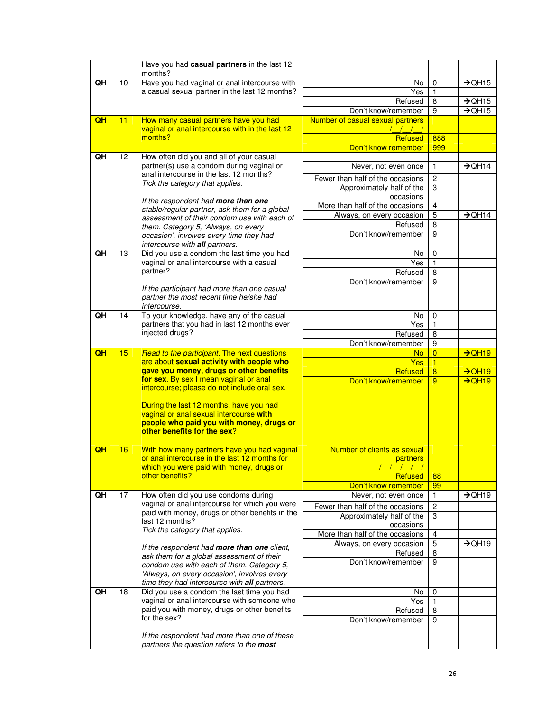|    |                 | Have you had casual partners in the last 12<br>months?                                                                                                                                                                                                                                                                                          |                                              |                |                    |
|----|-----------------|-------------------------------------------------------------------------------------------------------------------------------------------------------------------------------------------------------------------------------------------------------------------------------------------------------------------------------------------------|----------------------------------------------|----------------|--------------------|
| QH | 10              | Have you had vaginal or anal intercourse with                                                                                                                                                                                                                                                                                                   | No                                           | 0              | $\rightarrow$ QH15 |
|    |                 | a casual sexual partner in the last 12 months?                                                                                                                                                                                                                                                                                                  | Yes                                          | $\mathbf{1}$   |                    |
|    |                 |                                                                                                                                                                                                                                                                                                                                                 | Refused                                      | 8              | $\rightarrow$ QH15 |
|    |                 |                                                                                                                                                                                                                                                                                                                                                 | Don't know/remember                          | 9              | $\rightarrow$ QH15 |
| QH | 11              | How many casual partners have you had<br>vaginal or anal intercourse with in the last 12                                                                                                                                                                                                                                                        | Number of casual sexual partners<br>1111     |                |                    |
|    |                 | months?                                                                                                                                                                                                                                                                                                                                         | <b>Refused</b>                               | 888            |                    |
|    |                 |                                                                                                                                                                                                                                                                                                                                                 | Don't know remember                          | 999            |                    |
| QH | 12              | How often did you and all of your casual                                                                                                                                                                                                                                                                                                        |                                              |                |                    |
|    |                 | partner(s) use a condom during vaginal or<br>anal intercourse in the last 12 months?                                                                                                                                                                                                                                                            | Never, not even once                         | $\mathbf{1}$   | $\rightarrow$ QH14 |
|    |                 | Tick the category that applies.                                                                                                                                                                                                                                                                                                                 | Fewer than half of the occasions             | $\overline{c}$ |                    |
|    |                 |                                                                                                                                                                                                                                                                                                                                                 | Approximately half of the                    | 3              |                    |
|    |                 | If the respondent had more than one                                                                                                                                                                                                                                                                                                             | occasions                                    |                |                    |
|    |                 | stable/regular partner, ask them for a global                                                                                                                                                                                                                                                                                                   | More than half of the occasions              | 4<br>5         | $\rightarrow$ QH14 |
|    |                 | assessment of their condom use with each of                                                                                                                                                                                                                                                                                                     | Always, on every occasion<br>Refused         | 8              |                    |
|    |                 | them. Category 5, 'Always, on every                                                                                                                                                                                                                                                                                                             | Don't know/remember                          | 9              |                    |
|    |                 | occasion', involves every time they had<br>intercourse with all partners.                                                                                                                                                                                                                                                                       |                                              |                |                    |
| QH | 13              | Did you use a condom the last time you had                                                                                                                                                                                                                                                                                                      | No                                           | 0              |                    |
|    |                 | vaginal or anal intercourse with a casual                                                                                                                                                                                                                                                                                                       | Yes                                          | 1              |                    |
|    |                 | partner?                                                                                                                                                                                                                                                                                                                                        | Refused                                      | 8              |                    |
|    |                 |                                                                                                                                                                                                                                                                                                                                                 | Don't know/remember                          | 9              |                    |
|    |                 | If the participant had more than one casual                                                                                                                                                                                                                                                                                                     |                                              |                |                    |
|    |                 | partner the most recent time he/she had<br>intercourse.                                                                                                                                                                                                                                                                                         |                                              |                |                    |
| QH | 14              | To your knowledge, have any of the casual                                                                                                                                                                                                                                                                                                       | No                                           | 0              |                    |
|    |                 | partners that you had in last 12 months ever                                                                                                                                                                                                                                                                                                    | $\overline{Yes}$                             | 1              |                    |
|    | injected drugs? |                                                                                                                                                                                                                                                                                                                                                 | Refused                                      | 8              |                    |
|    |                 |                                                                                                                                                                                                                                                                                                                                                 | Don't know/remember                          | 9              |                    |
| QH | 15              | Read to the participant: The next questions                                                                                                                                                                                                                                                                                                     | <b>No</b>                                    | $\overline{0}$ | $\rightarrow$ QH19 |
|    |                 | are about sexual activity with people who<br>gave you money, drugs or other benefits<br>for sex. By sex I mean vaginal or anal<br>intercourse; please do not include oral sex.<br>During the last 12 months, have you had<br>vaginal or anal sexual intercourse with<br>people who paid you with money, drugs or<br>other benefits for the sex? | Yes                                          | $\blacksquare$ |                    |
|    |                 |                                                                                                                                                                                                                                                                                                                                                 | Refused                                      | $\overline{8}$ | $\rightarrow$ QH19 |
|    |                 |                                                                                                                                                                                                                                                                                                                                                 | Don't know/remember                          | 9              | $\rightarrow$ QH19 |
|    |                 |                                                                                                                                                                                                                                                                                                                                                 |                                              |                |                    |
|    |                 |                                                                                                                                                                                                                                                                                                                                                 |                                              |                |                    |
|    |                 |                                                                                                                                                                                                                                                                                                                                                 |                                              |                |                    |
|    |                 |                                                                                                                                                                                                                                                                                                                                                 |                                              |                |                    |
|    |                 |                                                                                                                                                                                                                                                                                                                                                 |                                              |                |                    |
| QH | 16              | With how many partners have you had vaginal                                                                                                                                                                                                                                                                                                     | Number of clients as sexual                  |                |                    |
|    |                 | or anal intercourse in the last 12 months for                                                                                                                                                                                                                                                                                                   | partners                                     |                |                    |
|    |                 | which you were paid with money, drugs or                                                                                                                                                                                                                                                                                                        | 1111                                         |                |                    |
|    |                 | other benefits?                                                                                                                                                                                                                                                                                                                                 | <b>Refused</b>                               | 88             |                    |
|    |                 |                                                                                                                                                                                                                                                                                                                                                 | Don't know remember                          | 99             |                    |
| QH | 17              | How often did you use condoms during<br>vaginal or anal intercourse for which you were                                                                                                                                                                                                                                                          | Never, not even once                         | 1              | $\rightarrow$ QH19 |
|    |                 | paid with money, drugs or other benefits in the                                                                                                                                                                                                                                                                                                 | Fewer than half of the occasions             | 2              |                    |
|    |                 | last 12 months?                                                                                                                                                                                                                                                                                                                                 | Approximately half of the                    | 3              |                    |
|    |                 | Tick the category that applies.                                                                                                                                                                                                                                                                                                                 | occasions<br>More than half of the occasions | 4              |                    |
|    |                 |                                                                                                                                                                                                                                                                                                                                                 | Always, on every occasion                    | 5              | $\rightarrow$ QH19 |
|    |                 | If the respondent had more than one client,<br>ask them for a global assessment of their                                                                                                                                                                                                                                                        | Refused                                      | 8              |                    |
|    |                 | condom use with each of them. Category 5,                                                                                                                                                                                                                                                                                                       | Don't know/remember                          | 9              |                    |
|    |                 | 'Always, on every occasion', involves every                                                                                                                                                                                                                                                                                                     |                                              |                |                    |
|    |                 | time they had intercourse with all partners.                                                                                                                                                                                                                                                                                                    |                                              |                |                    |
| QH | 18              | Did you use a condom the last time you had                                                                                                                                                                                                                                                                                                      | No                                           | $\mathbf 0$    |                    |
|    |                 | vaginal or anal intercourse with someone who                                                                                                                                                                                                                                                                                                    | Yes                                          | 1              |                    |
|    |                 | paid you with money, drugs or other benefits<br>for the sex?                                                                                                                                                                                                                                                                                    | Refused                                      | 8              |                    |
|    |                 |                                                                                                                                                                                                                                                                                                                                                 | Don't know/remember                          | 9              |                    |
|    |                 |                                                                                                                                                                                                                                                                                                                                                 |                                              |                |                    |
|    |                 | If the respondent had more than one of these                                                                                                                                                                                                                                                                                                    |                                              |                |                    |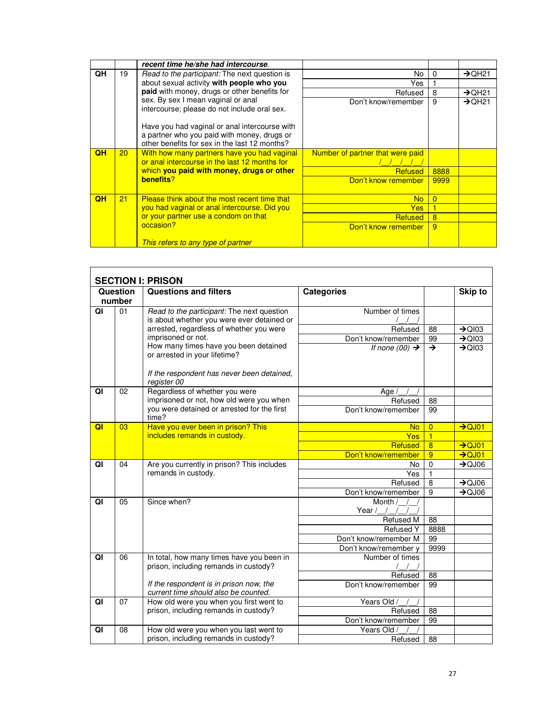|                |                 | recent time he/she had intercourse.                                                                                                                    |                                  |          |                                |
|----------------|-----------------|--------------------------------------------------------------------------------------------------------------------------------------------------------|----------------------------------|----------|--------------------------------|
| QH             | 19              | <i>Read to the participant:</i> The next question is                                                                                                   | No                               | $\Omega$ | $\rightarrow$ QH21             |
|                |                 | about sexual activity with people who you                                                                                                              | Yes                              |          |                                |
|                |                 | paid with money, drugs or other benefits for                                                                                                           | Refused                          | 8        | $\rightarrow$ QH21             |
|                |                 | sex. By sex I mean vaginal or anal                                                                                                                     | Don't know/remember              | 9        | $\rightarrow$ OH <sub>21</sub> |
|                |                 | intercourse; please do not include oral sex.                                                                                                           |                                  |          |                                |
|                |                 | Have you had vaginal or anal intercourse with                                                                                                          |                                  |          |                                |
|                |                 | a partner who you paid with money, drugs or                                                                                                            |                                  |          |                                |
|                |                 | other benefits for sex in the last 12 months?                                                                                                          |                                  |          |                                |
| QH             | 20 <sup>2</sup> | With how many partners have you had vaginal<br>or anal intercourse in the last 12 months for<br>which you paid with money, drugs or other<br>benefits? | Number of partner that were paid |          |                                |
|                |                 |                                                                                                                                                        |                                  |          |                                |
|                |                 |                                                                                                                                                        | Refused                          | 8888     |                                |
|                |                 |                                                                                                                                                        | Don't know remember              | 9999     |                                |
|                |                 |                                                                                                                                                        |                                  |          |                                |
| O <sub>H</sub> | 21              | Please think about the most recent time that                                                                                                           | <b>No</b>                        | $\Omega$ |                                |
|                |                 | you had vaginal or anal intercourse. Did you                                                                                                           | Yes                              |          |                                |
|                |                 | or your partner use a condom on that                                                                                                                   | <b>Refused</b>                   | 8        |                                |
|                |                 | occasion?                                                                                                                                              | Don't know remember              | 9        |                                |
|                |                 | This refers to any type of partner                                                                                                                     |                                  |          |                                |
|                |                 |                                                                                                                                                        |                                  |          |                                |

|    | Question                                             | <b>SECTION I: PRISON</b><br><b>Questions and filters</b>                                 | <b>Categories</b>          |                | Skip to            |
|----|------------------------------------------------------|------------------------------------------------------------------------------------------|----------------------------|----------------|--------------------|
|    | number                                               |                                                                                          |                            |                |                    |
| QI | 01                                                   | Read to the participant: The next question<br>is about whether you were ever detained or | Number of times            |                |                    |
|    |                                                      | arrested, regardless of whether you were                                                 | Refused                    | 88             | $\rightarrow$ QI03 |
|    |                                                      | imprisoned or not.                                                                       | Don't know/remember        | 99             | $\rightarrow$ QI03 |
|    |                                                      | How many times have you been detained<br>or arrested in your lifetime?                   | If none $(00) \rightarrow$ | $\rightarrow$  | $\rightarrow$ QI03 |
|    |                                                      | If the respondent has never been detained,<br>register 00                                |                            |                |                    |
| QI | 02                                                   | Regardless of whether you were                                                           | Age $/$                    |                |                    |
|    |                                                      | imprisoned or not, how old were you when                                                 | Refused                    | 88             |                    |
|    | you were detained or arrested for the first<br>time? |                                                                                          | Don't know/remember        | 99             |                    |
| QI | 03                                                   | Have you ever been in prison? This                                                       | <b>No</b>                  | $\overline{0}$ | $\rightarrow$ QJ01 |
|    |                                                      | includes remands in custody.                                                             | Yes                        | $\overline{1}$ |                    |
|    |                                                      |                                                                                          | Refused                    | $\overline{8}$ | $\rightarrow$ QJ01 |
|    |                                                      |                                                                                          | Don't know/remember        | 9              | $\rightarrow$ QJ01 |
| QI | 04                                                   | Are you currently in prison? This includes                                               | No                         | $\mathbf 0$    | $\rightarrow$ QJ06 |
|    |                                                      | remands in custody.                                                                      | Yes                        | $\mathbf{1}$   |                    |
|    |                                                      |                                                                                          | Refused                    | 8              | $\rightarrow$ QJ06 |
|    |                                                      |                                                                                          | Don't know/remember        | 9              | $\rightarrow$ QJ06 |
| QI | 05                                                   | Since when?                                                                              | Month /                    |                |                    |
|    |                                                      |                                                                                          | Year /                     | 88             |                    |
|    |                                                      |                                                                                          | Refused M<br>Refused Y     | 8888           |                    |
|    |                                                      |                                                                                          | Don't know/remember M      | 99             |                    |
|    |                                                      |                                                                                          | Don't know/remember y      | 9999           |                    |
| QI | 06                                                   | In total, how many times have you been in                                                | Number of times            |                |                    |
|    |                                                      | prison, including remands in custody?                                                    |                            |                |                    |
|    |                                                      |                                                                                          | Refused                    | 88             |                    |
|    |                                                      | If the respondent is in prison now, the<br>current time should also be counted.          | Don't know/remember        | 99             |                    |
| QI | 07                                                   | How old were you when you first went to                                                  | Years Old /                |                |                    |
|    |                                                      | prison, including remands in custody?                                                    | Refused                    | 88             |                    |
|    |                                                      |                                                                                          | Don't know/remember        | 99             |                    |
| QI | 08                                                   | How old were you when you last went to                                                   | Years Old /                |                |                    |
|    |                                                      | prison, including remands in custody?                                                    | Refused                    | 88             |                    |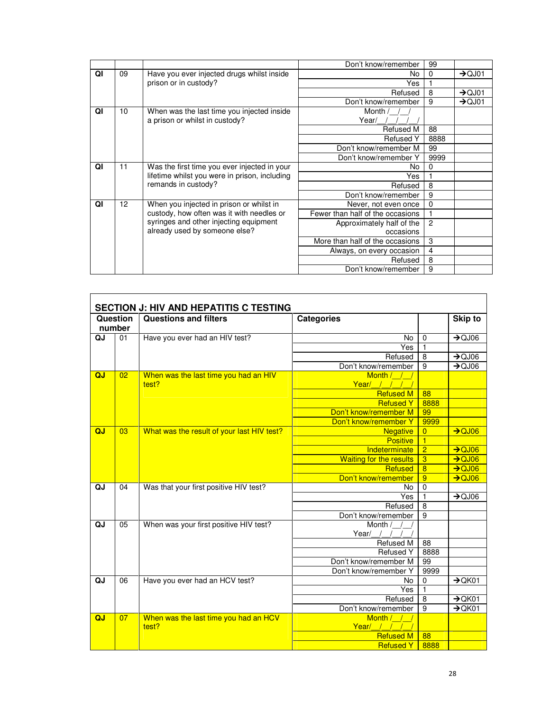|    |                     |                                                                                               | Don't know/remember              | 99             |                    |
|----|---------------------|-----------------------------------------------------------------------------------------------|----------------------------------|----------------|--------------------|
| QI | 09                  | Have you ever injected drugs whilst inside                                                    | No                               | $\Omega$       | $\rightarrow$ QJ01 |
|    |                     | prison or in custody?                                                                         | Yes                              |                |                    |
|    |                     |                                                                                               | Refused                          | 8              | $\rightarrow$ QJ01 |
|    |                     |                                                                                               | Don't know/remember              | 9              | $\rightarrow$ QJ01 |
| QI | 10                  | When was the last time you injected inside                                                    | Month /                          |                |                    |
|    |                     | a prison or whilst in custody?                                                                | Year/                            |                |                    |
|    |                     |                                                                                               | <b>Refused M</b>                 | 88             |                    |
|    |                     |                                                                                               | <b>Refused Y</b>                 | 8888           |                    |
|    |                     |                                                                                               | Don't know/remember M            | 99             |                    |
|    |                     |                                                                                               | Don't know/remember Y            | 9999           |                    |
| QI | 11                  | Was the first time you ever injected in your<br>lifetime whilst you were in prison, including | No                               | $\Omega$       |                    |
|    |                     |                                                                                               | Yes                              |                |                    |
|    | remands in custody? | Refused                                                                                       | 8                                |                |                    |
|    |                     |                                                                                               | Don't know/remember              | 9              |                    |
| QI | 12                  | When you injected in prison or whilst in                                                      | Never, not even once             | $\mathbf 0$    |                    |
|    |                     | custody, how often was it with needles or                                                     | Fewer than half of the occasions |                |                    |
|    |                     | syringes and other injecting equipment                                                        | Approximately half of the        | $\overline{2}$ |                    |
|    |                     | already used by someone else?                                                                 | occasions                        |                |                    |
|    |                     |                                                                                               | More than half of the occasions  | 3              |                    |
|    |                     |                                                                                               | Always, on every occasion        | $\overline{4}$ |                    |
|    |                     |                                                                                               | Refused                          | 8              |                    |
|    |                     |                                                                                               | Don't know/remember              | 9              |                    |

r

|    |          | <b>SECTION J: HIV AND HEPATITIS C TESTING</b>  |                                |                |                    |
|----|----------|------------------------------------------------|--------------------------------|----------------|--------------------|
|    | Question | <b>Questions and filters</b>                   | <b>Categories</b>              |                | Skip to            |
|    | number   |                                                |                                |                |                    |
| QJ | 01       | Have you ever had an HIV test?                 | No                             | $\mathbf 0$    | $\rightarrow$ QJ06 |
|    |          |                                                | Yes                            | 1              |                    |
|    |          |                                                | Refused                        | 8              | $\rightarrow$ QJ06 |
|    |          |                                                | Don't know/remember            | $\overline{9}$ | $\rightarrow$ QJ06 |
| QJ | 02       | When was the last time you had an HIV<br>test? | Month / / /<br>Year/ / / /     |                |                    |
|    |          |                                                | <b>Refused M</b>               | 88             |                    |
|    |          |                                                | <b>Refused Y</b>               | 8888           |                    |
|    |          |                                                | Don't know/remember M          | 99             |                    |
|    |          |                                                | Don't know/remember Y          | 9999           |                    |
| QJ | 03       | What was the result of your last HIV test?     | <b>Negative</b>                | $\overline{0}$ | $\rightarrow$ QJ06 |
|    |          |                                                | <b>Positive</b>                | $\overline{1}$ |                    |
|    |          |                                                | Indeterminate                  | $\overline{2}$ | $\rightarrow$ QJ06 |
|    |          |                                                | <b>Waiting for the results</b> | $\overline{3}$ | $\rightarrow$ QJ06 |
|    |          |                                                | Refused                        | $\overline{8}$ | $\rightarrow$ QJ06 |
|    |          |                                                | Don't know/remember            | $\overline{9}$ | $\rightarrow$ QJ06 |
| QJ | 04       | Was that your first positive HIV test?         | No                             | $\mathbf 0$    |                    |
|    |          |                                                | Yes                            | 1              | $\rightarrow$ QJ06 |
|    |          |                                                | Refused                        | $\overline{8}$ |                    |
|    |          |                                                | Don't know/remember            | $\overline{9}$ |                    |
| QJ | 05       | When was your first positive HIV test?         | Month /                        |                |                    |
|    |          |                                                | Year/                          |                |                    |
|    |          |                                                | Refused M                      | 88             |                    |
|    |          |                                                | <b>Refused Y</b>               | 8888           |                    |
|    |          |                                                | Don't know/remember M          | 99             |                    |
|    |          |                                                | Don't know/remember Y          | 9999           |                    |
| QJ | 06       | Have you ever had an HCV test?                 | No                             | $\overline{0}$ | $\rightarrow$ QK01 |
|    |          |                                                | Yes                            | $\blacksquare$ |                    |
|    |          |                                                | Refused                        | 8              | $\rightarrow$ QK01 |
|    |          |                                                | Don't know/remember            | 9              | $\rightarrow$ QK01 |
| QJ | 07       | When was the last time you had an HCV          | Month / / /                    |                |                    |
|    |          | test?                                          | Year/ $/$ / / /                |                |                    |
|    |          |                                                | <b>Refused M</b>               | 88             |                    |
|    |          |                                                | <b>Refused Y</b>               | 8888           |                    |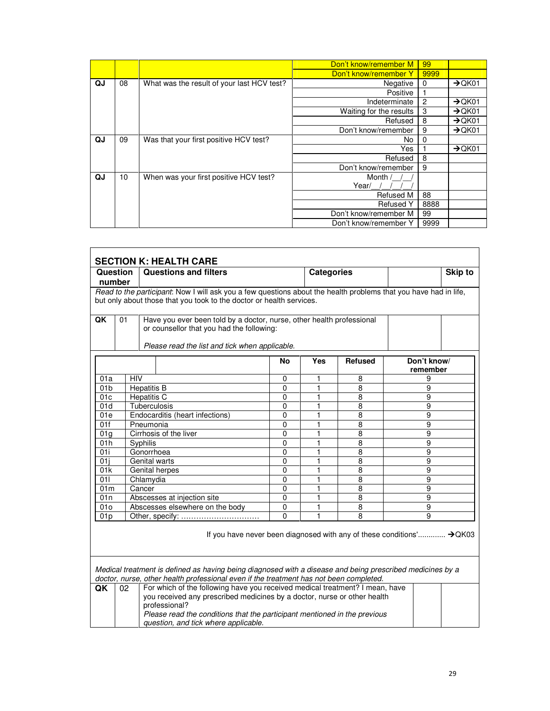|    |    |                                            | Don't know/remember M   | 99   |                    |
|----|----|--------------------------------------------|-------------------------|------|--------------------|
|    |    |                                            | Don't know/remember Y   | 9999 |                    |
| QJ | 08 | What was the result of your last HCV test? | Negative                | 0    | $\rightarrow$ QK01 |
|    |    |                                            | Positive                |      |                    |
|    |    |                                            | Indeterminate           | 2    | $\rightarrow$ QK01 |
|    |    |                                            | Waiting for the results | 3    | $\rightarrow$ QK01 |
|    |    |                                            | Refused                 | 8    | $\rightarrow$ QK01 |
|    |    |                                            | Don't know/remember     | 9    | $\rightarrow$ QK01 |
| QJ | 09 | Was that your first positive HCV test?     | No.                     | 0    |                    |
|    |    |                                            | Yes                     |      | $\rightarrow$ QK01 |
|    |    |                                            | Refused                 | 8    |                    |
|    |    |                                            | Don't know/remember     | 9    |                    |
| QJ | 10 | When was your first positive HCV test?     | Month /                 |      |                    |
|    |    |                                            | Year/                   |      |                    |
|    |    |                                            | Refused M               | 88   |                    |
|    |    |                                            | <b>Refused Y</b>        | 8888 |                    |
|    |    |                                            | Don't know/remember M   | 99   |                    |
|    |    |                                            | Don't know/remember Y   | 9999 |                    |

| <b>Question</b><br>number          |            | <b>Questions and filters</b>                                                                                                                                                                                                                                                                                                                                    |                          | <b>Categories</b> |                | Skip to                                                                                     |
|------------------------------------|------------|-----------------------------------------------------------------------------------------------------------------------------------------------------------------------------------------------------------------------------------------------------------------------------------------------------------------------------------------------------------------|--------------------------|-------------------|----------------|---------------------------------------------------------------------------------------------|
|                                    |            | Read to the participant: Now I will ask you a few questions about the health problems that you have had in life,                                                                                                                                                                                                                                                |                          |                   |                |                                                                                             |
|                                    |            | but only about those that you took to the doctor or health services.                                                                                                                                                                                                                                                                                            |                          |                   |                |                                                                                             |
| QK                                 | 01         | Have you ever been told by a doctor, nurse, other health professional<br>or counsellor that you had the following:<br>Please read the list and tick when applicable.                                                                                                                                                                                            |                          |                   |                |                                                                                             |
|                                    |            |                                                                                                                                                                                                                                                                                                                                                                 | No                       | <b>Yes</b>        | <b>Refused</b> | Don't know/                                                                                 |
|                                    |            |                                                                                                                                                                                                                                                                                                                                                                 |                          |                   |                | remember                                                                                    |
| 01a                                | <b>HIV</b> |                                                                                                                                                                                                                                                                                                                                                                 | 0                        | 1                 | 8              | 9                                                                                           |
| 01 <sub>b</sub>                    |            | <b>Hepatitis B</b>                                                                                                                                                                                                                                                                                                                                              | 0                        | 1                 | 8              | 9                                                                                           |
| 01c                                |            | Hepatitis C                                                                                                                                                                                                                                                                                                                                                     | 0                        | 1                 | $\overline{8}$ | $\overline{9}$                                                                              |
| 01d                                |            | Tuberculosis                                                                                                                                                                                                                                                                                                                                                    | $\mathbf{0}$             | 1                 | 8              | 9                                                                                           |
| 01e<br>01f                         |            | Endocarditis (heart infections)                                                                                                                                                                                                                                                                                                                                 | $\mathbf{0}$<br>0        | 1<br>1            | 8              | 9<br>$\overline{9}$                                                                         |
|                                    |            | Pneumonia<br>Cirrhosis of the liver                                                                                                                                                                                                                                                                                                                             | 0                        |                   | $\overline{8}$ |                                                                                             |
| 01 <sub>a</sub>                    |            |                                                                                                                                                                                                                                                                                                                                                                 |                          | 1                 | 8              | 9                                                                                           |
| 01h<br>01i                         |            | Syphilis                                                                                                                                                                                                                                                                                                                                                        | 0<br>0                   | 1                 | $\overline{8}$ | 9                                                                                           |
|                                    |            | Gonorrhoea<br><b>Genital warts</b>                                                                                                                                                                                                                                                                                                                              | $\Omega$                 | 1<br>1            | 8<br>8         | 9<br>9                                                                                      |
| 01<br>01k                          |            |                                                                                                                                                                                                                                                                                                                                                                 | $\mathbf{0}$             | 1                 | 8              | 9                                                                                           |
| 011                                |            | Genital herpes                                                                                                                                                                                                                                                                                                                                                  | $\Omega$                 | 1                 | 8              | 9                                                                                           |
| 01 <sub>m</sub>                    |            | Chlamydia<br>Cancer                                                                                                                                                                                                                                                                                                                                             |                          |                   |                |                                                                                             |
| 01n                                |            | Abscesses at injection site                                                                                                                                                                                                                                                                                                                                     | 0<br>0                   | 1<br>1            | 8<br>8         | 9<br>9                                                                                      |
|                                    |            |                                                                                                                                                                                                                                                                                                                                                                 |                          |                   |                |                                                                                             |
|                                    |            |                                                                                                                                                                                                                                                                                                                                                                 |                          |                   |                |                                                                                             |
| 01 <sub>0</sub><br>01 <sub>p</sub> |            | Abscesses elsewhere on the body<br>Other, specify:                                                                                                                                                                                                                                                                                                              | $\Omega$<br>$\mathbf{0}$ | 1<br>1            | 8<br>8         | 9<br>9<br>If you have never been diagnosed with any of these conditions' $\rightarrow$ QK03 |
| QK                                 | 02         | Medical treatment is defined as having being diagnosed with a disease and being prescribed medicines by a<br>doctor, nurse, other health professional even if the treatment has not been completed.<br>For which of the following have you received medical treatment? I mean, have<br>you received any prescribed medicines by a doctor, nurse or other health |                          |                   |                |                                                                                             |
|                                    |            | professional?<br>Please read the conditions that the participant mentioned in the previous<br>question, and tick where applicable.                                                                                                                                                                                                                              |                          |                   |                |                                                                                             |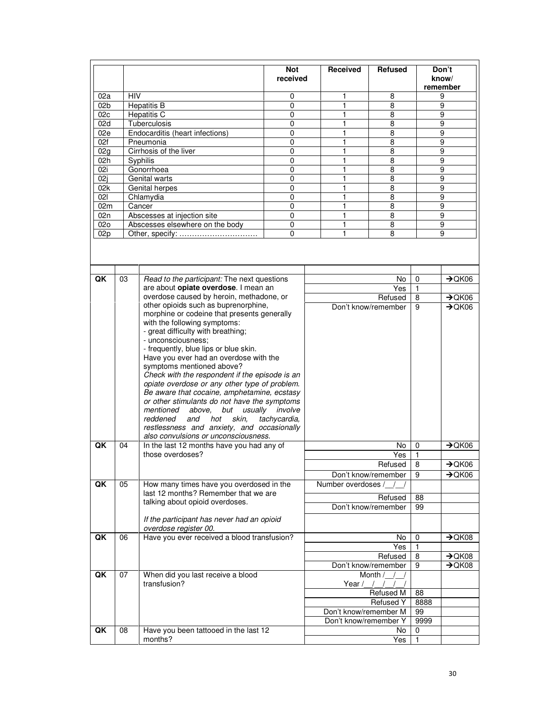|                 |            |                                                                                                                                                                                                                                                                                                                                                                                                                                                                                                                                                                                                                                                                                       | <b>Not</b><br>received | Received              | <b>Refused</b>                |                | Don't<br>know/<br>remember               |
|-----------------|------------|---------------------------------------------------------------------------------------------------------------------------------------------------------------------------------------------------------------------------------------------------------------------------------------------------------------------------------------------------------------------------------------------------------------------------------------------------------------------------------------------------------------------------------------------------------------------------------------------------------------------------------------------------------------------------------------|------------------------|-----------------------|-------------------------------|----------------|------------------------------------------|
| 02a             | <b>HIV</b> |                                                                                                                                                                                                                                                                                                                                                                                                                                                                                                                                                                                                                                                                                       | 0                      | 1                     | 8                             |                | 9                                        |
| 02b             |            | <b>Hepatitis B</b>                                                                                                                                                                                                                                                                                                                                                                                                                                                                                                                                                                                                                                                                    | 0                      | 1                     | 8                             |                | 9                                        |
| 02c             |            | <b>Hepatitis C</b>                                                                                                                                                                                                                                                                                                                                                                                                                                                                                                                                                                                                                                                                    | 0                      | 1                     | 8                             |                | 9                                        |
| 02d             |            | Tuberculosis                                                                                                                                                                                                                                                                                                                                                                                                                                                                                                                                                                                                                                                                          | $\mathbf 0$            | 1                     | 8                             |                | 9                                        |
| 02e             |            | Endocarditis (heart infections)                                                                                                                                                                                                                                                                                                                                                                                                                                                                                                                                                                                                                                                       | 0                      | 1                     | 8                             |                | 9                                        |
| 02f             |            | Pneumonia                                                                                                                                                                                                                                                                                                                                                                                                                                                                                                                                                                                                                                                                             | 0                      | 1                     | 8                             |                | 9                                        |
| 02g             |            | Cirrhosis of the liver                                                                                                                                                                                                                                                                                                                                                                                                                                                                                                                                                                                                                                                                | $\Omega$               | 1                     | 8                             |                | 9                                        |
| 02h             |            | Syphilis                                                                                                                                                                                                                                                                                                                                                                                                                                                                                                                                                                                                                                                                              | 0                      | 1                     | 8                             |                | 9                                        |
| 02i             |            | Gonorrhoea                                                                                                                                                                                                                                                                                                                                                                                                                                                                                                                                                                                                                                                                            | 0                      | 1                     | 8                             |                | 9                                        |
| 02i             |            | Genital warts                                                                                                                                                                                                                                                                                                                                                                                                                                                                                                                                                                                                                                                                         | 0                      | 1                     | 8                             |                | 9                                        |
| 02k             |            | Genital herpes                                                                                                                                                                                                                                                                                                                                                                                                                                                                                                                                                                                                                                                                        | 0                      | 1                     | 8                             |                | 9                                        |
| 021             |            | Chlamydia                                                                                                                                                                                                                                                                                                                                                                                                                                                                                                                                                                                                                                                                             | 0                      | 1                     | 8                             |                | 9                                        |
| 02m             |            | Cancer                                                                                                                                                                                                                                                                                                                                                                                                                                                                                                                                                                                                                                                                                | 0                      | $\mathbf{1}$          | 8                             |                | 9                                        |
| 02n             |            | Abscesses at injection site                                                                                                                                                                                                                                                                                                                                                                                                                                                                                                                                                                                                                                                           | $\mathbf 0$            | $\mathbf{1}$          | 8                             |                | 9                                        |
| 02 <sub>0</sub> |            | Abscesses elsewhere on the body                                                                                                                                                                                                                                                                                                                                                                                                                                                                                                                                                                                                                                                       | 0                      | 1                     | 8                             |                | 9                                        |
| 02p             |            | Other, specify:                                                                                                                                                                                                                                                                                                                                                                                                                                                                                                                                                                                                                                                                       | 0                      | 1                     | 8                             |                | 9                                        |
|                 |            |                                                                                                                                                                                                                                                                                                                                                                                                                                                                                                                                                                                                                                                                                       |                        |                       |                               |                |                                          |
| QK              | 03         | Read to the participant: The next questions                                                                                                                                                                                                                                                                                                                                                                                                                                                                                                                                                                                                                                           |                        |                       | No                            | 0              | $\rightarrow$ QK06                       |
|                 |            | are about opiate overdose. I mean an                                                                                                                                                                                                                                                                                                                                                                                                                                                                                                                                                                                                                                                  |                        |                       | Yes                           | 1              |                                          |
|                 |            | overdose caused by heroin, methadone, or                                                                                                                                                                                                                                                                                                                                                                                                                                                                                                                                                                                                                                              |                        |                       | Refused                       | 8              | $\rightarrow$ QK06                       |
| QK              | 04         | other opioids such as buprenorphine,<br>morphine or codeine that presents generally<br>with the following symptoms:<br>- great difficulty with breathing;<br>- unconsciousness;<br>- frequently, blue lips or blue skin.<br>Have you ever had an overdose with the<br>symptoms mentioned above?<br>Check with the respondent if the episode is an<br>opiate overdose or any other type of problem.<br>Be aware that cocaine, amphetamine, ecstasy<br>or other stimulants do not have the symptoms<br>but usually involve<br>mentioned above,<br>skin,<br>tachycardia,<br>reddened<br>and<br>hot<br>restlessness and anxiety, and occasionally<br>also convulsions or unconsciousness. |                        |                       | Don't know/remember<br>No     | 9<br>0         | $\rightarrow$ QK06<br>$\rightarrow$ QK06 |
|                 |            | In the last 12 months have you had any of<br>those overdoses?                                                                                                                                                                                                                                                                                                                                                                                                                                                                                                                                                                                                                         |                        |                       | Yes                           | 1              |                                          |
|                 |            |                                                                                                                                                                                                                                                                                                                                                                                                                                                                                                                                                                                                                                                                                       |                        |                       | Refused                       | $\overline{8}$ | $\rightarrow$ QK06                       |
|                 |            |                                                                                                                                                                                                                                                                                                                                                                                                                                                                                                                                                                                                                                                                                       |                        |                       | Don't know/remember           | 9              | $\rightarrow$ QK06                       |
| QK              | 05         | How many times have you overdosed in the                                                                                                                                                                                                                                                                                                                                                                                                                                                                                                                                                                                                                                              |                        | Number overdoses /    |                               |                |                                          |
|                 |            | last 12 months? Remember that we are                                                                                                                                                                                                                                                                                                                                                                                                                                                                                                                                                                                                                                                  |                        |                       |                               |                |                                          |
|                 |            | talking about opioid overdoses.                                                                                                                                                                                                                                                                                                                                                                                                                                                                                                                                                                                                                                                       |                        |                       | Refused                       | 88             |                                          |
|                 |            |                                                                                                                                                                                                                                                                                                                                                                                                                                                                                                                                                                                                                                                                                       |                        |                       | Don't know/remember           | 99             |                                          |
|                 |            | If the participant has never had an opioid<br>overdose register 00.                                                                                                                                                                                                                                                                                                                                                                                                                                                                                                                                                                                                                   |                        |                       |                               |                |                                          |
| QK              | 06         | Have you ever received a blood transfusion?                                                                                                                                                                                                                                                                                                                                                                                                                                                                                                                                                                                                                                           |                        |                       | No                            | 0              | $\rightarrow$ QK08                       |
|                 |            |                                                                                                                                                                                                                                                                                                                                                                                                                                                                                                                                                                                                                                                                                       |                        |                       | Yes                           | 1              |                                          |
|                 |            |                                                                                                                                                                                                                                                                                                                                                                                                                                                                                                                                                                                                                                                                                       |                        |                       | Refused                       | 8              | $\rightarrow$ QK08                       |
|                 |            |                                                                                                                                                                                                                                                                                                                                                                                                                                                                                                                                                                                                                                                                                       |                        |                       | Don't know/remember           | 9              | $\rightarrow$ QK08                       |
| QK              | 07         | When did you last receive a blood<br>transfusion?                                                                                                                                                                                                                                                                                                                                                                                                                                                                                                                                                                                                                                     |                        |                       | Month /                       |                |                                          |
|                 |            |                                                                                                                                                                                                                                                                                                                                                                                                                                                                                                                                                                                                                                                                                       |                        | Year $/$ /            |                               | 88             |                                          |
|                 |            |                                                                                                                                                                                                                                                                                                                                                                                                                                                                                                                                                                                                                                                                                       |                        |                       | Refused M<br><b>Refused Y</b> | 8888           |                                          |
|                 |            |                                                                                                                                                                                                                                                                                                                                                                                                                                                                                                                                                                                                                                                                                       |                        |                       |                               |                |                                          |
|                 |            |                                                                                                                                                                                                                                                                                                                                                                                                                                                                                                                                                                                                                                                                                       |                        | Don't know/remember M |                               | 99             |                                          |
| QK              | 08         | Have you been tattooed in the last 12                                                                                                                                                                                                                                                                                                                                                                                                                                                                                                                                                                                                                                                 |                        | Don't know/remember Y | No                            | 9999<br>0      |                                          |
|                 |            | months?                                                                                                                                                                                                                                                                                                                                                                                                                                                                                                                                                                                                                                                                               |                        |                       | Yes                           | 1              |                                          |
|                 |            |                                                                                                                                                                                                                                                                                                                                                                                                                                                                                                                                                                                                                                                                                       |                        |                       |                               |                |                                          |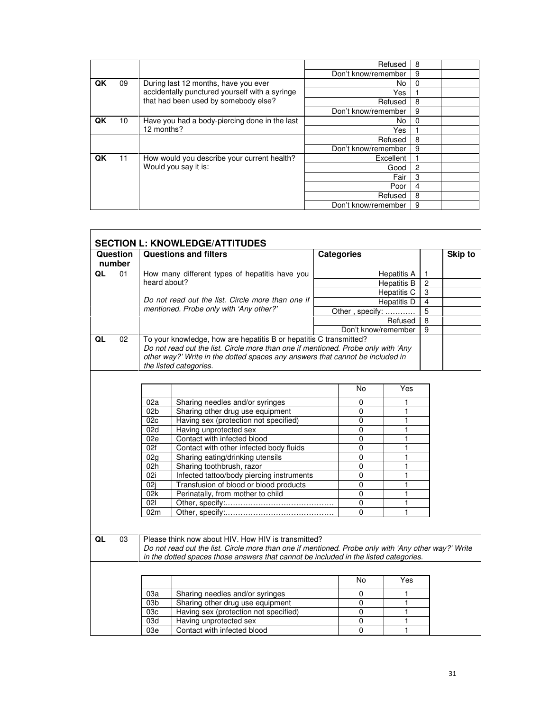|    |                  |                                                | Refused             | 8 |  |
|----|------------------|------------------------------------------------|---------------------|---|--|
|    |                  |                                                | Don't know/remember | 9 |  |
| QK | 09               | During last 12 months, have you ever           | No.                 | 0 |  |
|    |                  | accidentally punctured yourself with a syringe | Yes                 |   |  |
|    |                  | that had been used by somebody else?           | Refused             | 8 |  |
|    |                  |                                                | Don't know/remember | 9 |  |
| QK | 10 <sup>10</sup> | Have you had a body-piercing done in the last  | No.                 | 0 |  |
|    |                  | 12 months?                                     | Yes                 |   |  |
|    |                  |                                                | Refused             | 8 |  |
|    |                  |                                                | Don't know/remember | 9 |  |
| QK | 11               | How would you describe your current health?    | Excellent           |   |  |
|    |                  | Would you say it is:                           | Good                | 2 |  |
|    |                  |                                                | Fair                | 3 |  |
|    |                  |                                                | Poor                | 4 |  |
|    |                  |                                                | Refused             | 8 |  |
|    |                  |                                                | Don't know/remember | 9 |  |

|    |                                              |                                         | <b>SECTION L: KNOWLEDGE/ATTITUDES</b>                                                                                                                                                                                                                              |                     |                    |                |         |
|----|----------------------------------------------|-----------------------------------------|--------------------------------------------------------------------------------------------------------------------------------------------------------------------------------------------------------------------------------------------------------------------|---------------------|--------------------|----------------|---------|
|    | Question<br>number                           |                                         | <b>Questions and filters</b>                                                                                                                                                                                                                                       | <b>Categories</b>   |                    |                | Skip to |
| QL | 01                                           |                                         | How many different types of hepatitis have you                                                                                                                                                                                                                     |                     | <b>Hepatitis A</b> | $\mathbf{1}$   |         |
|    |                                              | heard about?                            |                                                                                                                                                                                                                                                                    |                     | <b>Hepatitis B</b> | $\overline{c}$ |         |
|    |                                              |                                         |                                                                                                                                                                                                                                                                    |                     | <b>Hepatitis C</b> | 3              |         |
|    |                                              |                                         | Do not read out the list. Circle more than one if                                                                                                                                                                                                                  |                     | Hepatitis D        | $\overline{4}$ |         |
|    |                                              | mentioned. Probe only with 'Any other?' |                                                                                                                                                                                                                                                                    | Other, specify:     |                    | $\overline{5}$ |         |
|    |                                              |                                         |                                                                                                                                                                                                                                                                    |                     | Refused            | 8              |         |
|    |                                              |                                         |                                                                                                                                                                                                                                                                    | Don't know/remember |                    | 9              |         |
| QL | 02                                           |                                         | To your knowledge, how are hepatitis B or hepatitis C transmitted?<br>Do not read out the list. Circle more than one if mentioned. Probe only with 'Any<br>other way?' Write in the dotted spaces any answers that cannot be included in<br>the listed categories. |                     |                    |                |         |
|    |                                              |                                         |                                                                                                                                                                                                                                                                    | No                  | Yes                |                |         |
|    |                                              | 02a                                     | Sharing needles and/or syringes                                                                                                                                                                                                                                    | 0                   | 1                  |                |         |
|    |                                              | 02 <sub>b</sub>                         | Sharing other drug use equipment                                                                                                                                                                                                                                   | $\pmb{0}$           | 1                  |                |         |
|    | 02c<br>Having sex (protection not specified) |                                         | 0                                                                                                                                                                                                                                                                  | 1                   |                    |                |         |
|    |                                              | 02d                                     | Having unprotected sex                                                                                                                                                                                                                                             | $\overline{0}$      | 1                  |                |         |
|    |                                              | 02e                                     | Contact with infected blood                                                                                                                                                                                                                                        | $\Omega$            | 1                  |                |         |
|    |                                              | 02f                                     | Contact with other infected body fluids                                                                                                                                                                                                                            | $\mathbf{0}$        | $\mathbf{1}$       |                |         |
|    |                                              | 02 <sub>q</sub>                         | Sharing eating/drinking utensils                                                                                                                                                                                                                                   | $\overline{0}$      | 1                  |                |         |
|    |                                              | 02h                                     | Sharing toothbrush, razor                                                                                                                                                                                                                                          | $\mathbf 0$         | 1                  |                |         |
|    |                                              | $\overline{02i}$                        | Infected tattoo/body piercing instruments                                                                                                                                                                                                                          | $\overline{0}$      | 1                  |                |         |
|    |                                              | 02i                                     | Transfusion of blood or blood products                                                                                                                                                                                                                             | $\mathbf 0$         | $\mathbf{1}$       |                |         |
|    |                                              | 02k                                     | Perinatally, from mother to child                                                                                                                                                                                                                                  | $\mathbf 0$         | 1                  |                |         |
|    |                                              | 021                                     |                                                                                                                                                                                                                                                                    | $\mathbf 0$         | 1                  |                |         |
|    |                                              | 02m                                     |                                                                                                                                                                                                                                                                    | $\overline{0}$      | 1                  |                |         |
|    |                                              |                                         |                                                                                                                                                                                                                                                                    |                     |                    |                |         |
| QL | 03                                           |                                         | Please think now about HIV. How HIV is transmitted?<br>Do not read out the list. Circle more than one if mentioned. Probe only with 'Any other way?' Write<br>in the dotted spaces those answers that cannot be included in the listed categories.                 |                     |                    |                |         |
|    |                                              |                                         |                                                                                                                                                                                                                                                                    | No                  | Yes                |                |         |
|    |                                              | 03a                                     | Sharing needles and/or syringes                                                                                                                                                                                                                                    | 0                   | 1                  |                |         |
|    |                                              | 03 <sub>b</sub>                         | Sharing other drug use equipment                                                                                                                                                                                                                                   | 0                   | 1                  |                |         |
|    |                                              | 03c                                     | Having sex (protection not specified)                                                                                                                                                                                                                              | $\pmb{0}$           | 1                  |                |         |
|    |                                              | 03d                                     | Having unprotected sex                                                                                                                                                                                                                                             | $\pmb{0}$           | 1                  |                |         |
|    |                                              | 03e                                     | Contact with infected blood                                                                                                                                                                                                                                        | 0                   | 1                  |                |         |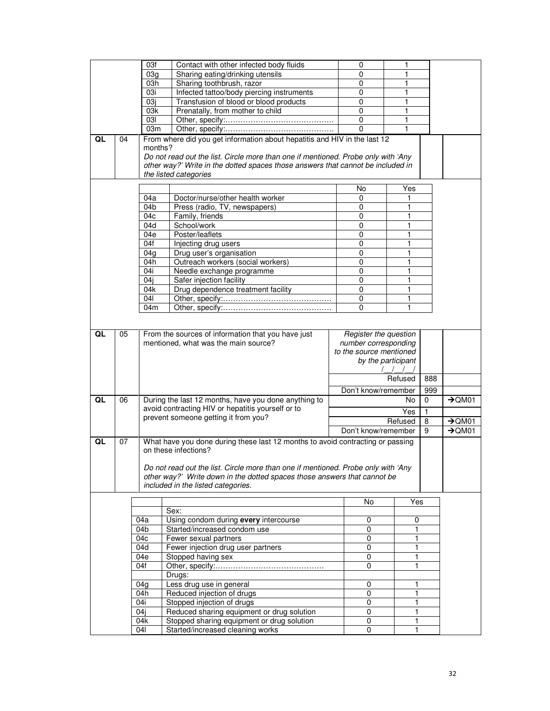|    |    | 03f             | Contact with other infected body fluids                                                                                                                       |  | 0                                     | 1                        |     |                    |  |
|----|----|-----------------|---------------------------------------------------------------------------------------------------------------------------------------------------------------|--|---------------------------------------|--------------------------|-----|--------------------|--|
|    |    | 03 <sub>q</sub> | Sharing eating/drinking utensils                                                                                                                              |  | 0                                     | 1                        |     |                    |  |
|    |    | 03h             | Sharing toothbrush, razor                                                                                                                                     |  | 0                                     | 1                        |     |                    |  |
|    |    | 03i             | Infected tattoo/body piercing instruments                                                                                                                     |  | $\Omega$                              | 1                        |     |                    |  |
|    |    | 03i             | Transfusion of blood or blood products                                                                                                                        |  | 0                                     | 1                        |     |                    |  |
|    |    | 03k             | Prenatally, from mother to child                                                                                                                              |  | 0                                     | 1                        |     |                    |  |
|    |    | 03I             |                                                                                                                                                               |  | $\mathbf 0$                           | 1                        |     |                    |  |
|    |    | 03m             |                                                                                                                                                               |  | 0                                     | $\mathbf{1}$             |     |                    |  |
| QL | 04 |                 | From where did you get information about hepatitis and HIV in the last 12                                                                                     |  |                                       |                          |     |                    |  |
|    |    | months?         |                                                                                                                                                               |  |                                       |                          |     |                    |  |
|    |    |                 | Do not read out the list. Circle more than one if mentioned. Probe only with 'Any                                                                             |  |                                       |                          |     |                    |  |
|    |    |                 | other way?' Write in the dotted spaces those answers that cannot be included in<br>the listed categories                                                      |  |                                       |                          |     |                    |  |
|    |    |                 |                                                                                                                                                               |  |                                       |                          |     |                    |  |
|    |    |                 |                                                                                                                                                               |  | No                                    | Yes                      |     |                    |  |
|    |    | 04a             | Doctor/nurse/other health worker                                                                                                                              |  | 0                                     |                          |     |                    |  |
|    |    | 04b             | Press (radio, TV, newspapers)                                                                                                                                 |  | 0                                     | 1                        |     |                    |  |
|    |    | 04c             | Family, friends                                                                                                                                               |  | 0                                     | 1                        |     |                    |  |
|    |    | 04d             | School/work                                                                                                                                                   |  | 0                                     | 1                        |     |                    |  |
|    |    | 04e             | Poster/leaflets                                                                                                                                               |  | $\mathbf 0$                           | 1                        |     |                    |  |
|    |    | 04f             | Injecting drug users                                                                                                                                          |  | 0                                     | 1                        |     |                    |  |
|    |    | 04g             | Drug user's organisation                                                                                                                                      |  | 0                                     | 1                        |     |                    |  |
|    |    | 04h<br>04i      | Outreach workers (social workers)                                                                                                                             |  | 0<br>0                                | 1<br>1                   |     |                    |  |
|    |    | 04j             | Needle exchange programme<br>Safer injection facility                                                                                                         |  | $\mathbf 0$                           | 1                        |     |                    |  |
|    |    | 04k             | Drug dependence treatment facility                                                                                                                            |  | 0                                     | 1                        |     |                    |  |
|    |    | 041             |                                                                                                                                                               |  | 0                                     | 1                        |     |                    |  |
|    |    | 04m             |                                                                                                                                                               |  | 0                                     | 1                        |     |                    |  |
|    |    |                 |                                                                                                                                                               |  |                                       |                          |     |                    |  |
|    |    |                 |                                                                                                                                                               |  |                                       |                          |     |                    |  |
| QL | 05 |                 | From the sources of information that you have just                                                                                                            |  | Register the question                 |                          |     |                    |  |
|    |    |                 | mentioned, what was the main source?                                                                                                                          |  | number corresponding                  |                          |     |                    |  |
|    |    |                 |                                                                                                                                                               |  | to the source mentioned               |                          |     |                    |  |
|    |    |                 |                                                                                                                                                               |  | by the participant<br>1111<br>Refused |                          |     |                    |  |
|    |    |                 |                                                                                                                                                               |  |                                       |                          |     |                    |  |
|    |    |                 |                                                                                                                                                               |  |                                       |                          | 888 |                    |  |
|    |    |                 |                                                                                                                                                               |  | Don't know/remember                   |                          | 999 |                    |  |
| QL | 06 |                 | During the last 12 months, have you done anything to                                                                                                          |  |                                       | No                       | 0   | $\rightarrow$ QM01 |  |
|    |    |                 | avoid contracting HIV or hepatitis yourself or to<br>prevent someone getting it from you?                                                                     |  |                                       | Yes                      | 1   |                    |  |
|    |    |                 |                                                                                                                                                               |  |                                       | Refused                  | 8   | $\rightarrow$ QM01 |  |
|    |    |                 |                                                                                                                                                               |  |                                       | Don't know/remember<br>9 |     | $\rightarrow$ QM01 |  |
| QL | 07 |                 | What have you done during these last 12 months to avoid contracting or passing                                                                                |  |                                       |                          |     |                    |  |
|    |    |                 | on these infections?                                                                                                                                          |  |                                       |                          |     |                    |  |
|    |    |                 | Do not read out the list. Circle more than one if mentioned. Probe only with 'Any<br>other way?' Write down in the dotted spaces those answers that cannot be |  |                                       |                          |     |                    |  |
|    |    |                 |                                                                                                                                                               |  |                                       |                          |     |                    |  |
|    |    |                 | included in the listed categories.                                                                                                                            |  |                                       |                          |     |                    |  |
|    |    |                 |                                                                                                                                                               |  |                                       |                          |     |                    |  |
|    |    |                 |                                                                                                                                                               |  | No                                    | Yes                      |     |                    |  |
|    |    |                 | Sex:                                                                                                                                                          |  |                                       |                          |     |                    |  |
|    |    | 04a             | Using condom during every intercourse                                                                                                                         |  | 0                                     | 0                        |     |                    |  |
|    |    | 04b             | Started/increased condom use                                                                                                                                  |  | $\mathbf 0$                           | $\mathbf{1}$             |     |                    |  |
|    |    | 04c             | Fewer sexual partners                                                                                                                                         |  | 0                                     | 1                        |     |                    |  |
|    |    | 04d             | Fewer injection drug user partners                                                                                                                            |  | 0                                     | 1                        |     |                    |  |
|    |    | 04e<br>04f      | Stopped having sex                                                                                                                                            |  | 0<br>0                                | 1<br>$\mathbf{1}$        |     |                    |  |
|    |    |                 |                                                                                                                                                               |  |                                       |                          |     |                    |  |
|    |    | 04g             | Drugs:<br>Less drug use in general                                                                                                                            |  | 0                                     | 1                        |     |                    |  |
|    |    | 04h             | Reduced injection of drugs                                                                                                                                    |  | 0                                     | 1                        |     |                    |  |
|    |    | 04i             | Stopped injection of drugs                                                                                                                                    |  | 0                                     | 1                        |     |                    |  |
|    |    | 04j             | Reduced sharing equipment or drug solution                                                                                                                    |  | 0                                     | 1                        |     |                    |  |
|    |    | 04k             | Stopped sharing equipment or drug solution                                                                                                                    |  | 0                                     | 1                        |     |                    |  |
|    |    | 04              | Started/increased cleaning works                                                                                                                              |  | 0                                     | $\mathbf{1}$             |     |                    |  |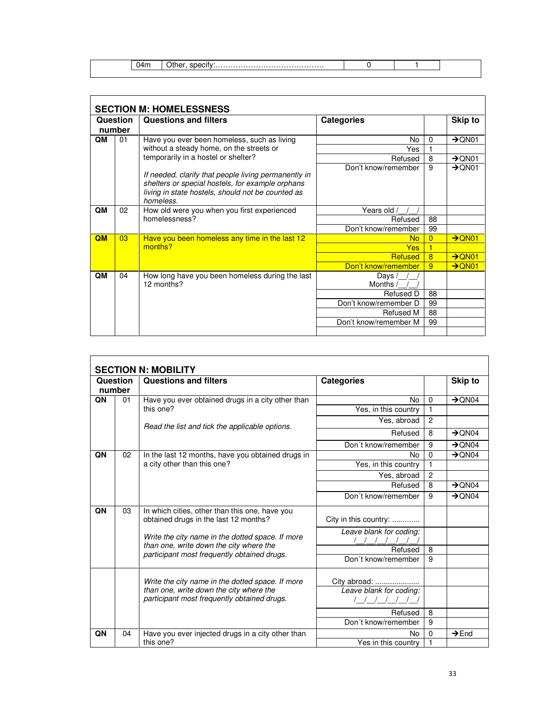04m Other, specify:……………………………………. 0 1

| <b>SECTION M: HOMELESSNESS</b> |    |                                                                                                                                                                            |                               |                |                    |  |  |  |
|--------------------------------|----|----------------------------------------------------------------------------------------------------------------------------------------------------------------------------|-------------------------------|----------------|--------------------|--|--|--|
| Question                       |    | <b>Questions and filters</b>                                                                                                                                               | <b>Categories</b>             |                | <b>Skip to</b>     |  |  |  |
| number                         |    |                                                                                                                                                                            |                               |                |                    |  |  |  |
| QM<br>01                       |    | Have you ever been homeless, such as living                                                                                                                                | No                            | 0              | $\rightarrow$ QN01 |  |  |  |
|                                |    | without a steady home, on the streets or<br>temporarily in a hostel or shelter?                                                                                            | Yes                           |                |                    |  |  |  |
|                                |    |                                                                                                                                                                            | Refused                       | 8              | $\rightarrow$ QN01 |  |  |  |
|                                |    | If needed, clarify that people living permanently in<br>shelters or special hostels, for example orphans<br>living in state hostels, should not be counted as<br>homeless. | Don't know/remember           | 9              | $\rightarrow$ QN01 |  |  |  |
| QM                             | 02 | How old were you when you first experienced<br>homelessness?                                                                                                               | Years old /                   |                |                    |  |  |  |
|                                |    |                                                                                                                                                                            | Refused                       | 88             |                    |  |  |  |
|                                |    |                                                                                                                                                                            | Don't know/remember           | 99             |                    |  |  |  |
| OM                             | 03 | Have you been homeless any time in the last 12<br>months?                                                                                                                  | <b>No</b>                     | $\overline{0}$ | $\rightarrow$ QN01 |  |  |  |
|                                |    |                                                                                                                                                                            | <b>Yes</b>                    |                |                    |  |  |  |
|                                |    |                                                                                                                                                                            | <b>Refused</b>                | 8              | $\rightarrow$ QN01 |  |  |  |
|                                |    |                                                                                                                                                                            | Don't know/remember           | 9              | $\rightarrow$ QN01 |  |  |  |
| QM                             | 04 | How long have you been homeless during the last<br>12 months?                                                                                                              | Days<br>Months $\overline{a}$ |                |                    |  |  |  |
|                                |    |                                                                                                                                                                            | Refused D                     | 88             |                    |  |  |  |
|                                |    |                                                                                                                                                                            | Don't know/remember D         | 99             |                    |  |  |  |
|                                |    |                                                                                                                                                                            | Refused M                     | 88             |                    |  |  |  |
|                                |    |                                                                                                                                                                            | Don't know/remember M         | 99             |                    |  |  |  |
|                                |    |                                                                                                                                                                            |                               |                |                    |  |  |  |

| Question<br>number<br>QN<br>01 |    | <b>Questions and filters</b>                                                                                                               | <b>Categories</b>                       | $\mathbf 0$    | Skip to<br>$\rightarrow$ QN04 |
|--------------------------------|----|--------------------------------------------------------------------------------------------------------------------------------------------|-----------------------------------------|----------------|-------------------------------|
|                                |    | Have you ever obtained drugs in a city other than                                                                                          | No                                      |                |                               |
|                                |    | this one?<br>Read the list and tick the applicable options.                                                                                | Yes, in this country                    | 1              |                               |
|                                |    |                                                                                                                                            | Yes, abroad                             | $\overline{c}$ |                               |
|                                |    |                                                                                                                                            | Refused                                 | 8              | $\rightarrow$ QN04            |
|                                |    |                                                                                                                                            | Don't know/remember                     | 9              | $\rightarrow$ QN04            |
| QN                             | 02 | In the last 12 months, have you obtained drugs in<br>a city other than this one?                                                           | N٥                                      | 0              | $\rightarrow$ QN04            |
|                                |    |                                                                                                                                            | Yes, in this country                    | 1              |                               |
|                                |    |                                                                                                                                            | Yes, abroad                             | $\overline{c}$ |                               |
|                                |    |                                                                                                                                            | Refused                                 | 8              | $\rightarrow$ QN04            |
|                                |    |                                                                                                                                            | Don't know/remember                     | 9              | $\rightarrow$ QN04            |
| QN                             | 03 | In which cities, other than this one, have you<br>obtained drugs in the last 12 months?                                                    | City in this country:                   |                |                               |
|                                |    | Write the city name in the dotted space. If more<br>than one, write down the city where the<br>participant most frequently obtained drugs. | Leave blank for coding:                 |                |                               |
|                                |    |                                                                                                                                            | Refused                                 | 8              |                               |
|                                |    |                                                                                                                                            | Don't know/remember                     | 9              |                               |
|                                |    | Write the city name in the dotted space. If more<br>than one, write down the city where the                                                | City abroad:<br>Leave blank for coding: |                |                               |
|                                |    | participant most frequently obtained drugs.                                                                                                |                                         |                |                               |
|                                |    |                                                                                                                                            | Refused                                 | 8              |                               |
|                                |    |                                                                                                                                            | Don't know/remember                     | 9              |                               |
| QN                             | 04 | Have you ever injected drugs in a city other than                                                                                          | No                                      | 0              | $\rightarrow$ End             |
|                                |    | this one?                                                                                                                                  | Yes in this country                     | 1              |                               |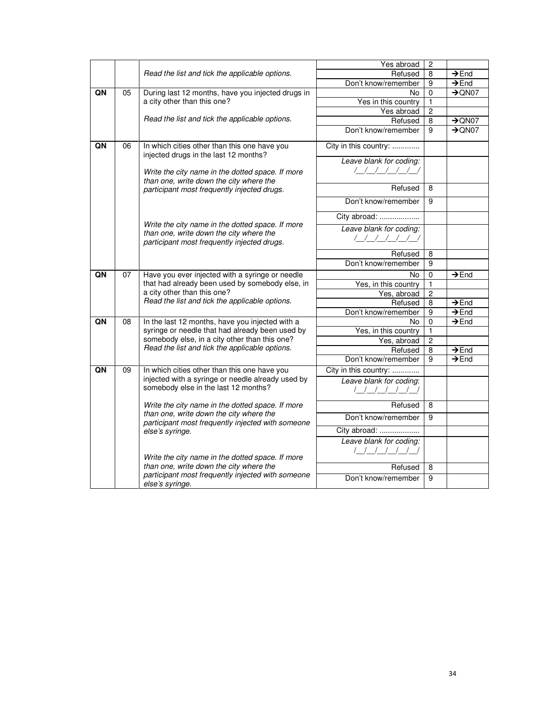|    |    |                                                                                                                                                                                                                                                                                                                                                                                   | Yes abroad              | $\overline{c}$ |                    |
|----|----|-----------------------------------------------------------------------------------------------------------------------------------------------------------------------------------------------------------------------------------------------------------------------------------------------------------------------------------------------------------------------------------|-------------------------|----------------|--------------------|
|    |    | Read the list and tick the applicable options.                                                                                                                                                                                                                                                                                                                                    | Refused                 | 8              | $\rightarrow$ End  |
|    |    |                                                                                                                                                                                                                                                                                                                                                                                   | Don't know/remember     | 9              | $\rightarrow$ End  |
| QN | 05 | During last 12 months, have you injected drugs in                                                                                                                                                                                                                                                                                                                                 | No                      | $\pmb{0}$      | $\rightarrow$ QN07 |
|    |    | a city other than this one?                                                                                                                                                                                                                                                                                                                                                       | Yes in this country     | 1              |                    |
|    |    |                                                                                                                                                                                                                                                                                                                                                                                   | Yes abroad              | $\overline{2}$ |                    |
|    |    | Read the list and tick the applicable options.                                                                                                                                                                                                                                                                                                                                    | Refused                 | 8              | $\rightarrow$ QN07 |
|    |    |                                                                                                                                                                                                                                                                                                                                                                                   | Don't know/remember     | 9              | $\rightarrow$ QN07 |
| QN | 06 | In which cities other than this one have you<br>injected drugs in the last 12 months?<br>Write the city name in the dotted space. If more<br>than one, write down the city where the<br>participant most frequently injected drugs.<br>Write the city name in the dotted space. If more<br>than one, write down the city where the<br>participant most frequently injected drugs. | City in this country:   |                |                    |
|    |    |                                                                                                                                                                                                                                                                                                                                                                                   | Leave blank for coding: |                |                    |
|    |    |                                                                                                                                                                                                                                                                                                                                                                                   | ////////                |                |                    |
|    |    |                                                                                                                                                                                                                                                                                                                                                                                   | Refused                 | 8              |                    |
|    |    |                                                                                                                                                                                                                                                                                                                                                                                   | Don't know/remember     | 9              |                    |
|    |    |                                                                                                                                                                                                                                                                                                                                                                                   | City abroad:            |                |                    |
|    |    |                                                                                                                                                                                                                                                                                                                                                                                   | Leave blank for coding: |                |                    |
|    |    |                                                                                                                                                                                                                                                                                                                                                                                   | <u>                </u> |                |                    |
|    |    |                                                                                                                                                                                                                                                                                                                                                                                   | Refused                 | 8              |                    |
|    |    |                                                                                                                                                                                                                                                                                                                                                                                   | Don't know/remember     | 9              |                    |
| QN | 07 | Have you ever injected with a syringe or needle<br>that had already been used by somebody else, in<br>a city other than this one?<br>Read the list and tick the applicable options.                                                                                                                                                                                               | No                      | $\pmb{0}$      | $\rightarrow$ End  |
|    |    |                                                                                                                                                                                                                                                                                                                                                                                   | Yes, in this country    | 1              |                    |
|    |    |                                                                                                                                                                                                                                                                                                                                                                                   | Yes, abroad             | $\overline{2}$ |                    |
|    |    |                                                                                                                                                                                                                                                                                                                                                                                   | Refused                 | $\overline{8}$ | $\rightarrow$ End  |
|    |    |                                                                                                                                                                                                                                                                                                                                                                                   | Don't know/remember     | 9              | $\rightarrow$ End  |
| QN | 08 | In the last 12 months, have you injected with a<br>syringe or needle that had already been used by<br>somebody else, in a city other than this one?<br>Read the list and tick the applicable options.                                                                                                                                                                             | No                      | 0              | $\rightarrow$ End  |
|    |    |                                                                                                                                                                                                                                                                                                                                                                                   | Yes, in this country    | $\mathbf{1}$   |                    |
|    |    |                                                                                                                                                                                                                                                                                                                                                                                   | Yes, abroad             | $\overline{2}$ |                    |
|    |    |                                                                                                                                                                                                                                                                                                                                                                                   | Refused                 | 8              | $\rightarrow$ End  |
|    |    |                                                                                                                                                                                                                                                                                                                                                                                   | Don't know/remember     | 9              | $\rightarrow$ End  |
| QN | 09 | In which cities other than this one have you                                                                                                                                                                                                                                                                                                                                      | City in this country:   |                |                    |
|    |    | injected with a syringe or needle already used by<br>somebody else in the last 12 months?<br>Write the city name in the dotted space. If more<br>than one, write down the city where the<br>participant most frequently injected with someone<br>else's syringe.                                                                                                                  | Leave blank for coding: |                |                    |
|    |    |                                                                                                                                                                                                                                                                                                                                                                                   |                         |                |                    |
|    |    |                                                                                                                                                                                                                                                                                                                                                                                   | Refused                 | 8              |                    |
|    |    |                                                                                                                                                                                                                                                                                                                                                                                   | Don't know/remember     | 9              |                    |
|    |    |                                                                                                                                                                                                                                                                                                                                                                                   | City abroad:            |                |                    |
|    |    | Write the city name in the dotted space. If more                                                                                                                                                                                                                                                                                                                                  | Leave blank for coding: |                |                    |
|    |    | than one, write down the city where the                                                                                                                                                                                                                                                                                                                                           | Refused                 | 8              |                    |
|    |    | participant most frequently injected with someone                                                                                                                                                                                                                                                                                                                                 |                         | 9              |                    |
|    |    | else's syringe.                                                                                                                                                                                                                                                                                                                                                                   | Don't know/remember     |                |                    |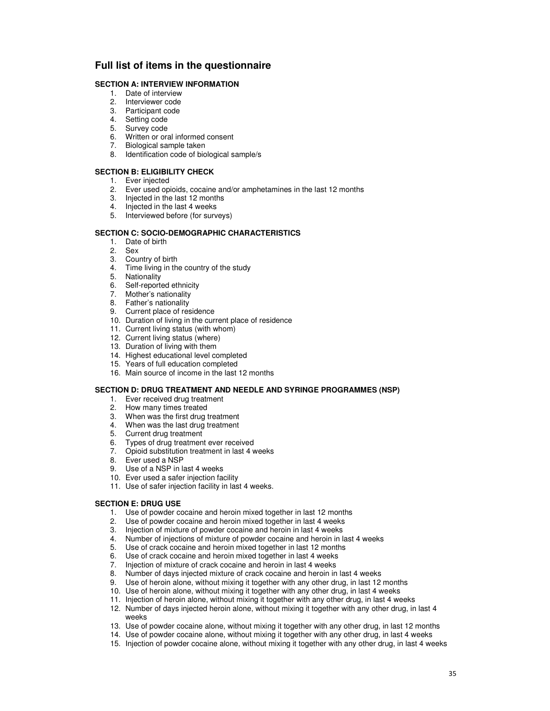## **Full list of items in the questionnaire**

### **SECTION A: INTERVIEW INFORMATION**

- 1. Date of interview
- 2. Interviewer code
- 3. Participant code
- 4. Setting code
- 5. Survey code
- 6. Written or oral informed consent
- 7. Biological sample taken
- 8. Identification code of biological sample/s

### **SECTION B: ELIGIBILITY CHECK**

- 1. Ever injected
- 2. Ever used opioids, cocaine and/or amphetamines in the last 12 months
- 3. Injected in the last 12 months
- 4. Injected in the last 4 weeks
- 5. Interviewed before (for surveys)

### **SECTION C: SOCIO-DEMOGRAPHIC CHARACTERISTICS**

- 1. Date of birth
- 2. Sex
- 3. Country of birth
- 4. Time living in the country of the study
- 5. Nationality
- 6. Self-reported ethnicity
- 7. Mother's nationality
- 8. Father's nationality
- 9. Current place of residence
- 10. Duration of living in the current place of residence
- 11. Current living status (with whom)
- 12. Current living status (where)
- 13. Duration of living with them
- 14. Highest educational level completed
- 15. Years of full education completed
- 16. Main source of income in the last 12 months

### **SECTION D: DRUG TREATMENT AND NEEDLE AND SYRINGE PROGRAMMES (NSP)**

- 1. Ever received drug treatment
- 2. How many times treated
- 3. When was the first drug treatment
- 4. When was the last drug treatment
- 5. Current drug treatment
- 6. Types of drug treatment ever received
- 7. Opioid substitution treatment in last 4 weeks
- 8. Ever used a NSP
- 9. Use of a NSP in last 4 weeks
- 10. Ever used a safer injection facility
- 11. Use of safer injection facility in last 4 weeks.

### **SECTION E: DRUG USE**

- 1. Use of powder cocaine and heroin mixed together in last 12 months
- 2. Use of powder cocaine and heroin mixed together in last 4 weeks
- 3. Injection of mixture of powder cocaine and heroin in last 4 weeks
- 4. Number of injections of mixture of powder cocaine and heroin in last 4 weeks
- 5. Use of crack cocaine and heroin mixed together in last 12 months
- 6. Use of crack cocaine and heroin mixed together in last 4 weeks
- 7. Injection of mixture of crack cocaine and heroin in last 4 weeks
- 8. Number of days injected mixture of crack cocaine and heroin in last 4 weeks
- 9. Use of heroin alone, without mixing it together with any other drug, in last 12 months
- 10. Use of heroin alone, without mixing it together with any other drug, in last 4 weeks
- 11. Injection of heroin alone, without mixing it together with any other drug, in last 4 weeks 12. Number of days injected heroin alone, without mixing it together with any other drug, in last 4
- weeks
- 13. Use of powder cocaine alone, without mixing it together with any other drug, in last 12 months
- 14. Use of powder cocaine alone, without mixing it together with any other drug, in last 4 weeks
- 15. Injection of powder cocaine alone, without mixing it together with any other drug, in last 4 weeks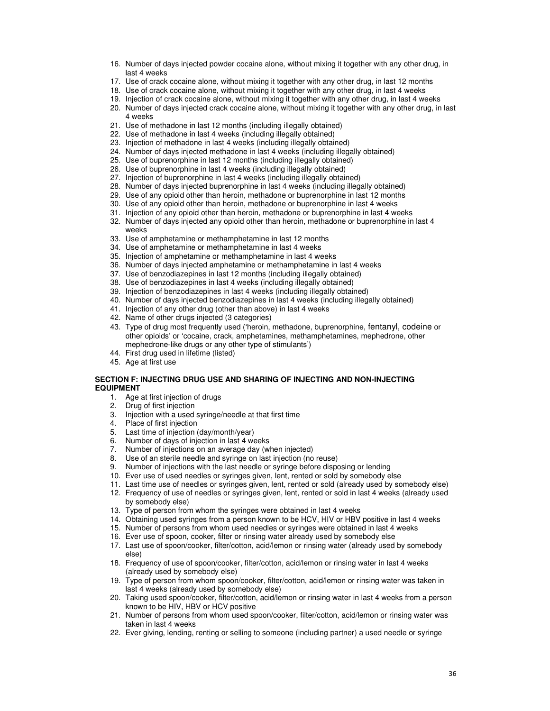- 16. Number of days injected powder cocaine alone, without mixing it together with any other drug, in last 4 weeks
- 17. Use of crack cocaine alone, without mixing it together with any other drug, in last 12 months
- 18. Use of crack cocaine alone, without mixing it together with any other drug, in last 4 weeks
- 19. Injection of crack cocaine alone, without mixing it together with any other drug, in last 4 weeks
- 20. Number of days injected crack cocaine alone, without mixing it together with any other drug, in last 4 weeks
- 21. Use of methadone in last 12 months (including illegally obtained)
- 22. Use of methadone in last 4 weeks (including illegally obtained)
- 23. Injection of methadone in last 4 weeks (including illegally obtained)
- 24. Number of days injected methadone in last 4 weeks (including illegally obtained)
- 25. Use of buprenorphine in last 12 months (including illegally obtained)
- 26. Use of buprenorphine in last 4 weeks (including illegally obtained)
- 27. Injection of buprenorphine in last 4 weeks (including illegally obtained)
- 28. Number of days injected buprenorphine in last 4 weeks (including illegally obtained)
- 29. Use of any opioid other than heroin, methadone or buprenorphine in last 12 months
- 30. Use of any opioid other than heroin, methadone or buprenorphine in last 4 weeks
- 31. Injection of any opioid other than heroin, methadone or buprenorphine in last 4 weeks
- 32. Number of days injected any opioid other than heroin, methadone or buprenorphine in last 4 weeks
- 33. Use of amphetamine or methamphetamine in last 12 months
- 34. Use of amphetamine or methamphetamine in last 4 weeks
- 35. Injection of amphetamine or methamphetamine in last 4 weeks
- 36. Number of days injected amphetamine or methamphetamine in last 4 weeks
- 37. Use of benzodiazepines in last 12 months (including illegally obtained)
- 38. Use of benzodiazepines in last 4 weeks (including illegally obtained)
- 39. Injection of benzodiazepines in last 4 weeks (including illegally obtained)
- 40. Number of days injected benzodiazepines in last 4 weeks (including illegally obtained)
- 41. Injection of any other drug (other than above) in last 4 weeks
- 42. Name of other drugs injected (3 categories)
- 43. Type of drug most frequently used ('heroin, methadone, buprenorphine, fentanyl, codeine or other opioids' or 'cocaine, crack, amphetamines, methamphetamines, mephedrone, other mephedrone-like drugs or any other type of stimulants')
- 44. First drug used in lifetime (listed)
- 45. Age at first use

### **SECTION F: INJECTING DRUG USE AND SHARING OF INJECTING AND NON-INJECTING EQUIPMENT**

- 1. Age at first injection of drugs
- 2. Drug of first injection
- 3. Injection with a used syringe/needle at that first time
- 4. Place of first injection
- 5. Last time of injection (day/month/year)
- 6. Number of days of injection in last 4 weeks
- 7. Number of injections on an average day (when injected)
- 8. Use of an sterile needle and syringe on last injection (no reuse)
- 9. Number of injections with the last needle or syringe before disposing or lending
- 10. Ever use of used needles or syringes given, lent, rented or sold by somebody else
- 11. Last time use of needles or syringes given, lent, rented or sold (already used by somebody else)
- 12. Frequency of use of needles or syringes given, lent, rented or sold in last 4 weeks (already used by somebody else)
- 13. Type of person from whom the syringes were obtained in last 4 weeks
- 14. Obtaining used syringes from a person known to be HCV, HIV or HBV positive in last 4 weeks
- 15. Number of persons from whom used needles or syringes were obtained in last 4 weeks
- 16. Ever use of spoon, cooker, filter or rinsing water already used by somebody else
- 17. Last use of spoon/cooker, filter/cotton, acid/lemon or rinsing water (already used by somebody else)
- 18. Frequency of use of spoon/cooker, filter/cotton, acid/lemon or rinsing water in last 4 weeks (already used by somebody else)
- 19. Type of person from whom spoon/cooker, filter/cotton, acid/lemon or rinsing water was taken in last 4 weeks (already used by somebody else)
- 20. Taking used spoon/cooker, filter/cotton, acid/lemon or rinsing water in last 4 weeks from a person known to be HIV, HBV or HCV positive
- 21. Number of persons from whom used spoon/cooker, filter/cotton, acid/lemon or rinsing water was taken in last 4 weeks
- 22. Ever giving, lending, renting or selling to someone (including partner) a used needle or syringe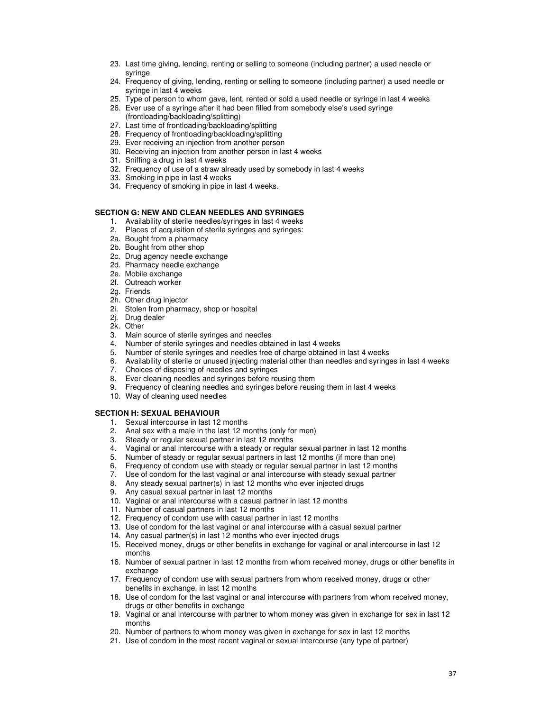- 23. Last time giving, lending, renting or selling to someone (including partner) a used needle or syringe
- 24. Frequency of giving, lending, renting or selling to someone (including partner) a used needle or syringe in last 4 weeks
- 25. Type of person to whom gave, lent, rented or sold a used needle or syringe in last 4 weeks
- 26. Ever use of a syringe after it had been filled from somebody else's used syringe (frontloading/backloading/splitting)
- 27. Last time of frontloading/backloading/splitting
- 28. Frequency of frontloading/backloading/splitting
- 29. Ever receiving an injection from another person
- 30. Receiving an injection from another person in last 4 weeks
- 31. Sniffing a drug in last 4 weeks
- 32. Frequency of use of a straw already used by somebody in last 4 weeks
- 33. Smoking in pipe in last 4 weeks
- 34. Frequency of smoking in pipe in last 4 weeks.

### **SECTION G: NEW AND CLEAN NEEDLES AND SYRINGES**

- 1. Availability of sterile needles/syringes in last 4 weeks
- 2. Places of acquisition of sterile syringes and syringes:
- 2a. Bought from a pharmacy
- 2b. Bought from other shop
- 2c. Drug agency needle exchange
- 2d. Pharmacy needle exchange
- 2e. Mobile exchange
- 2f. Outreach worker
- 2g. Friends
- 2h. Other drug injector
- 2i. Stolen from pharmacy, shop or hospital
- 2j. Drug dealer
- 2k. Other
- 3. Main source of sterile syringes and needles
- 4. Number of sterile syringes and needles obtained in last 4 weeks
- 5. Number of sterile syringes and needles free of charge obtained in last 4 weeks
- 6. Availability of sterile or unused injecting material other than needles and syringes in last 4 weeks
- 7. Choices of disposing of needles and syringes
- 8. Ever cleaning needles and syringes before reusing them
- 9. Frequency of cleaning needles and syringes before reusing them in last 4 weeks
- 10. Way of cleaning used needles

#### **SECTION H: SEXUAL BEHAVIOUR**

- 1. Sexual intercourse in last 12 months
- 2. Anal sex with a male in the last 12 months (only for men)
- 3. Steady or regular sexual partner in last 12 months
- 4. Vaginal or anal intercourse with a steady or regular sexual partner in last 12 months
- 5. Number of steady or regular sexual partners in last 12 months (if more than one)
- 6. Frequency of condom use with steady or regular sexual partner in last 12 months
- 7. Use of condom for the last vaginal or anal intercourse with steady sexual partner
- 8. Any steady sexual partner(s) in last 12 months who ever injected drugs
- 9. Any casual sexual partner in last 12 months
- 10. Vaginal or anal intercourse with a casual partner in last 12 months
- 11. Number of casual partners in last 12 months
- 12. Frequency of condom use with casual partner in last 12 months
- 13. Use of condom for the last vaginal or anal intercourse with a casual sexual partner
- 14. Any casual partner(s) in last 12 months who ever injected drugs
- 15. Received money, drugs or other benefits in exchange for vaginal or anal intercourse in last 12 months
- 16. Number of sexual partner in last 12 months from whom received money, drugs or other benefits in exchange
- 17. Frequency of condom use with sexual partners from whom received money, drugs or other benefits in exchange, in last 12 months
- 18. Use of condom for the last vaginal or anal intercourse with partners from whom received money, drugs or other benefits in exchange
- 19. Vaginal or anal intercourse with partner to whom money was given in exchange for sex in last 12 months
- 20. Number of partners to whom money was given in exchange for sex in last 12 months
- 21. Use of condom in the most recent vaginal or sexual intercourse (any type of partner)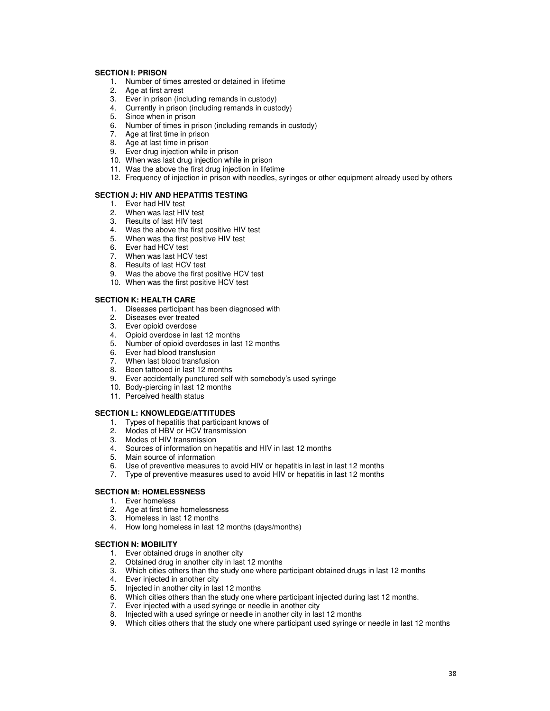### **SECTION I: PRISON**

- 1. Number of times arrested or detained in lifetime
- 2. Age at first arrest
- 3. Ever in prison (including remands in custody)
- 4. Currently in prison (including remands in custody)
- 5. Since when in prison
- 6. Number of times in prison (including remands in custody)
- 7. Age at first time in prison
- 8. Age at last time in prison
- 9. Ever drug injection while in prison
- 10. When was last drug injection while in prison
- 11. Was the above the first drug injection in lifetime
- 12. Frequency of injection in prison with needles, syringes or other equipment already used by others

### **SECTION J: HIV AND HEPATITIS TESTING**

- 1. Ever had HIV test
- 2. When was last HIV test
- 3. Results of last HIV test
- 4. Was the above the first positive HIV test
- 5. When was the first positive HIV test
- 6. Ever had HCV test
- 7. When was last HCV test
- 8. Results of last HCV test
- 9. Was the above the first positive HCV test
- 10. When was the first positive HCV test

#### **SECTION K: HEALTH CARE**

- 1. Diseases participant has been diagnosed with
- 2. Diseases ever treated
- 3. Ever opioid overdose
- 4. Opioid overdose in last 12 months
- 5. Number of opioid overdoses in last 12 months
- 6. Ever had blood transfusion
- 7. When last blood transfusion
- 8. Been tattooed in last 12 months
- 9. Ever accidentally punctured self with somebody's used syringe
- 10. Body-piercing in last 12 months
- 11. Perceived health status

#### **SECTION L: KNOWLEDGE/ATTITUDES**

- 1. Types of hepatitis that participant knows of
- 2. Modes of HBV or HCV transmission
- 3. Modes of HIV transmission
- 4. Sources of information on hepatitis and HIV in last 12 months
- 5. Main source of information
- 6. Use of preventive measures to avoid HIV or hepatitis in last in last 12 months
- 7. Type of preventive measures used to avoid HIV or hepatitis in last 12 months

### **SECTION M: HOMELESSNESS**

- 1. Ever homeless
- 2. Age at first time homelessness
- 3. Homeless in last 12 months
- 4. How long homeless in last 12 months (days/months)

### **SECTION N: MOBILITY**

- 1. Ever obtained drugs in another city
- 2. Obtained drug in another city in last 12 months
- 3. Which cities others than the study one where participant obtained drugs in last 12 months
- 4. Ever injected in another city
- 5. Injected in another city in last 12 months
- 6. Which cities others than the study one where participant injected during last 12 months.
- 7. Ever injected with a used syringe or needle in another city
- 8. Injected with a used syringe or needle in another city in last 12 months
- 9. Which cities others that the study one where participant used syringe or needle in last 12 months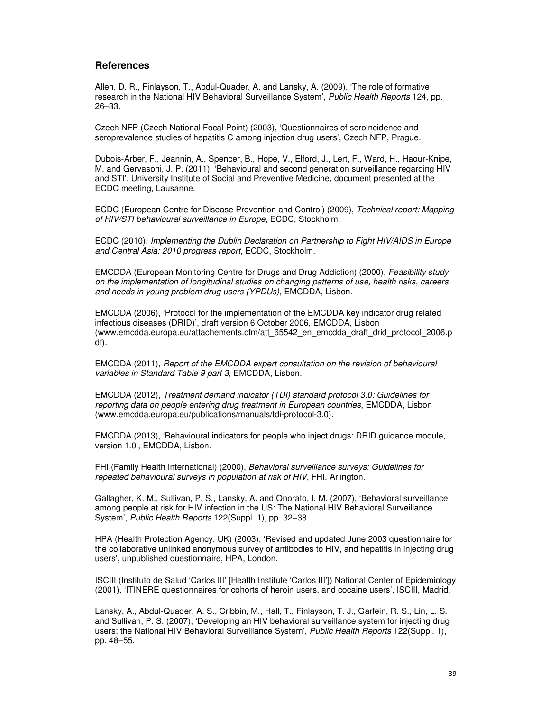### **References**

Allen, D. R., Finlayson, T., Abdul-Quader, A. and Lansky, A. (2009), 'The role of formative research in the National HIV Behavioral Surveillance System', Public Health Reports 124, pp. 26–33.

Czech NFP (Czech National Focal Point) (2003), 'Questionnaires of seroincidence and seroprevalence studies of hepatitis C among injection drug users', Czech NFP, Prague.

Dubois-Arber, F., Jeannin, A., Spencer, B., Hope, V., Elford, J., Lert, F., Ward, H., Haour-Knipe, M. and Gervasoni, J. P. (2011), 'Behavioural and second generation surveillance regarding HIV and STI', University Institute of Social and Preventive Medicine, document presented at the ECDC meeting, Lausanne.

ECDC (European Centre for Disease Prevention and Control) (2009), Technical report: Mapping of HIV/STI behavioural surveillance in Europe, ECDC, Stockholm.

ECDC (2010), Implementing the Dublin Declaration on Partnership to Fight HIV/AIDS in Europe and Central Asia: 2010 progress report, ECDC, Stockholm.

EMCDDA (European Monitoring Centre for Drugs and Drug Addiction) (2000), Feasibility study on the implementation of longitudinal studies on changing patterns of use, health risks, careers and needs in young problem drug users (YPDUs), EMCDDA, Lisbon.

EMCDDA (2006), 'Protocol for the implementation of the EMCDDA key indicator drug related infectious diseases (DRID)', draft version 6 October 2006, EMCDDA, Lisbon (www.emcdda.europa.eu/attachements.cfm/att\_65542\_en\_emcdda\_draft\_drid\_protocol\_2006.p df).

EMCDDA (2011), Report of the EMCDDA expert consultation on the revision of behavioural variables in Standard Table 9 part 3, EMCDDA, Lisbon.

EMCDDA (2012), Treatment demand indicator (TDI) standard protocol 3.0: Guidelines for reporting data on people entering drug treatment in European countries, EMCDDA, Lisbon (www.emcdda.europa.eu/publications/manuals/tdi-protocol-3.0).

EMCDDA (2013), 'Behavioural indicators for people who inject drugs: DRID guidance module, version 1.0', EMCDDA, Lisbon.

FHI (Family Health International) (2000), Behavioral surveillance surveys: Guidelines for repeated behavioural surveys in population at risk of HIV, FHI. Arlington.

Gallagher, K. M., Sullivan, P. S., Lansky, A. and Onorato, I. M. (2007), 'Behavioral surveillance among people at risk for HIV infection in the US: The National HIV Behavioral Surveillance System', Public Health Reports 122(Suppl. 1), pp. 32–38.

HPA (Health Protection Agency, UK) (2003), 'Revised and updated June 2003 questionnaire for the collaborative unlinked anonymous survey of antibodies to HIV, and hepatitis in injecting drug users', unpublished questionnaire, HPA, London.

ISCIII (Instituto de Salud 'Carlos III' [Health Institute 'Carlos III']) National Center of Epidemiology (2001), 'ITINERE questionnaires for cohorts of heroin users, and cocaine users', ISCIII, Madrid.

Lansky, A., Abdul-Quader, A. S., Cribbin, M., Hall, T., Finlayson, T. J., Garfein, R. S., Lin, L. S. and Sullivan, P. S. (2007), 'Developing an HIV behavioral surveillance system for injecting drug users: the National HIV Behavioral Surveillance System', Public Health Reports 122(Suppl. 1), pp. 48–55.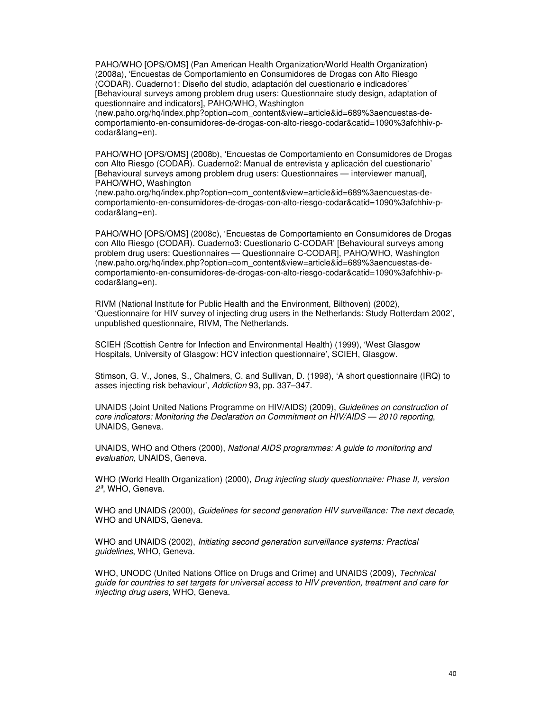PAHO/WHO [OPS/OMS] (Pan American Health Organization/World Health Organization) (2008a), 'Encuestas de Comportamiento en Consumidores de Drogas con Alto Riesgo (CODAR). Cuaderno1: Diseño del studio, adaptación del cuestionario e indicadores' [Behavioural surveys among problem drug users: Questionnaire study design, adaptation of questionnaire and indicators], PAHO/WHO, Washington

(new.paho.org/hq/index.php?option=com\_content&view=article&id=689%3aencuestas-decomportamiento-en-consumidores-de-drogas-con-alto-riesgo-codar&catid=1090%3afchhiv-pcodar&lang=en).

PAHO/WHO [OPS/OMS] (2008b), 'Encuestas de Comportamiento en Consumidores de Drogas con Alto Riesgo (CODAR). Cuaderno2: Manual de entrevista y aplicación del cuestionario' [Behavioural surveys among problem drug users: Questionnaires — interviewer manual], PAHO/WHO, Washington

(new.paho.org/hq/index.php?option=com\_content&view=article&id=689%3aencuestas-decomportamiento-en-consumidores-de-drogas-con-alto-riesgo-codar&catid=1090%3afchhiv-pcodar&lang=en).

PAHO/WHO [OPS/OMS] (2008c), 'Encuestas de Comportamiento en Consumidores de Drogas con Alto Riesgo (CODAR). Cuaderno3: Cuestionario C-CODAR' [Behavioural surveys among problem drug users: Questionnaires — Questionnaire C-CODAR], PAHO/WHO, Washington (new.paho.org/hq/index.php?option=com\_content&view=article&id=689%3aencuestas-decomportamiento-en-consumidores-de-drogas-con-alto-riesgo-codar&catid=1090%3afchhiv-pcodar&lang=en).

RIVM (National Institute for Public Health and the Environment, Bilthoven) (2002), 'Questionnaire for HIV survey of injecting drug users in the Netherlands: Study Rotterdam 2002', unpublished questionnaire, RIVM, The Netherlands.

SCIEH (Scottish Centre for Infection and Environmental Health) (1999), 'West Glasgow Hospitals, University of Glasgow: HCV infection questionnaire', SCIEH, Glasgow.

Stimson, G. V., Jones, S., Chalmers, C. and Sullivan, D. (1998), 'A short questionnaire (IRQ) to asses injecting risk behaviour', Addiction 93, pp. 337–347.

UNAIDS (Joint United Nations Programme on HIV/AIDS) (2009), Guidelines on construction of core indicators: Monitoring the Declaration on Commitment on HIV/AIDS — 2010 reporting, UNAIDS, Geneva.

UNAIDS, WHO and Others (2000), National AIDS programmes: A guide to monitoring and evaluation, UNAIDS, Geneva.

WHO (World Health Organization) (2000), Drug injecting study questionnaire: Phase II, version 2ª, WHO, Geneva.

WHO and UNAIDS (2000), Guidelines for second generation HIV surveillance: The next decade, WHO and UNAIDS, Geneva.

WHO and UNAIDS (2002), Initiating second generation surveillance systems: Practical guidelines, WHO, Geneva.

WHO, UNODC (United Nations Office on Drugs and Crime) and UNAIDS (2009), Technical guide for countries to set targets for universal access to HIV prevention, treatment and care for injecting drug users, WHO, Geneva.